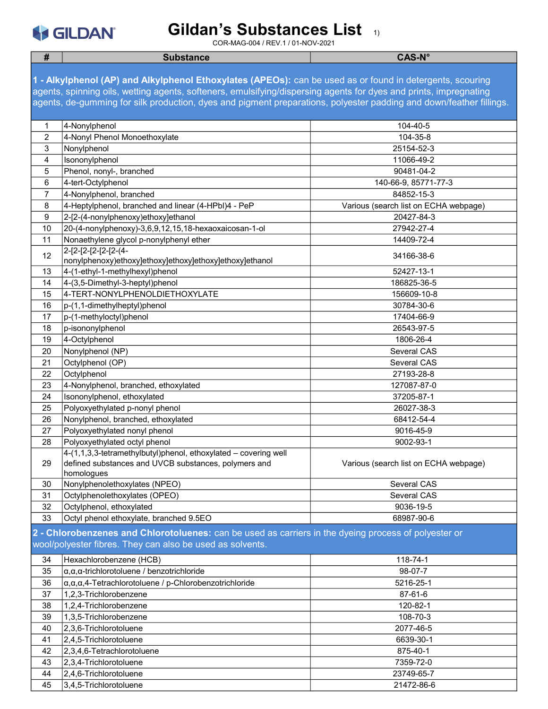# S GILDAN

#### Gildan's Substances List 1)

| #              | <b>Substance</b>                                                                                                    | <b>CAS-N°</b>                         |  |
|----------------|---------------------------------------------------------------------------------------------------------------------|---------------------------------------|--|
|                |                                                                                                                     |                                       |  |
|                | 1 - Alkylphenol (AP) and Alkylphenol Ethoxylates (APEOs): can be used as or found in detergents, scouring           |                                       |  |
|                | agents, spinning oils, wetting agents, softeners, emulsifying/dispersing agents for dyes and prints, impregnating   |                                       |  |
|                | agents, de-gumming for silk production, dyes and pigment preparations, polyester padding and down/feather fillings. |                                       |  |
|                |                                                                                                                     |                                       |  |
| 1              | 4-Nonylphenol                                                                                                       | 104-40-5                              |  |
| $\overline{2}$ | 4-Nonyl Phenol Monoethoxylate                                                                                       | 104-35-8                              |  |
| 3              | Nonylphenol                                                                                                         | 25154-52-3                            |  |
| 4              | Isononylphenol                                                                                                      | 11066-49-2                            |  |
| 5              | Phenol, nonyl-, branched                                                                                            | 90481-04-2                            |  |
| 6              | 4-tert-Octylphenol                                                                                                  | 140-66-9, 85771-77-3                  |  |
| 7              | 4-Nonylphenol, branched                                                                                             | 84852-15-3                            |  |
| 8              | 4-Heptylphenol, branched and linear (4-HPbl)4 - PeP                                                                 | Various (search list on ECHA webpage) |  |
| 9              | 2-[2-(4-nonylphenoxy)ethoxy]ethanol                                                                                 | 20427-84-3                            |  |
| 10             | 20-(4-nonylphenoxy)-3,6,9,12,15,18-hexaoxaicosan-1-ol                                                               | 27942-27-4                            |  |
| 11             | Nonaethylene glycol p-nonylphenyl ether                                                                             | 14409-72-4                            |  |
|                | 2-[2-[2-[2-[2-(4-                                                                                                   |                                       |  |
| 12             | nonylphenoxy)ethoxy]ethoxy]ethoxy]ethoxy]ethoxy]ethanol                                                             | 34166-38-6                            |  |
| 13             | 4-(1-ethyl-1-methylhexyl)phenol                                                                                     | 52427-13-1                            |  |
| 14             | 4-(3,5-Dimethyl-3-heptyl)phenol                                                                                     | 186825-36-5                           |  |
| 15             | 4-TERT-NONYLPHENOLDIETHOXYLATE                                                                                      | 156609-10-8                           |  |
| 16             | p-(1,1-dimethylheptyl)phenol                                                                                        | 30784-30-6                            |  |
| 17             | p-(1-methyloctyl)phenol                                                                                             | 17404-66-9                            |  |
| 18             | p-isononylphenol                                                                                                    | 26543-97-5                            |  |
| 19             | 4-Octylphenol                                                                                                       | 1806-26-4                             |  |
| 20             | Nonylphenol (NP)                                                                                                    | Several CAS                           |  |
| 21             | Octylphenol (OP)                                                                                                    | Several CAS                           |  |
| 22             | Octylphenol                                                                                                         | 27193-28-8                            |  |
| 23             | 4-Nonylphenol, branched, ethoxylated                                                                                | 127087-87-0                           |  |
| 24             | Isononylphenol, ethoxylated                                                                                         | 37205-87-1                            |  |
| 25             | Polyoxyethylated p-nonyl phenol                                                                                     | 26027-38-3                            |  |
| 26             | Nonylphenol, branched, ethoxylated                                                                                  | 68412-54-4                            |  |
| 27             | Polyoxyethylated nonyl phenol                                                                                       | 9016-45-9                             |  |
| 28             | Polyoxyethylated octyl phenol                                                                                       | 9002-93-1                             |  |
|                | 4-(1,1,3,3-tetramethylbutyl)phenol, ethoxylated - covering well                                                     |                                       |  |
| 29             | defined substances and UVCB substances, polymers and                                                                | Various (search list on ECHA webpage) |  |
|                | homologues                                                                                                          |                                       |  |
| 30             | Nonylphenolethoxylates (NPEO)                                                                                       | Several CAS                           |  |
| 31             | Octylphenolethoxylates (OPEO)                                                                                       | Several CAS                           |  |
| 32             | Octylphenol, ethoxylated                                                                                            | 9036-19-5                             |  |
| 33             | Octyl phenol ethoxylate, branched 9.5EO                                                                             | 68987-90-6                            |  |
|                | 2 - Chlorobenzenes and Chlorotoluenes: can be used as carriers in the dyeing process of polyester or                |                                       |  |
|                | wool/polyester fibres. They can also be used as solvents.                                                           |                                       |  |
|                |                                                                                                                     |                                       |  |
| 34             | Hexachlorobenzene (HCB)                                                                                             | 118-74-1                              |  |
| 35             | $\alpha, \alpha, \alpha$ -trichlorotoluene / benzotrichloride                                                       | 98-07-7                               |  |
| 36             | $\alpha, \alpha, \alpha, 4$ -Tetrachlorotoluene / p-Chlorobenzotrichloride                                          | 5216-25-1                             |  |
| 37<br>38       | 1,2,3-Trichlorobenzene<br>1,2,4-Trichlorobenzene                                                                    | 87-61-6<br>120-82-1                   |  |
|                |                                                                                                                     | 108-70-3                              |  |
| 39             | 1,3,5-Trichlorobenzene                                                                                              |                                       |  |
| 40             | 2,3,6-Trichlorotoluene<br>2,4,5-Trichlorotoluene                                                                    | 2077-46-5                             |  |
| 41             |                                                                                                                     | 6639-30-1<br>875-40-1                 |  |
| 42             | 2,3,4,6-Tetrachlorotoluene<br>2,3,4-Trichlorotoluene                                                                | 7359-72-0                             |  |
| 43             | 2,4,6-Trichlorotoluene                                                                                              | 23749-65-7                            |  |
| 44<br>45       | 3,4,5-Trichlorotoluene                                                                                              | 21472-86-6                            |  |
|                |                                                                                                                     |                                       |  |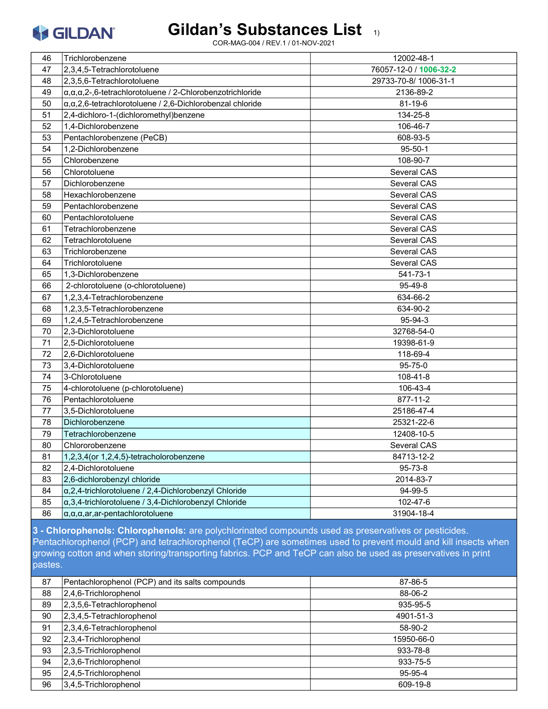#### Gildan's Substances List 1)

COR-MAG-004 / REV.1 / 01-NOV-2021

| 46 | Trichlorobenzene                                                              | 12002-48-1             |
|----|-------------------------------------------------------------------------------|------------------------|
| 47 | 2.3.4.5-Tetrachlorotoluene                                                    | 76057-12-0 / 1006-32-2 |
| 48 | 2,3,5,6-Tetrachlorotoluene                                                    | 29733-70-8/1006-31-1   |
| 49 | $\alpha, \alpha, \alpha, 2$ -,6-tetrachlorotoluene / 2-Chlorobenzotrichloride | 2136-89-2              |
| 50 | $\alpha$ , $\alpha$ , 2,6-tetrachlorotoluene / 2,6-Dichlorobenzal chloride    | 81-19-6                |
| 51 | 2,4-dichloro-1-(dichloromethyl)benzene                                        | 134-25-8               |
| 52 | 1,4-Dichlorobenzene                                                           | 106-46-7               |
| 53 | Pentachlorobenzene (PeCB)                                                     | 608-93-5               |
| 54 | 1,2-Dichlorobenzene                                                           | $95 - 50 - 1$          |
| 55 | Chlorobenzene                                                                 | 108-90-7               |
| 56 | Chlorotoluene                                                                 | Several CAS            |
| 57 | Dichlorobenzene                                                               | Several CAS            |
| 58 | Hexachlorobenzene                                                             | Several CAS            |
| 59 | Pentachlorobenzene                                                            | Several CAS            |
| 60 | Pentachlorotoluene                                                            | Several CAS            |
| 61 | Tetrachlorobenzene                                                            | Several CAS            |
| 62 | Tetrachlorotoluene                                                            | Several CAS            |
| 63 | Trichlorobenzene                                                              | Several CAS            |
| 64 | Trichlorotoluene                                                              | Several CAS            |
| 65 | 1.3-Dichlorobenzene                                                           | $541 - 73 - 1$         |
| 66 | 2-chlorotoluene (o-chlorotoluene)                                             | 95-49-8                |
| 67 | 1,2,3,4-Tetrachlorobenzene                                                    | 634-66-2               |
| 68 | 1,2,3,5-Tetrachlorobenzene                                                    | 634-90-2               |
| 69 | 1,2,4,5-Tetrachlorobenzene                                                    | 95-94-3                |
| 70 | 2,3-Dichlorotoluene                                                           | 32768-54-0             |
| 71 | 2.5-Dichlorotoluene                                                           | 19398-61-9             |
| 72 | 2,6-Dichlorotoluene                                                           | 118-69-4               |
| 73 | 3.4-Dichlorotoluene                                                           | 95-75-0                |
| 74 | 3-Chlorotoluene                                                               | 108-41-8               |
| 75 | 4-chlorotoluene (p-chlorotoluene)                                             | 106-43-4               |
| 76 | Pentachlorotoluene                                                            | 877-11-2               |
| 77 | 3,5-Dichlorotoluene                                                           | 25186-47-4             |
| 78 | Dichlorobenzene                                                               | 25321-22-6             |
| 79 | Tetrachlorobenzene                                                            | 12408-10-5             |
| 80 | Chlororobenzene                                                               | Several CAS            |
| 81 | 1,2,3,4 (or 1,2,4,5)-tetracholorobenzene                                      | 84713-12-2             |
| 82 | 2,4-Dichlorotoluene                                                           | 95-73-8                |
| 83 | 2,6-dichlorobenzyl chloride                                                   | 2014-83-7              |
| 84 | $\alpha$ , 2, 4-trichlorotoluene / 2, 4-Dichlorobenzyl Chloride               | 94-99-5                |
| 85 | $\alpha$ ,3,4-trichlorotoluene / 3,4-Dichlorobenzyl Chloride                  | 102-47-6               |
| 86 | $\alpha$ , $\alpha$ , $\alpha$ , $ar$ , $ar$ -pentachlorotoluene              | 31904-18-4             |

**3 - Chlorophenols: Chlorophenols:** are polychlorinated compounds used as preservatives or pesticides. Pentachlorophenol (PCP) and tetrachlorophenol (TeCP) are sometimes used to prevent mould and kill insects when growing cotton and when storing/transporting fabrics. PCP and TeCP can also be used as preservatives in print pastes.

| 87 | Pentachlorophenol (PCP) and its salts compounds | 87-86-5    |
|----|-------------------------------------------------|------------|
| 88 | $2,4,6$ -Trichlorophenol                        | 88-06-2    |
| 89 | $ 2,3,5,6$ -Tetrachlorophenol                   | 935-95-5   |
| 90 | $ 2,3,4,5$ -Tetrachlorophenol                   | 4901-51-3  |
| 91 | $2,3,4,6$ -Tetrachlorophenol                    | 58-90-2    |
| 92 | $2,3,4$ -Trichlorophenol                        | 15950-66-0 |
| 93 | $ 2,3,5$ -Trichlorophenol                       | 933-78-8   |
| 94 | 2,3,6-Trichlorophenol                           | 933-75-5   |
| 95 | $2,4,5$ -Trichlorophenol                        | 95-95-4    |
| 96 | $3,4,5$ -Trichlorophenol                        | 609-19-8   |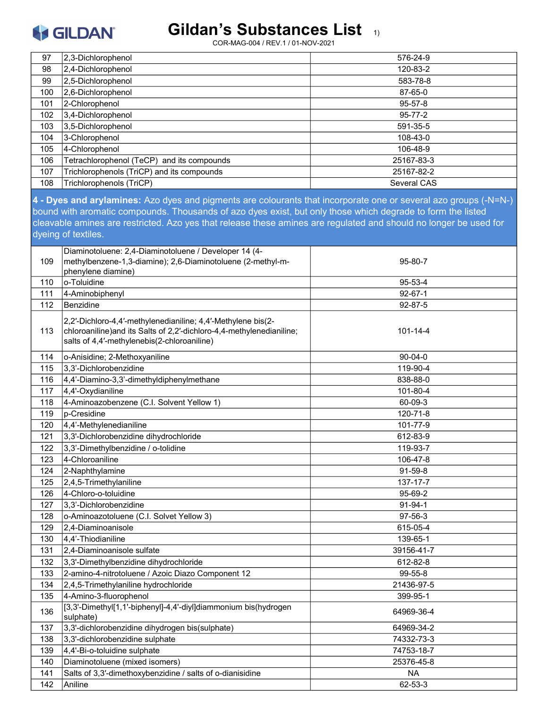### Gildan's Substances List 1)

| 97         | 2,3-Dichlorophenol                                                                                                                                                                                                                                                                                                                                                          | 576-24-9               |
|------------|-----------------------------------------------------------------------------------------------------------------------------------------------------------------------------------------------------------------------------------------------------------------------------------------------------------------------------------------------------------------------------|------------------------|
| 98         | 2,4-Dichlorophenol                                                                                                                                                                                                                                                                                                                                                          | 120-83-2               |
| 99         | 2,5-Dichlorophenol                                                                                                                                                                                                                                                                                                                                                          | 583-78-8               |
| 100        | 2,6-Dichlorophenol                                                                                                                                                                                                                                                                                                                                                          | 87-65-0                |
| 101        | 2-Chlorophenol                                                                                                                                                                                                                                                                                                                                                              | 95-57-8                |
| 102        | 3,4-Dichlorophenol                                                                                                                                                                                                                                                                                                                                                          | $95 - 77 - 2$          |
| 103        | 3,5-Dichlorophenol                                                                                                                                                                                                                                                                                                                                                          | 591-35-5               |
| 104        | 3-Chlorophenol                                                                                                                                                                                                                                                                                                                                                              | 108-43-0               |
| 105        | 4-Chlorophenol                                                                                                                                                                                                                                                                                                                                                              | 106-48-9               |
| 106        | Tetrachlorophenol (TeCP) and its compounds                                                                                                                                                                                                                                                                                                                                  | 25167-83-3             |
| 107        | Trichlorophenols (TriCP) and its compounds                                                                                                                                                                                                                                                                                                                                  | 25167-82-2             |
| 108        | Trichlorophenols (TriCP)                                                                                                                                                                                                                                                                                                                                                    | Several CAS            |
|            | 4 - Dyes and arylamines: Azo dyes and pigments are colourants that incorporate one or several azo groups (-N=N-)<br>bound with aromatic compounds. Thousands of azo dyes exist, but only those which degrade to form the listed<br>cleavable amines are restricted. Azo yes that release these amines are regulated and should no longer be used for<br>dyeing of textiles. |                        |
| 109        | Diaminotoluene: 2,4-Diaminotoluene / Developer 14 (4-<br>methylbenzene-1,3-diamine); 2,6-Diaminotoluene (2-methyl-m-<br>phenylene diamine)                                                                                                                                                                                                                                  | 95-80-7                |
| 110        | o-Toluidine                                                                                                                                                                                                                                                                                                                                                                 | 95-53-4                |
| 111        | 4-Aminobiphenyl                                                                                                                                                                                                                                                                                                                                                             | $92 - 67 - 1$          |
| 112        | Benzidine                                                                                                                                                                                                                                                                                                                                                                   | 92-87-5                |
| 113        | 2,2'-Dichloro-4,4'-methylenedianiline; 4,4'-Methylene bis(2-<br>chloroaniline) and its Salts of 2,2'-dichloro-4,4-methylenedianiline;<br>salts of 4,4'-methylenebis(2-chloroaniline)                                                                                                                                                                                        | 101-14-4               |
| 114        | o-Anisidine; 2-Methoxyaniline                                                                                                                                                                                                                                                                                                                                               | $90 - 04 - 0$          |
| 115        | 3,3'-Dichlorobenzidine                                                                                                                                                                                                                                                                                                                                                      | 119-90-4               |
| 116        | 4,4'-Diamino-3,3'-dimethyldiphenylmethane                                                                                                                                                                                                                                                                                                                                   | 838-88-0               |
| 117        | 4,4'-Oxydianiline                                                                                                                                                                                                                                                                                                                                                           | 101-80-4               |
| 118        | 4-Aminoazobenzene (C.I. Solvent Yellow 1)                                                                                                                                                                                                                                                                                                                                   | 60-09-3                |
| 119        | p-Cresidine                                                                                                                                                                                                                                                                                                                                                                 | 120-71-8               |
| 120        | 4,4'-Methylenedianiline                                                                                                                                                                                                                                                                                                                                                     | 101-77-9               |
| 121        | 3,3'-Dichlorobenzidine dihydrochloride                                                                                                                                                                                                                                                                                                                                      | 612-83-9               |
| 122        | 3,3'-Dimethylbenzidine / o-tolidine                                                                                                                                                                                                                                                                                                                                         | 119-93-7               |
| 123        | 4-Chloroaniline                                                                                                                                                                                                                                                                                                                                                             | 106-47-8               |
| 124        | 2-Naphthylamine                                                                                                                                                                                                                                                                                                                                                             | 91-59-8                |
| 125        | 2,4,5-Trimethylaniline                                                                                                                                                                                                                                                                                                                                                      | 137-17-7               |
| 126        | 4-Chloro-o-toluidine                                                                                                                                                                                                                                                                                                                                                        | 95-69-2                |
| 127        | 3,3'-Dichlorobenzidine                                                                                                                                                                                                                                                                                                                                                      | 91-94-1                |
| 128        | o-Aminoazotoluene (C.I. Solvet Yellow 3)                                                                                                                                                                                                                                                                                                                                    | 97-56-3                |
| 129        | 2,4-Diaminoanisole                                                                                                                                                                                                                                                                                                                                                          | 615-05-4               |
| 130        | 4,4'-Thiodianiline                                                                                                                                                                                                                                                                                                                                                          | 139-65-1               |
| 131        | 2,4-Diaminoanisole sulfate                                                                                                                                                                                                                                                                                                                                                  | 39156-41-7             |
| 132        | 3,3'-Dimethylbenzidine dihydrochloride                                                                                                                                                                                                                                                                                                                                      | 612-82-8               |
| 133        | 2-amino-4-nitrotoluene / Azoic Diazo Component 12                                                                                                                                                                                                                                                                                                                           | 99-55-8                |
| 134        | 2,4,5-Trimethylaniline hydrochloride                                                                                                                                                                                                                                                                                                                                        | 21436-97-5             |
| 135<br>136 | 4-Amino-3-fluorophenol<br>[3,3'-Dimethyl[1,1'-biphenyl]-4,4'-diyl]diammonium bis(hydrogen                                                                                                                                                                                                                                                                                   | 399-95-1<br>64969-36-4 |
| 137        | sulphate)<br>3,3'-dichlorobenzidine dihydrogen bis(sulphate)                                                                                                                                                                                                                                                                                                                | 64969-34-2             |
| 138        | 3,3'-dichlorobenzidine sulphate                                                                                                                                                                                                                                                                                                                                             | 74332-73-3             |
| 139        | 4,4'-Bi-o-toluidine sulphate                                                                                                                                                                                                                                                                                                                                                | 74753-18-7             |
| 140        | Diaminotoluene (mixed isomers)                                                                                                                                                                                                                                                                                                                                              | 25376-45-8             |
| 141        | Salts of 3,3'-dimethoxybenzidine / salts of o-dianisidine                                                                                                                                                                                                                                                                                                                   | <b>NA</b>              |
| 142        | Aniline                                                                                                                                                                                                                                                                                                                                                                     | 62-53-3                |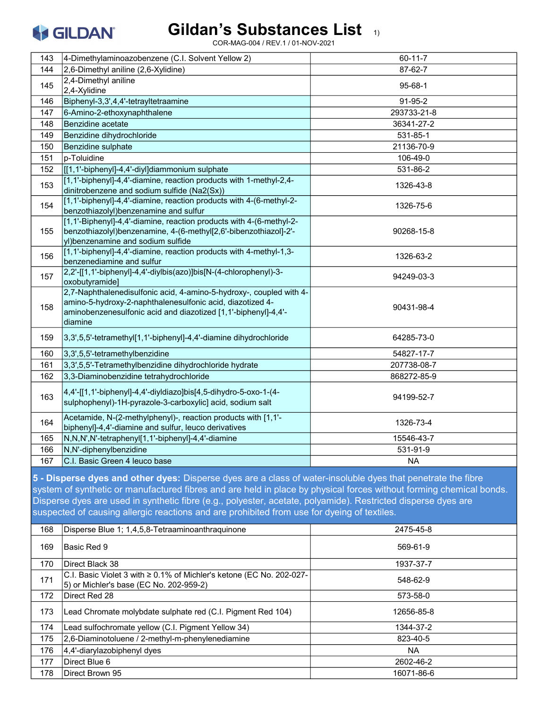

| 143                                                                                                                                                                                                                                                                                                                                                                                                                                                 | 4-Dimethylaminoazobenzene (C.I. Solvent Yellow 2)                                                                                                                                                             | 60-11-7       |
|-----------------------------------------------------------------------------------------------------------------------------------------------------------------------------------------------------------------------------------------------------------------------------------------------------------------------------------------------------------------------------------------------------------------------------------------------------|---------------------------------------------------------------------------------------------------------------------------------------------------------------------------------------------------------------|---------------|
| 144                                                                                                                                                                                                                                                                                                                                                                                                                                                 | 2,6-Dimethyl aniline (2,6-Xylidine)                                                                                                                                                                           | 87-62-7       |
| 145                                                                                                                                                                                                                                                                                                                                                                                                                                                 | 2,4-Dimethyl aniline<br>2,4-Xylidine                                                                                                                                                                          | $95 - 68 - 1$ |
| 146                                                                                                                                                                                                                                                                                                                                                                                                                                                 | Biphenyl-3,3',4,4'-tetrayltetraamine                                                                                                                                                                          | 91-95-2       |
| 147                                                                                                                                                                                                                                                                                                                                                                                                                                                 | 6-Amino-2-ethoxynaphthalene                                                                                                                                                                                   | 293733-21-8   |
| 148                                                                                                                                                                                                                                                                                                                                                                                                                                                 | Benzidine acetate                                                                                                                                                                                             | 36341-27-2    |
| 149                                                                                                                                                                                                                                                                                                                                                                                                                                                 | Benzidine dihydrochloride                                                                                                                                                                                     | 531-85-1      |
| 150                                                                                                                                                                                                                                                                                                                                                                                                                                                 | Benzidine sulphate                                                                                                                                                                                            | 21136-70-9    |
| 151                                                                                                                                                                                                                                                                                                                                                                                                                                                 | p-Toluidine                                                                                                                                                                                                   | 106-49-0      |
| 152                                                                                                                                                                                                                                                                                                                                                                                                                                                 | [[[1,1'-biphenyl]-4,4'-diyl]diammonium sulphate                                                                                                                                                               | 531-86-2      |
| 153                                                                                                                                                                                                                                                                                                                                                                                                                                                 | [1,1'-biphenyl]-4,4'-diamine, reaction products with 1-methyl-2,4-<br>dinitrobenzene and sodium sulfide (Na2(Sx))                                                                                             | 1326-43-8     |
| 154                                                                                                                                                                                                                                                                                                                                                                                                                                                 | [1,1'-biphenyl]-4,4'-diamine, reaction products with 4-(6-methyl-2-<br>benzothiazolyl)benzenamine and sulfur                                                                                                  | 1326-75-6     |
| 155                                                                                                                                                                                                                                                                                                                                                                                                                                                 | [1,1'-Biphenyl]-4,4'-diamine, reaction products with 4-(6-methyl-2-<br>benzothiazolyl) benzenamine, 4-(6-methyl[2,6'-bibenzothiazol]-2'-<br>yl)benzenamine and sodium sulfide                                 | 90268-15-8    |
| 156                                                                                                                                                                                                                                                                                                                                                                                                                                                 | [1,1'-biphenyl]-4,4'-diamine, reaction products with 4-methyl-1,3-<br>benzenediamine and sulfur                                                                                                               | 1326-63-2     |
| 157                                                                                                                                                                                                                                                                                                                                                                                                                                                 | 2,2'-[[1,1'-biphenyl]-4,4'-diylbis(azo)]bis[N-(4-chlorophenyl)-3-<br>oxobutyramide]                                                                                                                           | 94249-03-3    |
| 158                                                                                                                                                                                                                                                                                                                                                                                                                                                 | 2,7-Naphthalenedisulfonic acid, 4-amino-5-hydroxy-, coupled with 4-<br>amino-5-hydroxy-2-naphthalenesulfonic acid, diazotized 4-<br>aminobenzenesulfonic acid and diazotized [1,1'-biphenyl]-4,4'-<br>diamine | 90431-98-4    |
| 159                                                                                                                                                                                                                                                                                                                                                                                                                                                 | 3,3',5,5'-tetramethyl[1,1'-biphenyl]-4,4'-diamine dihydrochloride                                                                                                                                             | 64285-73-0    |
| 160                                                                                                                                                                                                                                                                                                                                                                                                                                                 | 3,3',5,5'-tetramethylbenzidine                                                                                                                                                                                | 54827-17-7    |
| 161                                                                                                                                                                                                                                                                                                                                                                                                                                                 | 3,3',5,5'-Tetramethylbenzidine dihydrochloride hydrate                                                                                                                                                        | 207738-08-7   |
| 162                                                                                                                                                                                                                                                                                                                                                                                                                                                 | 3,3-Diaminobenzidine tetrahydrochloride                                                                                                                                                                       | 868272-85-9   |
| 163                                                                                                                                                                                                                                                                                                                                                                                                                                                 | 4,4'-[[1,1'-biphenyl]-4,4'-diyldiazo]bis[4,5-dihydro-5-oxo-1-(4-<br>sulphophenyl)-1H-pyrazole-3-carboxylic] acid, sodium salt                                                                                 | 94199-52-7    |
| 164                                                                                                                                                                                                                                                                                                                                                                                                                                                 | Acetamide, N-(2-methylphenyl)-, reaction products with [1,1'-<br>biphenyl]-4,4'-diamine and sulfur, leuco derivatives                                                                                         | 1326-73-4     |
| 165                                                                                                                                                                                                                                                                                                                                                                                                                                                 | N,N,N',N'-tetraphenyl[1,1'-biphenyl]-4,4'-diamine                                                                                                                                                             | 15546-43-7    |
| 166                                                                                                                                                                                                                                                                                                                                                                                                                                                 | N,N'-diphenylbenzidine                                                                                                                                                                                        | 531-91-9      |
| 167                                                                                                                                                                                                                                                                                                                                                                                                                                                 | C.I. Basic Green 4 leuco base                                                                                                                                                                                 | <b>NA</b>     |
| 5 - Disperse dyes and other dyes: Disperse dyes are a class of water-insoluble dyes that penetrate the fibre<br>system of synthetic or manufactured fibres and are held in place by physical forces without forming chemical bonds.<br>Disperse dyes are used in synthetic fibre (e.g., polyester, acetate, polyamide). Restricted disperse dyes are<br>suspected of causing allergic reactions and are prohibited from use for dyeing of textiles. |                                                                                                                                                                                                               |               |
| 168                                                                                                                                                                                                                                                                                                                                                                                                                                                 | Disperse Blue 1; 1,4,5,8-Tetraaminoanthraquinone                                                                                                                                                              | 2475-45-8     |

| 168 | Disperse Blue 1; 1,4,5,8-Tetraaminoanthraquinone                                                                     | 2475-45-8  |
|-----|----------------------------------------------------------------------------------------------------------------------|------------|
| 169 | lBasic Red 9                                                                                                         | 569-61-9   |
| 170 | Direct Black 38                                                                                                      | 1937-37-7  |
| 171 | C.I. Basic Violet 3 with $\geq$ 0.1% of Michler's ketone (EC No. 202-027-<br>5) or Michler's base (EC No. 202-959-2) | 548-62-9   |
| 172 | Direct Red 28                                                                                                        | 573-58-0   |
| 173 | Lead Chromate molybdate sulphate red (C.I. Pigment Red 104)                                                          | 12656-85-8 |
| 174 | Lead sulfochromate yellow (C.I. Pigment Yellow 34)                                                                   | 1344-37-2  |
| 175 | 2,6-Diaminotoluene / 2-methyl-m-phenylenediamine                                                                     | 823-40-5   |
| 176 | 4,4'-diarylazobiphenyl dyes                                                                                          | <b>NA</b>  |
| 177 | Direct Blue 6                                                                                                        | 2602-46-2  |
| 178 | Direct Brown 95                                                                                                      | 16071-86-6 |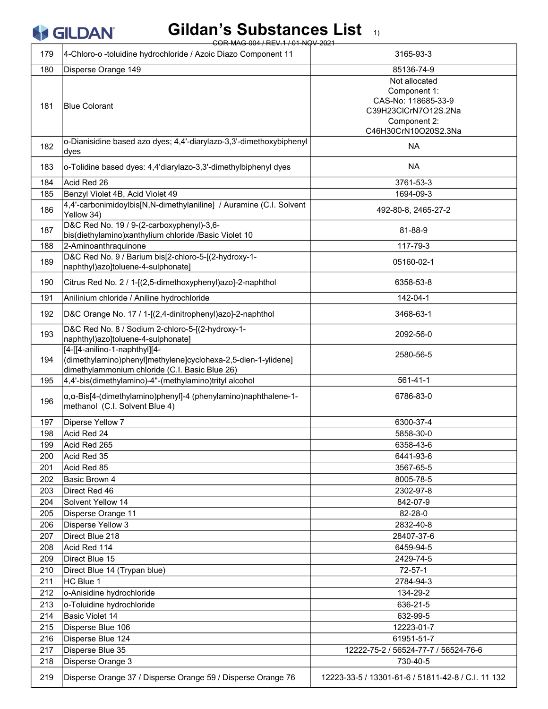| Gildan's Substances List 11<br><b>SILDAN</b><br>COR-MAG-004 / REV.1 / 01-NOV-2021 |                                                                                                                                                  |                                                                                                                      |
|-----------------------------------------------------------------------------------|--------------------------------------------------------------------------------------------------------------------------------------------------|----------------------------------------------------------------------------------------------------------------------|
| 179                                                                               | 4-Chloro-o -toluidine hydrochloride / Azoic Diazo Component 11                                                                                   | 3165-93-3                                                                                                            |
| 180                                                                               | Disperse Orange 149                                                                                                                              | 85136-74-9                                                                                                           |
| 181                                                                               | <b>Blue Colorant</b>                                                                                                                             | Not allocated<br>Component 1:<br>CAS-No: 118685-33-9<br>C39H23ClCrN7O12S.2Na<br>Component 2:<br>C46H30CrN10O20S2.3Na |
| 182                                                                               | o-Dianisidine based azo dyes; 4,4'-diarylazo-3,3'-dimethoxybiphenyl<br>dyes                                                                      | <b>NA</b>                                                                                                            |
| 183                                                                               | o-Tolidine based dyes: 4,4'diarylazo-3,3'-dimethylbiphenyl dyes                                                                                  | <b>NA</b>                                                                                                            |
| 184                                                                               | Acid Red 26                                                                                                                                      | 3761-53-3                                                                                                            |
| 185                                                                               | Benzyl Violet 4B, Acid Violet 49                                                                                                                 | 1694-09-3                                                                                                            |
| 186                                                                               | 4,4'-carbonimidoylbis[N,N-dimethylaniline] / Auramine (C.I. Solvent<br>Yellow 34)                                                                | 492-80-8, 2465-27-2                                                                                                  |
| 187                                                                               | D&C Red No. 19 / 9-(2-carboxyphenyl)-3,6-<br>bis(diethylamino)xanthylium chloride /Basic Violet 10                                               | 81-88-9                                                                                                              |
| 188                                                                               | 2-Aminoanthraquinone                                                                                                                             | 117-79-3                                                                                                             |
| 189                                                                               | D&C Red No. 9 / Barium bis[2-chloro-5-[(2-hydroxy-1-<br>naphthyl)azo]toluene-4-sulphonate]                                                       | 05160-02-1                                                                                                           |
| 190                                                                               | Citrus Red No. 2 / 1-[(2,5-dimethoxyphenyl)azo]-2-naphthol                                                                                       | 6358-53-8                                                                                                            |
| 191                                                                               | Anilinium chloride / Aniline hydrochloride                                                                                                       | 142-04-1                                                                                                             |
| 192                                                                               | D&C Orange No. 17 / 1-[(2,4-dinitrophenyl)azo]-2-naphthol                                                                                        | 3468-63-1                                                                                                            |
| 193                                                                               | D&C Red No. 8 / Sodium 2-chloro-5-[(2-hydroxy-1-<br>naphthyl)azo]toluene-4-sulphonate]                                                           | 2092-56-0                                                                                                            |
| 194                                                                               | [4-[[4-anilino-1-naphthyl][4-<br>(dimethylamino)phenyl]methylene]cyclohexa-2,5-dien-1-ylidene]<br>dimethylammonium chloride (C.I. Basic Blue 26) | 2580-56-5                                                                                                            |
| 195                                                                               | 4,4'-bis(dimethylamino)-4"-(methylamino)trityl alcohol                                                                                           | 561-41-1                                                                                                             |
| 196                                                                               | $\alpha$ , $\alpha$ -Bis[4-(dimethylamino)phenyl]-4 (phenylamino)naphthalene-1-<br>methanol (C.I. Solvent Blue 4)                                | 6786-83-0                                                                                                            |
| 197                                                                               | Diperse Yellow 7                                                                                                                                 | 6300-37-4                                                                                                            |
| 198                                                                               | Acid Red 24                                                                                                                                      | 5858-30-0                                                                                                            |
| 199                                                                               | Acid Red 265                                                                                                                                     | 6358-43-6                                                                                                            |
| 200                                                                               | Acid Red 35                                                                                                                                      | 6441-93-6                                                                                                            |
| 201                                                                               | Acid Red 85                                                                                                                                      | 3567-65-5                                                                                                            |
| 202                                                                               | Basic Brown 4                                                                                                                                    | 8005-78-5                                                                                                            |
| 203                                                                               | Direct Red 46                                                                                                                                    | 2302-97-8                                                                                                            |
| 204                                                                               | Solvent Yellow 14                                                                                                                                | 842-07-9                                                                                                             |
| 205                                                                               | Disperse Orange 11                                                                                                                               | 82-28-0                                                                                                              |
| 206                                                                               | Disperse Yellow 3<br>Direct Blue 218                                                                                                             | 2832-40-8                                                                                                            |
| 207<br>208                                                                        | Acid Red 114                                                                                                                                     | 28407-37-6<br>6459-94-5                                                                                              |
| 209                                                                               | Direct Blue 15                                                                                                                                   | 2429-74-5                                                                                                            |
| 210                                                                               | Direct Blue 14 (Trypan blue)                                                                                                                     | $72 - 57 - 1$                                                                                                        |
| 211                                                                               | HC Blue 1                                                                                                                                        | 2784-94-3                                                                                                            |
| 212                                                                               | o-Anisidine hydrochloride                                                                                                                        | 134-29-2                                                                                                             |
| 213                                                                               | o-Toluidine hydrochloride                                                                                                                        | 636-21-5                                                                                                             |
| 214                                                                               | Basic Violet 14                                                                                                                                  | 632-99-5                                                                                                             |
| 215                                                                               | Disperse Blue 106                                                                                                                                | 12223-01-7                                                                                                           |
| 216                                                                               | Disperse Blue 124                                                                                                                                | 61951-51-7                                                                                                           |
| 217                                                                               | Disperse Blue 35                                                                                                                                 | 12222-75-2 / 56524-77-7 / 56524-76-6                                                                                 |
| 218                                                                               | Disperse Orange 3                                                                                                                                | 730-40-5                                                                                                             |
| 219                                                                               | Disperse Orange 37 / Disperse Orange 59 / Disperse Orange 76                                                                                     | 12223-33-5 / 13301-61-6 / 51811-42-8 / C.I. 11 132                                                                   |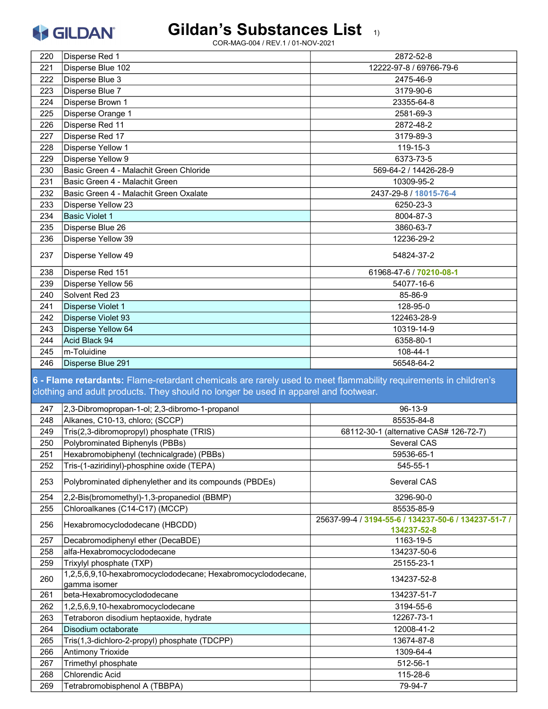#### Gildan's Substances List 1)

| 220        | Disperse Red 1                                                                                                                                                                                         | 2872-52-8                                            |
|------------|--------------------------------------------------------------------------------------------------------------------------------------------------------------------------------------------------------|------------------------------------------------------|
| 221        | Disperse Blue 102                                                                                                                                                                                      | 12222-97-8 / 69766-79-6                              |
| 222        | Disperse Blue 3                                                                                                                                                                                        | 2475-46-9                                            |
| 223        | Disperse Blue 7                                                                                                                                                                                        | 3179-90-6                                            |
| 224        | Disperse Brown 1                                                                                                                                                                                       | 23355-64-8                                           |
| 225        | Disperse Orange 1                                                                                                                                                                                      | 2581-69-3                                            |
| 226        | Disperse Red 11                                                                                                                                                                                        | 2872-48-2                                            |
| 227        | Disperse Red 17                                                                                                                                                                                        | 3179-89-3                                            |
| 228        | <b>Disperse Yellow 1</b>                                                                                                                                                                               | 119-15-3                                             |
| 229        | Disperse Yellow 9                                                                                                                                                                                      | 6373-73-5                                            |
| 230        | Basic Green 4 - Malachit Green Chloride                                                                                                                                                                | 569-64-2 / 14426-28-9                                |
| 231        | Basic Green 4 - Malachit Green                                                                                                                                                                         | 10309-95-2                                           |
| 232        | Basic Green 4 - Malachit Green Oxalate                                                                                                                                                                 | 2437-29-8 / 18015-76-4                               |
| 233        | Disperse Yellow 23                                                                                                                                                                                     | 6250-23-3                                            |
| 234        | <b>Basic Violet 1</b>                                                                                                                                                                                  | 8004-87-3                                            |
| 235        | Disperse Blue 26                                                                                                                                                                                       | 3860-63-7                                            |
| 236        | Disperse Yellow 39                                                                                                                                                                                     | 12236-29-2                                           |
|            |                                                                                                                                                                                                        |                                                      |
| 237        | Disperse Yellow 49                                                                                                                                                                                     | 54824-37-2                                           |
| 238        | Disperse Red 151                                                                                                                                                                                       | 61968-47-6 / 70210-08-1                              |
| 239        | Disperse Yellow 56                                                                                                                                                                                     | 54077-16-6                                           |
| 240        | Solvent Red 23                                                                                                                                                                                         | 85-86-9                                              |
| 241        | Disperse Violet 1                                                                                                                                                                                      | 128-95-0                                             |
| 242        | Disperse Violet 93                                                                                                                                                                                     | 122463-28-9                                          |
| 243        | Disperse Yellow 64                                                                                                                                                                                     | 10319-14-9                                           |
| 244        | Acid Black 94                                                                                                                                                                                          | 6358-80-1                                            |
|            |                                                                                                                                                                                                        |                                                      |
| 245        | m-Toluidine                                                                                                                                                                                            | 108-44-1                                             |
| 246        | Disperse Blue 291                                                                                                                                                                                      | 56548-64-2                                           |
|            | 6 - Flame retardants: Flame-retardant chemicals are rarely used to meet flammability requirements in children's<br>clothing and adult products. They should no longer be used in apparel and footwear. |                                                      |
| 247        | 2,3-Dibromopropan-1-ol; 2,3-dibromo-1-propanol                                                                                                                                                         | 96-13-9                                              |
| 248        | Alkanes, C10-13, chloro; (SCCP)                                                                                                                                                                        | 85535-84-8                                           |
| 249        | Tris(2,3-dibromopropyl) phosphate (TRIS)                                                                                                                                                               | 68112-30-1 (alternative CAS# 126-72-7)               |
| 250        | Polybrominated Biphenyls (PBBs)                                                                                                                                                                        | Several CAS                                          |
| 251        | Hexabromobiphenyl (technicalgrade) (PBBs)                                                                                                                                                              | 59536-65-1                                           |
| 252        | Tris-(1-aziridinyl)-phosphine oxide (TEPA)                                                                                                                                                             | 545-55-1                                             |
| 253        | Polybrominated diphenylether and its compounds (PBDEs)                                                                                                                                                 | Several CAS                                          |
| 254        | 2,2-Bis(bromomethyl)-1,3-propanediol (BBMP)                                                                                                                                                            | 3296-90-0                                            |
| 255        | Chloroalkanes (C14-C17) (MCCP)                                                                                                                                                                         | 85535-85-9                                           |
| 256        | Hexabromocyclododecane (HBCDD)                                                                                                                                                                         | 25637-99-4 / 3194-55-6 / 134237-50-6 / 134237-51-7 / |
|            |                                                                                                                                                                                                        | 134237-52-8                                          |
| 257        | Decabromodiphenyl ether (DecaBDE)                                                                                                                                                                      | 1163-19-5                                            |
| 258<br>259 | alfa-Hexabromocyclododecane<br>Trixylyl phosphate (TXP)                                                                                                                                                | 134237-50-6<br>25155-23-1                            |
|            | 1,2,5,6,9,10-hexabromocyclododecane; Hexabromocyclododecane,                                                                                                                                           |                                                      |
| 260        | gamma isomer                                                                                                                                                                                           | 134237-52-8                                          |
| 261        | beta-Hexabromocyclododecane                                                                                                                                                                            | 134237-51-7                                          |
| 262        | 1,2,5,6,9,10-hexabromocyclodecane                                                                                                                                                                      | 3194-55-6                                            |
| 263        | Tetraboron disodium heptaoxide, hydrate                                                                                                                                                                | 12267-73-1                                           |
| 264        | Disodium octaborate                                                                                                                                                                                    | 12008-41-2                                           |
| 265        | Tris(1,3-dichloro-2-propyl) phosphate (TDCPP)                                                                                                                                                          | 13674-87-8                                           |
| 266        | <b>Antimony Trioxide</b>                                                                                                                                                                               | 1309-64-4                                            |
| 267        | Trimethyl phosphate                                                                                                                                                                                    | 512-56-1                                             |
| 268<br>269 | Chlorendic Acid<br>Tetrabromobisphenol A (TBBPA)                                                                                                                                                       | 115-28-6<br>79-94-7                                  |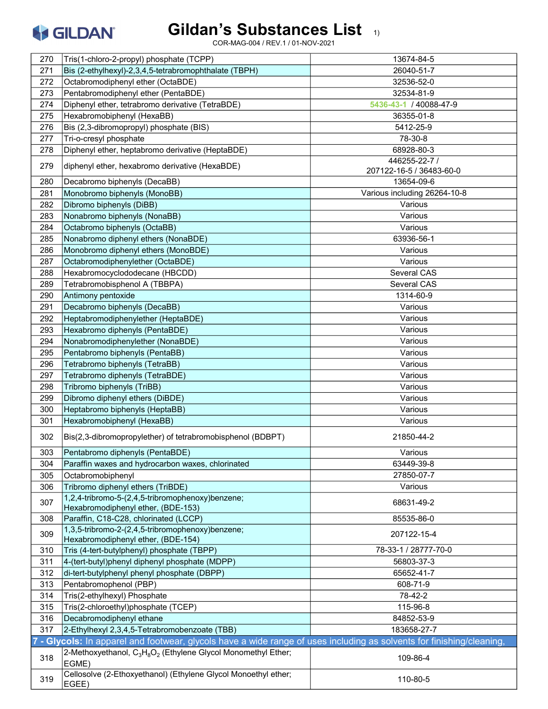

| 270 | Tris(1-chloro-2-propyl) phosphate (TCPP)                                                                            | 13674-84-5                   |
|-----|---------------------------------------------------------------------------------------------------------------------|------------------------------|
| 271 | Bis (2-ethylhexyl)-2,3,4,5-tetrabromophthalate (TBPH)                                                               | 26040-51-7                   |
| 272 | Octabromodiphenyl ether (OctaBDE)                                                                                   | 32536-52-0                   |
| 273 | Pentabromodiphenyl ether (PentaBDE)                                                                                 | 32534-81-9                   |
| 274 | Diphenyl ether, tetrabromo derivative (TetraBDE)                                                                    | 5436-43-1 / 40088-47-9       |
| 275 | Hexabromobiphenyl (HexaBB)                                                                                          | 36355-01-8                   |
| 276 | Bis (2,3-dibromopropyl) phosphate (BIS)                                                                             | 5412-25-9                    |
| 277 | Tri-o-cresyl phosphate                                                                                              | 78-30-8                      |
| 278 | Diphenyl ether, heptabromo derivative (HeptaBDE)                                                                    | 68928-80-3                   |
|     |                                                                                                                     | 446255-22-7 /                |
| 279 | diphenyl ether, hexabromo derivative (HexaBDE)                                                                      | 207122-16-5 / 36483-60-0     |
| 280 | Decabromo biphenyls (DecaBB)                                                                                        | 13654-09-6                   |
| 281 | Monobromo biphenyls (MonoBB)                                                                                        | Various including 26264-10-8 |
| 282 | Dibromo biphenyls (DiBB)                                                                                            | Various                      |
| 283 | Nonabromo biphenyls (NonaBB)                                                                                        | Various                      |
| 284 | Octabromo biphenyls (OctaBB)                                                                                        | Various                      |
| 285 | Nonabromo diphenyl ethers (NonaBDE)                                                                                 | 63936-56-1                   |
| 286 | Monobromo diphenyl ethers (MonoBDE)                                                                                 | Various                      |
| 287 | Octabromodiphenylether (OctaBDE)                                                                                    | Various                      |
| 288 | Hexabromocyclododecane (HBCDD)                                                                                      | Several CAS                  |
| 289 | Tetrabromobisphenol A (TBBPA)                                                                                       | Several CAS                  |
| 290 | Antimony pentoxide                                                                                                  | 1314-60-9                    |
| 291 | Decabromo biphenyls (DecaBB)                                                                                        | Various                      |
| 292 | Heptabromodiphenylether (HeptaBDE)                                                                                  | Various                      |
| 293 | Hexabromo diphenyls (PentaBDE)                                                                                      | Various                      |
| 294 | Nonabromodiphenylether (NonaBDE)                                                                                    | Various                      |
| 295 | Pentabromo biphenyls (PentaBB)                                                                                      | Various                      |
| 296 | Tetrabromo biphenyls (TetraBB)                                                                                      | Various                      |
| 297 | Tetrabromo diphenyls (TetraBDE)                                                                                     | Various                      |
| 298 | Tribromo biphenyls (TriBB)                                                                                          | Various                      |
| 299 | Dibromo diphenyl ethers (DiBDE)                                                                                     | Various                      |
| 300 | Heptabromo biphenyls (HeptaBB)                                                                                      | Various                      |
| 301 | Hexabromobiphenyl (HexaBB)                                                                                          | Various                      |
| 302 | Bis(2,3-dibromopropylether) of tetrabromobisphenol (BDBPT)                                                          | 21850-44-2                   |
| 303 | Pentabromo diphenyls (PentaBDE)                                                                                     | Various                      |
| 304 | Paraffin waxes and hydrocarbon waxes, chlorinated                                                                   | 63449-39-8                   |
| 305 | Octabromobiphenyl                                                                                                   | 27850-07-7                   |
| 306 | Tribromo diphenyl ethers (TriBDE)                                                                                   | Various                      |
| 307 | 1,2,4-tribromo-5-(2,4,5-tribromophenoxy)benzene;<br>Hexabromodiphenyl ether, (BDE-153)                              | 68631-49-2                   |
| 308 | Paraffin, C18-C28, chlorinated (LCCP)                                                                               | 85535-86-0                   |
| 309 | 1,3,5-tribromo-2-(2,4,5-tribromophenoxy)benzene;                                                                    | 207122-15-4                  |
|     | Hexabromodiphenyl ether, (BDE-154)                                                                                  | 78-33-1 / 28777-70-0         |
| 310 | Tris (4-tert-butylphenyl) phosphate (TBPP)                                                                          |                              |
| 311 | 4-(tert-butyl)phenyl diphenyl phosphate (MDPP)                                                                      | 56803-37-3                   |
| 312 | di-tert-butylphenyl phenyl phosphate (DBPP)                                                                         | 65652-41-7                   |
| 313 | Pentabromophenol (PBP)                                                                                              | 608-71-9                     |
| 314 | Tris(2-ethylhexyl) Phosphate                                                                                        | 78-42-2                      |
| 315 | Tris(2-chloroethyl)phosphate (TCEP)                                                                                 | 115-96-8                     |
| 316 | Decabromodiphenyl ethane                                                                                            | 84852-53-9                   |
| 317 | 2-Ethylhexyl 2,3,4,5-Tetrabromobenzoate (TBB)                                                                       | 183658-27-7                  |
|     | - Glycols: In apparel and footwear, glycols have a wide range of uses including as solvents for finishing/cleaning, |                              |
| 318 | 2-Methoxyethanol, $C_3H_8O_2$ (Ethylene Glycol Monomethyl Ether;<br>EGME)                                           | 109-86-4                     |
| 319 | Cellosolve (2-Ethoxyethanol) (Ethylene Glycol Monoethyl ether;<br>EGEE)                                             | 110-80-5                     |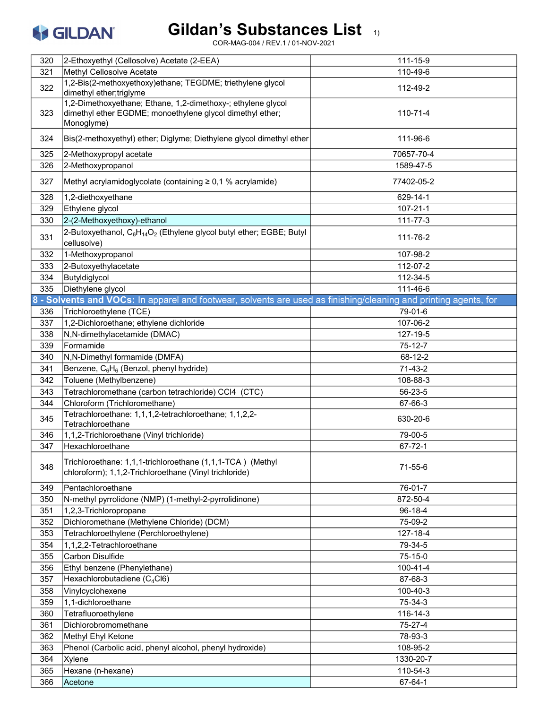

| 320 | 2-Ethoxyethyl (Cellosolve) Acetate (2-EEA)                                                                                              | 111-15-9       |
|-----|-----------------------------------------------------------------------------------------------------------------------------------------|----------------|
| 321 | Methyl Cellosolve Acetate                                                                                                               | 110-49-6       |
| 322 | 1,2-Bis(2-methoxyethoxy)ethane; TEGDME; triethylene glycol<br>dimethyl ether;triglyme                                                   | 112-49-2       |
| 323 | 1,2-Dimethoxyethane; Ethane, 1,2-dimethoxy-; ethylene glycol<br>dimethyl ether EGDME; monoethylene glycol dimethyl ether;<br>Monoglyme) | 110-71-4       |
| 324 | Bis(2-methoxyethyl) ether; Diglyme; Diethylene glycol dimethyl ether                                                                    | 111-96-6       |
| 325 | 2-Methoxypropyl acetate                                                                                                                 | 70657-70-4     |
| 326 | 2-Methoxypropanol                                                                                                                       | 1589-47-5      |
| 327 | Methyl acrylamidoglycolate (containing $\geq 0.1$ % acrylamide)                                                                         | 77402-05-2     |
| 328 | 1,2-diethoxyethane                                                                                                                      | 629-14-1       |
| 329 | Ethylene glycol                                                                                                                         | $107 - 21 - 1$ |
| 330 | 2-(2-Methoxyethoxy)-ethanol                                                                                                             | 111-77-3       |
| 331 | 2-Butoxyethanol, $C_6H_{14}O_2$ (Ethylene glycol butyl ether; EGBE; Butyl<br>cellusolve)                                                | 111-76-2       |
| 332 | 1-Methoxypropanol                                                                                                                       | 107-98-2       |
| 333 | 2-Butoxyethylacetate                                                                                                                    | 112-07-2       |
| 334 | Butyldiglycol                                                                                                                           | 112-34-5       |
| 335 | Diethylene glycol                                                                                                                       | 111-46-6       |
|     | 8 - Solvents and VOCs: In apparel and footwear, solvents are used as finishing/cleaning and printing agents, for                        |                |
| 336 | Trichloroethylene (TCE)                                                                                                                 | 79-01-6        |
| 337 | 1,2-Dichloroethane; ethylene dichloride                                                                                                 | 107-06-2       |
| 338 | N,N-dimethylacetamide (DMAC)                                                                                                            | 127-19-5       |
| 339 | Formamide                                                                                                                               | $75 - 12 - 7$  |
| 340 | N, N-Dimethyl formamide (DMFA)                                                                                                          | 68-12-2        |
| 341 | Benzene, C <sub>6</sub> H <sub>6</sub> (Benzol, phenyl hydride)                                                                         | 71-43-2        |
| 342 | Toluene (Methylbenzene)                                                                                                                 | 108-88-3       |
| 343 | Tetrachloromethane (carbon tetrachloride) CCl4 (CTC)                                                                                    | 56-23-5        |
| 344 | Chloroform (Trichloromethane)                                                                                                           | 67-66-3        |
| 345 | Tetrachloroethane: 1,1,1,2-tetrachloroethane; 1,1,2,2-<br>Tetrachloroethane                                                             | 630-20-6       |
| 346 | 1,1,2-Trichloroethane (Vinyl trichloride)                                                                                               | 79-00-5        |
| 347 | Hexachloroethane                                                                                                                        | $67 - 72 - 1$  |
| 348 | Trichloroethane: 1,1,1-trichloroethane (1,1,1-TCA) (Methyl<br>chloroform); 1,1,2-Trichloroethane (Vinyl trichloride)                    | 71-55-6        |
| 349 | Pentachloroethane                                                                                                                       | 76-01-7        |
| 350 | N-methyl pyrrolidone (NMP) (1-methyl-2-pyrrolidinone)                                                                                   | 872-50-4       |
| 351 | 1,2,3-Trichloropropane                                                                                                                  | $96 - 18 - 4$  |
| 352 | Dichloromethane (Methylene Chloride) (DCM)                                                                                              | 75-09-2        |
| 353 | Tetrachloroethylene (Perchloroethylene)                                                                                                 | 127-18-4       |
| 354 | 1,1,2,2-Tetrachloroethane                                                                                                               | 79-34-5        |
| 355 | Carbon Disulfide                                                                                                                        | $75 - 15 - 0$  |
| 356 | Ethyl benzene (Phenylethane)                                                                                                            | 100-41-4       |
| 357 | Hexachlorobutadiene (C <sub>4</sub> Cl6)                                                                                                | 87-68-3        |
| 358 | Vinylcyclohexene                                                                                                                        | 100-40-3       |
| 359 | 1,1-dichloroethane                                                                                                                      | 75-34-3        |
| 360 | Tetrafluoroethylene                                                                                                                     | 116-14-3       |
| 361 | Dichlorobromomethane                                                                                                                    | 75-27-4        |
| 362 | Methyl Ehyl Ketone                                                                                                                      | 78-93-3        |
| 363 | Phenol (Carbolic acid, phenyl alcohol, phenyl hydroxide)                                                                                | 108-95-2       |
| 364 | Xylene                                                                                                                                  | 1330-20-7      |
| 365 | Hexane (n-hexane)                                                                                                                       | 110-54-3       |
| 366 | Acetone                                                                                                                                 | 67-64-1        |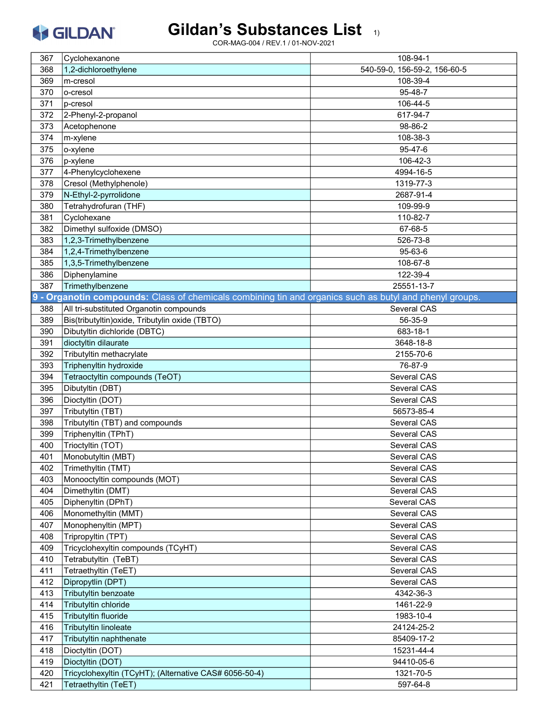# Gildan's Substances List 1)

| 367 | Cyclohexanone                                                                                           | 108-94-1                     |
|-----|---------------------------------------------------------------------------------------------------------|------------------------------|
| 368 | 1,2-dichloroethylene                                                                                    | 540-59-0, 156-59-2, 156-60-5 |
| 369 | m-cresol                                                                                                | 108-39-4                     |
| 370 | lo-cresol                                                                                               | 95-48-7                      |
| 371 | p-cresol                                                                                                | 106-44-5                     |
| 372 | 2-Phenyl-2-propanol                                                                                     | 617-94-7                     |
| 373 | Acetophenone                                                                                            | 98-86-2                      |
| 374 | m-xylene                                                                                                | 108-38-3                     |
| 375 | o-xylene                                                                                                | 95-47-6                      |
| 376 | p-xylene                                                                                                | 106-42-3                     |
| 377 | 4-Phenylcyclohexene                                                                                     | 4994-16-5                    |
| 378 | Cresol (Methylphenole)                                                                                  | 1319-77-3                    |
| 379 | N-Ethyl-2-pyrrolidone                                                                                   | 2687-91-4                    |
| 380 | Tetrahydrofuran (THF)                                                                                   | 109-99-9                     |
| 381 | Cyclohexane                                                                                             | 110-82-7                     |
| 382 | Dimethyl sulfoxide (DMSO)                                                                               | 67-68-5                      |
| 383 | 1,2,3-Trimethylbenzene                                                                                  | 526-73-8                     |
| 384 | 1,2,4-Trimethylbenzene                                                                                  | 95-63-6                      |
| 385 | 1,3,5-Trimethylbenzene                                                                                  | 108-67-8                     |
| 386 | Diphenylamine                                                                                           | 122-39-4                     |
| 387 | Trimethylbenzene                                                                                        | 25551-13-7                   |
|     | 9 - Organotin compounds: Class of chemicals combining tin and organics such as butyl and phenyl groups. |                              |
| 388 | All tri-substituted Organotin compounds                                                                 | Several CAS                  |
| 389 | Bis(tributyltin) oxide, Tributylin oxide (TBTO)                                                         | 56-35-9                      |
| 390 | Dibutyltin dichloride (DBTC)                                                                            | 683-18-1                     |
| 391 | dioctyltin dilaurate                                                                                    | 3648-18-8                    |
| 392 | Tributyltin methacrylate                                                                                | 2155-70-6                    |
| 393 | Triphenyltin hydroxide                                                                                  | 76-87-9                      |
| 394 | Tetraoctyltin compounds (TeOT)                                                                          | Several CAS                  |
| 395 | Dibutyltin (DBT)                                                                                        | Several CAS                  |
| 396 | Dioctyltin (DOT)                                                                                        | Several CAS                  |
| 397 | Tributyltin (TBT)                                                                                       | 56573-85-4                   |
| 398 | Tributyltin (TBT) and compounds                                                                         | Several CAS                  |
| 399 | Triphenyltin (TPhT)                                                                                     | Several CAS                  |
| 400 | Trioctyltin (TOT)                                                                                       | Several CAS                  |
| 401 | Monobutyltin (MBT)                                                                                      | Several CAS                  |
| 402 | Trimethyltin (TMT)                                                                                      | Several CAS                  |
| 403 | Monooctyltin compounds (MOT)                                                                            | Several CAS                  |
| 404 | Dimethyltin (DMT)                                                                                       | Several CAS                  |
| 405 | Diphenyltin (DPhT)                                                                                      | Several CAS                  |
| 406 | Monomethyltin (MMT)                                                                                     | Several CAS                  |
| 407 | Monophenyltin (MPT)                                                                                     | Several CAS                  |
| 408 | Tripropyltin (TPT)                                                                                      | Several CAS                  |
| 409 | Tricyclohexyltin compounds (TCyHT)                                                                      | Several CAS                  |
| 410 | Tetrabutyltin (TeBT)                                                                                    | Several CAS                  |
| 411 | Tetraethyltin (TeET)                                                                                    | Several CAS                  |
| 412 | Dipropytlin (DPT)                                                                                       | Several CAS                  |
| 413 | Tributyltin benzoate                                                                                    | 4342-36-3                    |
| 414 | Tributyltin chloride                                                                                    | 1461-22-9                    |
| 415 | Tributyltin fluoride                                                                                    | 1983-10-4                    |
| 416 | Tributyltin linoleate                                                                                   | 24124-25-2                   |
| 417 | Tributyltin naphthenate                                                                                 | 85409-17-2                   |
| 418 | Dioctyltin (DOT)                                                                                        | 15231-44-4                   |
| 419 | Dioctyltin (DOT)                                                                                        | 94410-05-6                   |
| 420 | Tricyclohexyltin (TCyHT); (Alternative CAS# 6056-50-4)                                                  | 1321-70-5                    |
| 421 | Tetraethyltin (TeET)                                                                                    | 597-64-8                     |
|     |                                                                                                         |                              |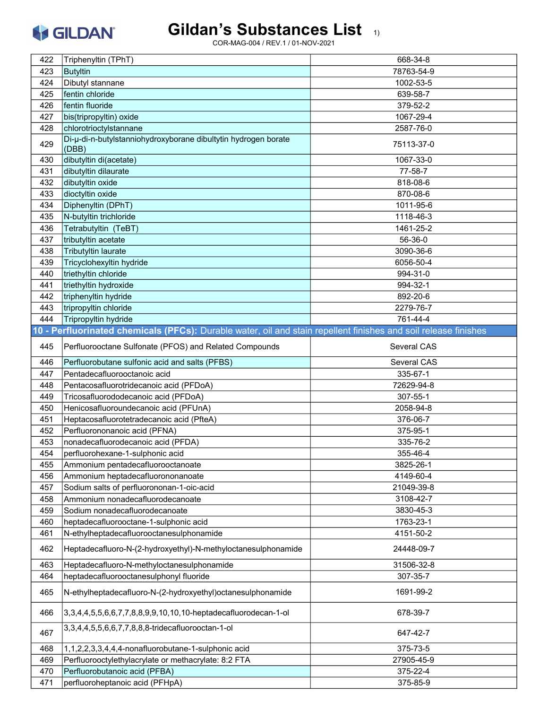#### Gildan's Substances List 1)

| 422        | Triphenyltin (TPhT)                                                                                             | 668-34-8             |
|------------|-----------------------------------------------------------------------------------------------------------------|----------------------|
| 423        | <b>Butyltin</b>                                                                                                 | 78763-54-9           |
|            | Dibutyl stannane                                                                                                | 1002-53-5            |
| 424        |                                                                                                                 |                      |
| 425        | fentin chloride                                                                                                 | 639-58-7             |
| 426        | fentin fluoride                                                                                                 | 379-52-2             |
| 427        | bis(tripropyltin) oxide                                                                                         | 1067-29-4            |
| 428        | chlorotrioctylstannane                                                                                          | 2587-76-0            |
| 429        | Di-µ-di-n-butylstanniohydroxyborane dibultytin hydrogen borate<br>(DBB)                                         | 75113-37-0           |
| 430        | dibutyltin di(acetate)                                                                                          | 1067-33-0            |
| 431        | dibutyltin dilaurate                                                                                            | 77-58-7              |
| 432        | dibutyltin oxide                                                                                                | 818-08-6             |
| 433        | dioctyltin oxide                                                                                                | 870-08-6             |
| 434        | Diphenyltin (DPhT)                                                                                              | 1011-95-6            |
| 435        | N-butyltin trichloride                                                                                          | 1118-46-3            |
| 436        | Tetrabutyltin (TeBT)                                                                                            | 1461-25-2            |
| 437        | tributyltin acetate                                                                                             | 56-36-0              |
| 438        | Tributyltin laurate                                                                                             | 3090-36-6            |
| 439        | Tricyclohexyltin hydride                                                                                        | 6056-50-4            |
| 440        | triethyltin chloride                                                                                            | 994-31-0             |
| 441        | triethyltin hydroxide                                                                                           | 994-32-1             |
| 442        | triphenyltin hydride                                                                                            | 892-20-6             |
| 443        | tripropyltin chloride                                                                                           | 2279-76-7            |
| 444        | Tripropyltin hydride                                                                                            | 761-44-4             |
|            | 10 - Perfluorinated chemicals (PFCs): Durable water, oil and stain repellent finishes and soil release finishes |                      |
| 445        | Perfluorooctane Sulfonate (PFOS) and Related Compounds                                                          | Several CAS          |
| 446        | Perfluorobutane sulfonic acid and salts (PFBS)                                                                  | Several CAS          |
| 447        | Pentadecafluorooctanoic acid                                                                                    | 335-67-1             |
| 448        | Pentacosafluorotridecanoic acid (PFDoA)                                                                         | 72629-94-8           |
|            | Tricosafluorododecanoic acid (PFDoA)                                                                            | 307-55-1             |
| 449        |                                                                                                                 |                      |
| 450        | Henicosafluoroundecanoic acid (PFUnA)                                                                           | 2058-94-8            |
| 451        | Heptacosafluorotetradecanoic acid (PfteA)                                                                       | 376-06-7             |
| 452        | Perfluorononanoic acid (PFNA)                                                                                   | 375-95-1             |
| 453        | nonadecafluorodecanoic acid (PFDA)                                                                              | 335-76-2             |
| 454        | perfluorohexane-1-sulphonic acid                                                                                | 355-46-4             |
| 455        | Ammonium pentadecafluorooctanoate                                                                               | 3825-26-1            |
| 456        | Ammonium heptadecafluorononanoate                                                                               | 4149-60-4            |
| 457        | Sodium salts of perfluorononan-1-oic-acid                                                                       | 21049-39-8           |
| 458        | Ammonium nonadecafluorodecanoate                                                                                | 3108-42-7            |
| 459        | Sodium nonadecafluorodecanoate                                                                                  | 3830-45-3            |
| 460        | heptadecafluorooctane-1-sulphonic acid                                                                          | 1763-23-1            |
| 461        | N-ethylheptadecafluorooctanesulphonamide                                                                        | 4151-50-2            |
| 462        | Heptadecafluoro-N-(2-hydroxyethyl)-N-methyloctanesulphonamide                                                   | 24448-09-7           |
| 463        | Heptadecafluoro-N-methyloctanesulphonamide                                                                      | 31506-32-8           |
| 464        | heptadecafluorooctanesulphonyl fluoride                                                                         | 307-35-7             |
| 465        |                                                                                                                 |                      |
|            | N-ethylheptadecafluoro-N-(2-hydroxyethyl) octanesulphonamide                                                    | 1691-99-2            |
| 466        | 3,3,4,4,5,5,6,6,7,7,8,8,9,9,10,10,10-heptadecafluorodecan-1-ol                                                  | 678-39-7             |
| 467        | 3,3,4,4,5,5,6,6,7,7,8,8,8-tridecafluorooctan-1-ol                                                               | 647-42-7             |
|            |                                                                                                                 |                      |
| 468        | 1,1,2,2,3,3,4,4,4-nonafluorobutane-1-sulphonic acid                                                             | 375-73-5             |
| 469        | Perfluorooctylethylacrylate or methacrylate: 8:2 FTA                                                            | 27905-45-9           |
| 470<br>471 | Perfluorobutanoic acid (PFBA)<br>perfluoroheptanoic acid (PFHpA)                                                | 375-22-4<br>375-85-9 |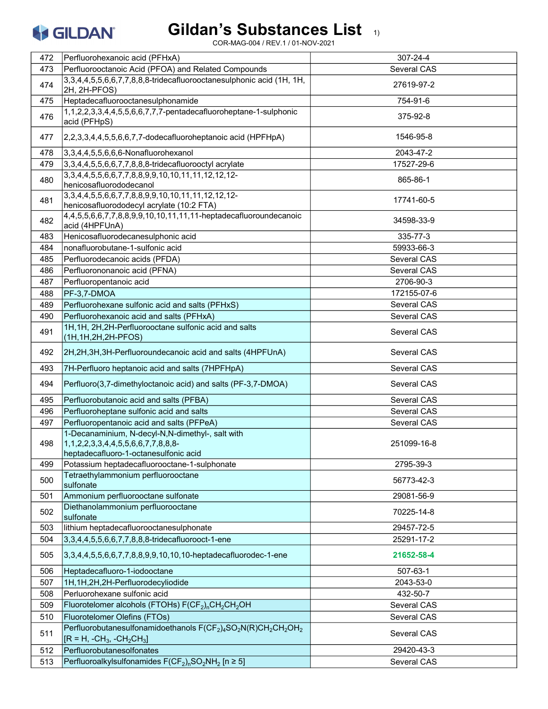# Gildan's Substances List 1)

| 472 | Perfluorohexanoic acid (PFHxA)                                                                                                                                       | 307-24-4    |
|-----|----------------------------------------------------------------------------------------------------------------------------------------------------------------------|-------------|
| 473 | Perfluorooctanoic Acid (PFOA) and Related Compounds                                                                                                                  | Several CAS |
| 474 | 3,3,4,4,5,5,6,6,7,7,8,8,8-tridecafluorooctanesulphonic acid (1H, 1H,<br>2H, 2H-PFOS)                                                                                 | 27619-97-2  |
| 475 | Heptadecafluorooctanesulphonamide                                                                                                                                    | 754-91-6    |
| 476 | 1,1,2,2,3,3,4,4,5,5,6,6,7,7,7-pentadecafluoroheptane-1-sulphonic<br>acid (PFHpS)                                                                                     | 375-92-8    |
| 477 | 2,2,3,3,4,4,5,5,6,6,7,7-dodecafluoroheptanoic acid (HPFHpA)                                                                                                          | 1546-95-8   |
| 478 | 3,3,4,4,5,5,6,6,6-Nonafluorohexanol                                                                                                                                  | 2043-47-2   |
| 479 | 3,3,4,4,5,5,6,6,7,7,8,8,8-tridecafluorooctyl acrylate                                                                                                                | 17527-29-6  |
| 480 | 3, 3, 4, 4, 5, 5, 6, 6, 7, 7, 8, 8, 9, 9, 10, 10, 11, 11, 12, 12, 12-<br>henicosafluorododecanol                                                                     | 865-86-1    |
| 481 | 3, 3, 4, 4, 5, 5, 6, 6, 7, 7, 8, 8, 9, 9, 10, 10, 11, 11, 12, 12, 12-<br>henicosafluorododecyl acrylate (10:2 FTA)                                                   | 17741-60-5  |
| 482 | 4,4,5,5,6,6,7,7,8,8,9,9,10,10,11,11,11-heptadecafluoroundecanoic<br>acid (4HPFUnA)                                                                                   | 34598-33-9  |
| 483 | Henicosafluorodecanesulphonic acid                                                                                                                                   | 335-77-3    |
| 484 | nonafluorobutane-1-sulfonic acid                                                                                                                                     | 59933-66-3  |
| 485 | Perfluorodecanoic acids (PFDA)                                                                                                                                       | Several CAS |
| 486 | Perfluorononanoic acid (PFNA)                                                                                                                                        | Several CAS |
| 487 | Perfluoropentanoic acid                                                                                                                                              | 2706-90-3   |
| 488 | PF-3,7-DMOA                                                                                                                                                          | 172155-07-6 |
| 489 | Perfluorohexane sulfonic acid and salts (PFHxS)                                                                                                                      | Several CAS |
| 490 | Perfluorohexanoic acid and salts (PFHxA)                                                                                                                             | Several CAS |
| 491 | 1H, 1H, 2H, 2H-Perfluorooctane sulfonic acid and salts<br>(1H, 1H, 2H, 2H-PFOS)                                                                                      | Several CAS |
| 492 | 2H, 2H, 3H, 3H-Perfluoroundecanoic acid and salts (4HPFUnA)                                                                                                          | Several CAS |
| 493 | 7H-Perfluoro heptanoic acid and salts (7HPFHpA)                                                                                                                      | Several CAS |
| 494 | Perfluoro(3,7-dimethyloctanoic acid) and salts (PF-3,7-DMOA)                                                                                                         | Several CAS |
| 495 | Perfluorobutanoic acid and salts (PFBA)                                                                                                                              | Several CAS |
| 496 | Perfluoroheptane sulfonic acid and salts                                                                                                                             | Several CAS |
| 497 | Perfluoropentanoic acid and salts (PFPeA)                                                                                                                            | Several CAS |
| 498 | 1-Decanaminium, N-decyl-N,N-dimethyl-, salt with<br>1, 1, 2, 2, 3, 3, 4, 4, 5, 5, 6, 6, 7, 7, 8, 8, 8-<br>heptadecafluoro-1-octanesulfonic acid                      | 251099-16-8 |
| 499 | Potassium heptadecafluorooctane-1-sulphonate                                                                                                                         | 2795-39-3   |
| 500 | Tetraethylammonium perfluorooctane<br>sulfonate                                                                                                                      | 56773-42-3  |
| 501 | Ammonium perfluorooctane sulfonate                                                                                                                                   | 29081-56-9  |
| 502 | Diethanolammonium perfluorooctane<br>sulfonate                                                                                                                       | 70225-14-8  |
| 503 | lithium heptadecafluorooctanesulphonate                                                                                                                              | 29457-72-5  |
| 504 | 3,3,4,4,5,5,6,6,7,7,8,8,8-tridecafluorooct-1-ene                                                                                                                     | 25291-17-2  |
| 505 | 3,3,4,4,5,5,6,6,7,7,8,8,9,9,10,10,10-heptadecafluorodec-1-ene                                                                                                        | 21652-58-4  |
| 506 | Heptadecafluoro-1-iodooctane                                                                                                                                         | 507-63-1    |
| 507 | 1H, 1H, 2H, 2H-Perfluorodecyliodide                                                                                                                                  | 2043-53-0   |
| 508 | Perluorohexane sulfonic acid                                                                                                                                         | 432-50-7    |
| 509 | Fluorotelomer alcohols (FTOHs) F(CF <sub>2</sub> ) <sub>n</sub> CH <sub>2</sub> CH <sub>2</sub> OH                                                                   | Several CAS |
| 510 | <b>Fluorotelomer Olefins (FTOs)</b>                                                                                                                                  | Several CAS |
| 511 | Perfluorobutanesulfonamidoethanols F(CF <sub>2</sub> ) <sub>4</sub> SO <sub>2</sub> N(R)CH <sub>2</sub> CH <sub>2</sub> OH <sub>2</sub><br>$[IR = H, -CH3, -CH2CH3]$ | Several CAS |
| 512 | Perfluorobutanesolfonates                                                                                                                                            | 29420-43-3  |
| 513 | Perfluoroalkylsulfonamides $F(CF_2)_nSO_2NH_2$ [n ≥ 5]                                                                                                               | Several CAS |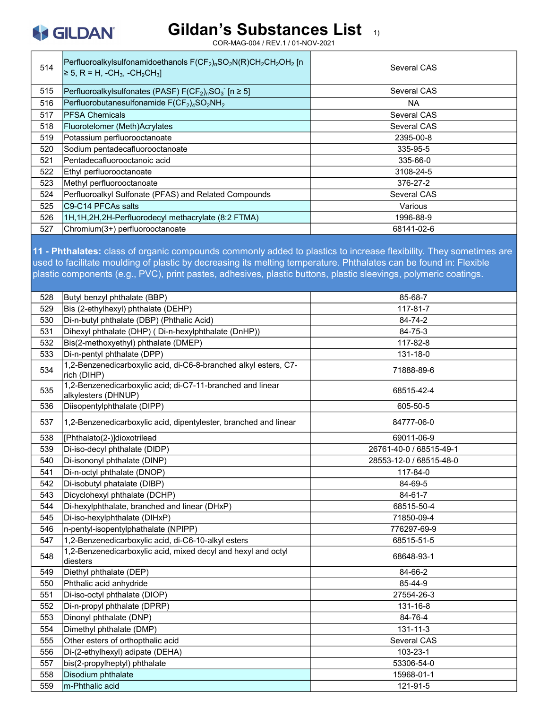

COR-MAG-004 / REV.1 / 01-NOV-2021

| 514 | Perfluoroalkylsulfonamidoethanols $F(CF_2)_nSO_2N(R)CH_2CH_2OH_2$ [n<br>$\ge$ 5, R = H, -CH <sub>3</sub> , -CH <sub>2</sub> CH <sub>3</sub> ] | Several CAS |
|-----|-----------------------------------------------------------------------------------------------------------------------------------------------|-------------|
| 515 | Perfluoroalkylsulfonates (PASF) $F(CF_2)_nSO_3$ [n $\geq 5$ ]                                                                                 | Several CAS |
| 516 | Perfluorobutanesulfonamide $F(CF_2)_4SO_2NH_2$                                                                                                | <b>NA</b>   |
| 517 | <b>IPFSA Chemicals</b>                                                                                                                        | Several CAS |
| 518 | Fluorotelomer (Meth)Acrylates                                                                                                                 | Several CAS |
| 519 | Potassium perfluorooctanoate                                                                                                                  | 2395-00-8   |
| 520 | Sodium pentadecafluorooctanoate                                                                                                               | 335-95-5    |
| 521 | Pentadecafluorooctanoic acid                                                                                                                  | 335-66-0    |
| 522 | Ethyl perfluorooctanoate                                                                                                                      | 3108-24-5   |
| 523 | Methyl perfluorooctanoate                                                                                                                     | 376-27-2    |
| 524 | Perfluoroalkyl Sulfonate (PFAS) and Related Compounds                                                                                         | Several CAS |
| 525 | C9-C14 PFCAs salts                                                                                                                            | Various     |
| 526 | 1H, 1H, 2H, 2H-Perfluorodecyl methacrylate (8:2 FTMA)                                                                                         | 1996-88-9   |
| 527 | Chromium(3+) perfluorooctanoate                                                                                                               | 68141-02-6  |

11 - Phthalates: class of organic compounds commonly added to plastics to increase flexibility. They sometimes are used to facilitate moulding of plastic by decreasing its melting temperature. Phthalates can be found in: Flexible plastic components (e.g., PVC), print pastes, adhesives, plastic buttons, plastic sleevings, polymeric coatings.

| 528 | Butyl benzyl phthalate (BBP)                                                      | 85-68-7                 |
|-----|-----------------------------------------------------------------------------------|-------------------------|
| 529 | Bis (2-ethylhexyl) phthalate (DEHP)                                               | 117-81-7                |
| 530 | Di-n-butyl phthalate (DBP) (Phthalic Acid)                                        | 84-74-2                 |
| 531 | Dihexyl phthalate (DHP) (Di-n-hexylphthalate (DnHP))                              | 84-75-3                 |
| 532 | Bis(2-methoxyethyl) phthalate (DMEP)                                              | 117-82-8                |
| 533 | Di-n-pentyl phthalate (DPP)                                                       | 131-18-0                |
| 534 | 1,2-Benzenedicarboxylic acid, di-C6-8-branched alkyl esters, C7-<br>rich (DIHP)   | 71888-89-6              |
| 535 | 1,2-Benzenedicarboxylic acid; di-C7-11-branched and linear<br>alkylesters (DHNUP) | 68515-42-4              |
| 536 | Diisopentylphthalate (DIPP)                                                       | 605-50-5                |
| 537 | 1,2-Benzenedicarboxylic acid, dipentylester, branched and linear                  | 84777-06-0              |
| 538 | [Phthalato(2-)]dioxotrilead                                                       | 69011-06-9              |
| 539 | Di-iso-decyl phthalate (DIDP)                                                     | 26761-40-0 / 68515-49-1 |
| 540 | Di-isononyl phthalate (DINP)                                                      | 28553-12-0 / 68515-48-0 |
| 541 | Di-n-octyl phthalate (DNOP)                                                       | 117-84-0                |
| 542 | Di-isobutyl phatalate (DIBP)                                                      | 84-69-5                 |
| 543 | Dicyclohexyl phthalate (DCHP)                                                     | $84-61-7$               |
| 544 | Di-hexylphthalate, branched and linear (DHxP)                                     | 68515-50-4              |
| 545 | Di-iso-hexylphthalate (DIHxP)                                                     | 71850-09-4              |
| 546 | n-pentyl-isopentylphathalate (NPIPP)                                              | 776297-69-9             |
| 547 | 1,2-Benzenedicarboxylic acid, di-C6-10-alkyl esters                               | 68515-51-5              |
| 548 | 1,2-Benzenedicarboxylic acid, mixed decyl and hexyl and octyl<br>diesters         | 68648-93-1              |
| 549 | Diethyl phthalate (DEP)                                                           | 84-66-2                 |
| 550 | Phthalic acid anhydride                                                           | 85-44-9                 |
| 551 | Di-iso-octyl phthalate (DIOP)                                                     | 27554-26-3              |
| 552 | Di-n-propyl phthalate (DPRP)                                                      | 131-16-8                |
| 553 | Dinonyl phthalate (DNP)                                                           | 84-76-4                 |
| 554 | Dimethyl phthalate (DMP)                                                          | 131-11-3                |
| 555 | Other esters of orthopthalic acid                                                 | Several CAS             |
| 556 | Di-(2-ethylhexyl) adipate (DEHA)                                                  | 103-23-1                |
| 557 | bis(2-propylheptyl) phthalate                                                     | 53306-54-0              |
| 558 | Disodium phthalate                                                                | 15968-01-1              |
| 559 | m-Phthalic acid                                                                   | 121-91-5                |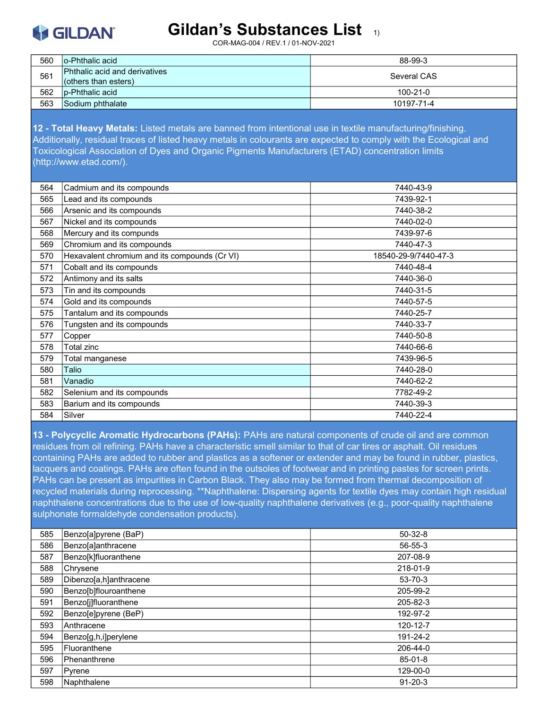**KGILDAN** 

COR-MAG-004 / REV.1 / 01-NOV-2021

| 560 | lo-Phthalic acid                                                 | 88-99-3        |
|-----|------------------------------------------------------------------|----------------|
| 561 | <b>Phthalic acid and derivatives</b><br>$ $ (others than esters) | Several CAS    |
| 562 | p-Phthalic acid                                                  | $100 - 21 - 0$ |
| 563 | Sodium phthalate                                                 | 10197-71-4     |

12 - Total Heavy Metals: Listed metals are banned from intentional use in textile manufacturing/finishing. Additionally, residual traces of listed heavy metals in colourants are expected to comply with the Ecological and Toxicological Association of Dyes and Organic Pigments Manufacturers (ETAD) concentration limits (http://www.etad.com/).

| 564 | Cadmium and its compounds                     | 7440-43-9            |
|-----|-----------------------------------------------|----------------------|
| 565 | Lead and its compounds                        | 7439-92-1            |
| 566 | Arsenic and its compounds                     | 7440-38-2            |
| 567 | Nickel and its compounds                      | 7440-02-0            |
| 568 | Mercury and its compunds                      | 7439-97-6            |
| 569 | Chromium and its compounds                    | 7440-47-3            |
| 570 | Hexavalent chromium and its compounds (Cr VI) | 18540-29-9/7440-47-3 |
| 571 | Cobalt and its compounds                      | 7440-48-4            |
| 572 | Antimony and its salts                        | 7440-36-0            |
| 573 | Tin and its compounds                         | 7440-31-5            |
| 574 | Gold and its compounds                        | 7440-57-5            |
| 575 | Tantalum and its compounds                    | 7440-25-7            |
| 576 | Tungsten and its compounds                    | 7440-33-7            |
| 577 | Copper                                        | 7440-50-8            |
| 578 | Total zinc                                    | 7440-66-6            |
| 579 | Total manganese                               | 7439-96-5            |
| 580 | Talio                                         | 7440-28-0            |
| 581 | Vanadio                                       | 7440-62-2            |
| 582 | Selenium and its compounds                    | 7782-49-2            |
| 583 | Barium and its compounds                      | 7440-39-3            |
| 584 | Silver                                        | 7440-22-4            |
|     |                                               |                      |

13 - Polycyclic Aromatic Hydrocarbons (PAHs): PAHs are natural components of crude oil and are common residues from oil refining. PAHs have a characteristic smell similar to that of car tires or asphalt. Oil residues containing PAHs are added to rubber and plastics as a softener or extender and may be found in rubber, plastics, lacquers and coatings. PAHs are often found in the outsoles of footwear and in printing pastes for screen prints. PAHs can be present as impurities in Carbon Black. They also may be formed from thermal decomposition of recycled materials during reprocessing. \*\*Naphthalene: Dispersing agents for textile dyes may contain high residual naphthalene concentrations due to the use of low-quality naphthalene derivatives (e.g., poor-quality naphthalene sulphonate formaldehyde condensation products).

| 585 | Benzo[a]pyrene (BaP)   | $50-32-8$     |
|-----|------------------------|---------------|
| 586 | Benzo[a]anthracene     | 56-55-3       |
| 587 | Benzo[k]fluoranthene   | 207-08-9      |
| 588 | Chrysene               | 218-01-9      |
| 589 | Dibenzo[a,h]anthracene | $53 - 70 - 3$ |
| 590 | Benzo[b]flouroanthene  | 205-99-2      |
| 591 | Benzo[j]fluoranthene   | 205-82-3      |
| 592 | Benzo[e]pyrene (BeP)   | 192-97-2      |
| 593 | lAnthracene            | 120-12-7      |
| 594 | Benzo[g,h,i]perylene   | 191-24-2      |
| 595 | Fluoranthene           | 206-44-0      |
| 596 | <b>Phenanthrene</b>    | $85 - 01 - 8$ |
| 597 | Pyrene                 | 129-00-0      |
| 598 | Naphthalene            | $91 - 20 - 3$ |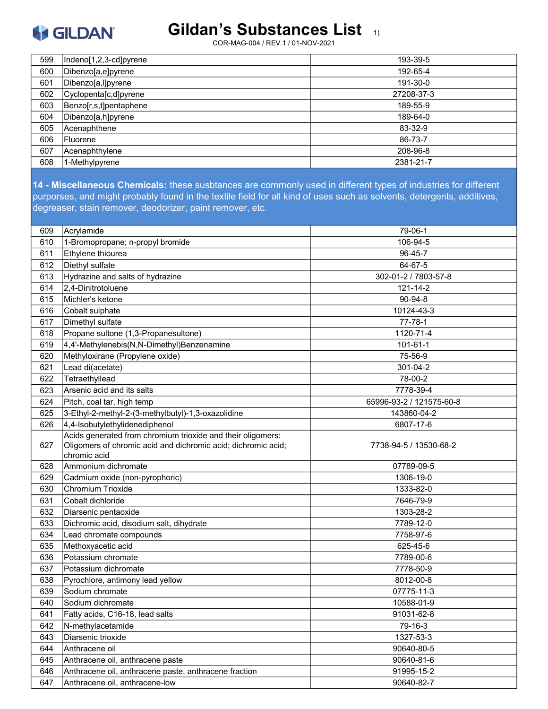# S GILDAN®

#### Gildan's Substances List 1)

COR-MAG-004 / REV.1 / 01-NOV-2021

| 599 | Indeno[1,2,3-cd]pyrene | 193-39-5   |
|-----|------------------------|------------|
| 600 | Dibenzo[a,e]pyrene     | 192-65-4   |
| 601 | Dibenzo[a,l]pyrene     | 191-30-0   |
| 602 | Cyclopenta[c,d]pyrene  | 27208-37-3 |
| 603 | Benzo[r,s,t]pentaphene | 189-55-9   |
| 604 | Dibenzo[a,h]pyrene     | 189-64-0   |
| 605 | Acenaphthene           | 83-32-9    |
| 606 | Fluorene               | 86-73-7    |
| 607 | Acenaphthylene         | 208-96-8   |
| 608 | 1-Methylpyrene         | 2381-21-7  |

14 - Miscellaneous Chemicals: these susbtances are commonly used in different types of industries for different purporses, and might probably found in the textile field for all kind of uses such as solvents, detergents, additives, degreaser, stain remover, deodorizer, paint remover, etc.

| 609 | Acrylamide                                                    | 79-06-1                  |
|-----|---------------------------------------------------------------|--------------------------|
| 610 | 1-Bromopropane; n-propyl bromide                              | 106-94-5                 |
| 611 | Ethylene thiourea                                             | $96 - 45 - 7$            |
| 612 | Diethyl sulfate                                               | 64-67-5                  |
| 613 | Hydrazine and salts of hydrazine                              | 302-01-2 / 7803-57-8     |
| 614 | 2.4-Dinitrotoluene                                            | 121-14-2                 |
| 615 | Michler's ketone                                              | $90 - 94 - 8$            |
| 616 | Cobalt sulphate                                               | 10124-43-3               |
| 617 | Dimethyl sulfate                                              | $77 - 78 - 1$            |
| 618 | Propane sultone (1,3-Propanesultone)                          | 1120-71-4                |
| 619 | 4,4'-Methylenebis(N,N-Dimethyl)Benzenamine                    | 101-61-1                 |
| 620 | Methyloxirane (Propylene oxide)                               | 75-56-9                  |
| 621 | Lead di(acetate)                                              | 301-04-2                 |
| 622 | Tetraethyllead                                                | 78-00-2                  |
| 623 | Arsenic acid and its salts                                    | 7778-39-4                |
| 624 | Pitch, coal tar, high temp                                    | 65996-93-2 / 121575-60-8 |
| 625 | 3-Ethyl-2-methyl-2-(3-methylbutyl)-1,3-oxazolidine            | 143860-04-2              |
| 626 | 4,4-Isobutylethylidenediphenol                                | 6807-17-6                |
|     | Acids generated from chromium trioxide and their oligomers:   |                          |
| 627 | Oligomers of chromic acid and dichromic acid; dichromic acid; | 7738-94-5 / 13530-68-2   |
|     | chromic acid                                                  |                          |
| 628 | Ammonium dichromate                                           | 07789-09-5               |
| 629 | Cadmium oxide (non-pyrophoric)                                | 1306-19-0                |
| 630 | Chromium Trioxide                                             | 1333-82-0                |
| 631 | Cobalt dichloride                                             | 7646-79-9                |
| 632 | Diarsenic pentaoxide                                          | 1303-28-2                |
| 633 | Dichromic acid, disodium salt, dihydrate                      | 7789-12-0                |
| 634 | Lead chromate compounds                                       | 7758-97-6                |
| 635 | Methoxyacetic acid                                            | 625-45-6                 |
| 636 | Potassium chromate                                            | 7789-00-6                |
| 637 | Potassium dichromate                                          | 7778-50-9                |
| 638 | Pyrochlore, antimony lead yellow                              | 8012-00-8                |
| 639 | Sodium chromate                                               | 07775-11-3               |
| 640 | Sodium dichromate                                             | 10588-01-9               |
| 641 | Fatty acids, C16-18, lead salts                               | 91031-62-8               |
| 642 | N-methylacetamide                                             | 79-16-3                  |
| 643 | Diarsenic trioxide                                            | 1327-53-3                |
| 644 | Anthracene oil                                                | 90640-80-5               |
| 645 | Anthracene oil, anthracene paste                              | 90640-81-6               |
| 646 | Anthracene oil, anthracene paste, anthracene fraction         | 91995-15-2               |
| 647 | Anthracene oil, anthracene-low                                | 90640-82-7               |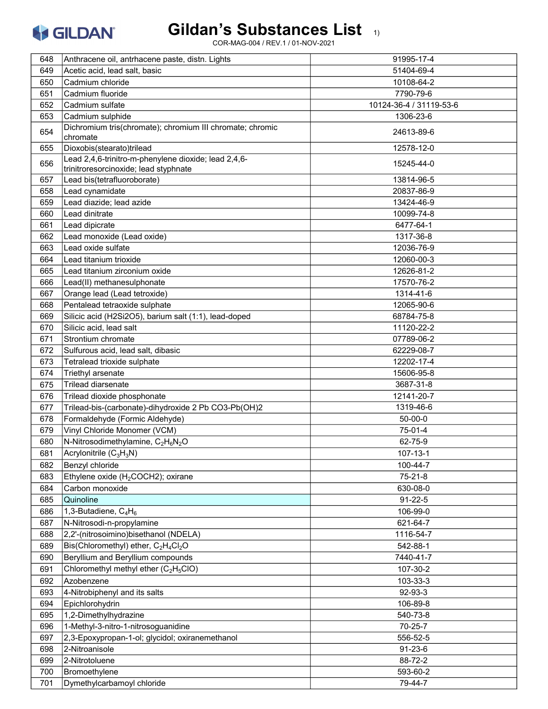

| 648 | Anthracene oil, antrhacene paste, distn. Lights                          | 91995-17-4              |
|-----|--------------------------------------------------------------------------|-------------------------|
| 649 | Acetic acid, lead salt, basic                                            | 51404-69-4              |
| 650 | Cadmium chloride                                                         | 10108-64-2              |
| 651 | Cadmium fluoride                                                         | 7790-79-6               |
| 652 | Cadmium sulfate                                                          | 10124-36-4 / 31119-53-6 |
| 653 | Cadmium sulphide                                                         | 1306-23-6               |
| 654 | Dichromium tris(chromate); chromium III chromate; chromic<br>chromate    | 24613-89-6              |
| 655 | Dioxobis(stearato)trilead                                                | 12578-12-0              |
|     | Lead 2,4,6-trinitro-m-phenylene dioxide; lead 2,4,6-                     |                         |
| 656 | trinitroresorcinoxide; lead styphnate                                    | 15245-44-0              |
| 657 | Lead bis(tetrafluoroborate)                                              | 13814-96-5              |
| 658 | Lead cynamidate                                                          | 20837-86-9              |
| 659 | Lead diazide; lead azide                                                 | 13424-46-9              |
| 660 | Lead dinitrate                                                           | 10099-74-8              |
| 661 | Lead dipicrate                                                           | 6477-64-1               |
| 662 | Lead monoxide (Lead oxide)                                               | 1317-36-8               |
| 663 | Lead oxide sulfate                                                       | 12036-76-9              |
| 664 | Lead titanium trioxide                                                   | 12060-00-3              |
| 665 | Lead titanium zirconium oxide                                            | 12626-81-2              |
| 666 | Lead(II) methanesulphonate                                               | 17570-76-2              |
| 667 | Orange lead (Lead tetroxide)                                             | 1314-41-6               |
| 668 | Pentalead tetraoxide sulphate                                            | 12065-90-6              |
| 669 | Silicic acid (H2Si2O5), barium salt (1:1), lead-doped                    | 68784-75-8              |
| 670 | Silicic acid, lead salt                                                  | 11120-22-2              |
| 671 | Strontium chromate                                                       | 07789-06-2              |
| 672 | Sulfurous acid, lead salt, dibasic                                       | 62229-08-7              |
| 673 | Tetralead trioxide sulphate                                              | 12202-17-4              |
| 674 | Triethyl arsenate                                                        | 15606-95-8              |
| 675 | <b>Trilead diarsenate</b>                                                | 3687-31-8               |
| 676 | Trilead dioxide phosphonate                                              | 12141-20-7              |
| 677 | Trilead-bis-(carbonate)-dihydroxide 2 Pb CO3-Pb(OH)2                     | 1319-46-6               |
| 678 | Formaldehyde (Formic Aldehyde)                                           | $50 - 00 - 0$           |
| 679 | Vinyl Chloride Monomer (VCM)                                             | 75-01-4                 |
| 680 | N-Nitrosodimethylamine, C <sub>2</sub> H <sub>6</sub> N <sub>2</sub> O   | 62-75-9                 |
| 681 | $\boxed{\mathsf{Acrylon}$ itrile (C <sub>3</sub> H <sub>3</sub> N)       | $107 - 13 - 1$          |
| 682 | Benzyl chloride                                                          | 100-44-7                |
| 683 | Ethylene oxide (H <sub>2</sub> COCH2); oxirane                           | 75-21-8                 |
| 684 | Carbon monoxide                                                          | 630-08-0                |
| 685 | Quinoline                                                                | $91 - 22 - 5$           |
| 686 | 1,3-Butadiene, $C_4H_6$                                                  | 106-99-0                |
| 687 | N-Nitrosodi-n-propylamine                                                | 621-64-7                |
| 688 | 2,2'-(nitrosoimino)bisethanol (NDELA)                                    | 1116-54-7               |
| 689 | Bis(Chloromethyl) ether, C <sub>2</sub> H <sub>4</sub> Cl <sub>2</sub> O | 542-88-1                |
| 690 | Beryllium and Beryllium compounds                                        | 7440-41-7               |
| 691 | Chloromethyl methyl ether $(C_2H_5ClO)$                                  | 107-30-2                |
| 692 | Azobenzene                                                               | 103-33-3                |
| 693 | 4-Nitrobiphenyl and its salts                                            | 92-93-3                 |
| 694 | Epichlorohydrin                                                          | 106-89-8                |
| 695 | 1,2-Dimethylhydrazine                                                    | 540-73-8                |
| 696 | 1-Methyl-3-nitro-1-nitrosoguanidine                                      | 70-25-7                 |
| 697 | 2,3-Epoxypropan-1-ol; glycidol; oxiranemethanol                          | 556-52-5                |
| 698 | 2-Nitroanisole                                                           | $91 - 23 - 6$           |
| 699 | 2-Nitrotoluene                                                           | 88-72-2                 |
| 700 | Bromoethylene                                                            | 593-60-2                |
| 701 | Dymethylcarbamoyl chloride                                               | 79-44-7                 |
|     |                                                                          |                         |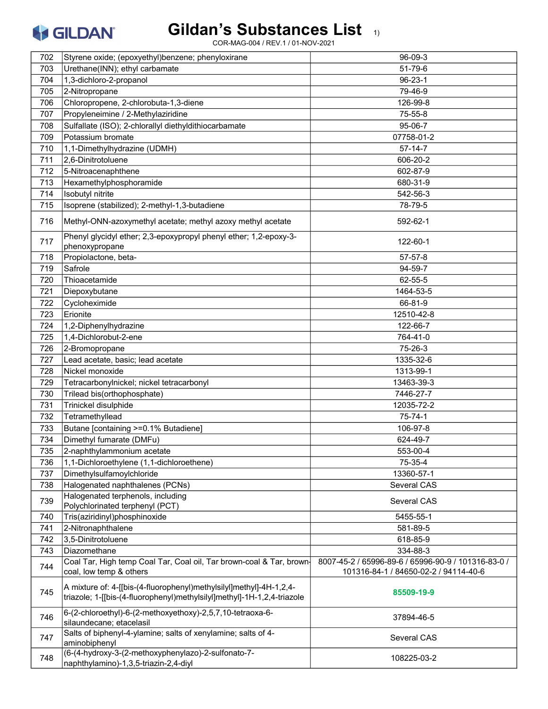

| 702 | Styrene oxide; (epoxyethyl)benzene; phenyloxirane                                                                                              | 96-09-3                                             |
|-----|------------------------------------------------------------------------------------------------------------------------------------------------|-----------------------------------------------------|
| 703 | Urethane(INN); ethyl carbamate                                                                                                                 | 51-79-6                                             |
| 704 | 1,3-dichloro-2-propanol                                                                                                                        | $96 - 23 - 1$                                       |
| 705 | 2-Nitropropane                                                                                                                                 | 79-46-9                                             |
| 706 | Chloropropene, 2-chlorobuta-1,3-diene                                                                                                          | 126-99-8                                            |
| 707 | Propyleneimine / 2-Methylaziridine                                                                                                             | 75-55-8                                             |
| 708 | Sulfallate (ISO); 2-chlorallyl diethyldithiocarbamate                                                                                          | 95-06-7                                             |
| 709 | Potassium bromate                                                                                                                              | 07758-01-2                                          |
| 710 | 1,1-Dimethylhydrazine (UDMH)                                                                                                                   | $57 - 14 - 7$                                       |
| 711 | 2,6-Dinitrotoluene                                                                                                                             | 606-20-2                                            |
| 712 | 5-Nitroacenaphthene                                                                                                                            | 602-87-9                                            |
| 713 | Hexamethylphosphoramide                                                                                                                        | 680-31-9                                            |
| 714 | Isobutyl nitrite                                                                                                                               | 542-56-3                                            |
| 715 | Isoprene (stabilized); 2-methyl-1,3-butadiene                                                                                                  | 78-79-5                                             |
| 716 | Methyl-ONN-azoxymethyl acetate; methyl azoxy methyl acetate                                                                                    | 592-62-1                                            |
| 717 | Phenyl glycidyl ether; 2,3-epoxypropyl phenyl ether; 1,2-epoxy-3-<br>phenoxypropane                                                            | 122-60-1                                            |
| 718 | Propiolactone, beta-                                                                                                                           | $57 - 57 - 8$                                       |
| 719 | Safrole                                                                                                                                        | 94-59-7                                             |
| 720 | Thioacetamide                                                                                                                                  | 62-55-5                                             |
| 721 | Diepoxybutane                                                                                                                                  | 1464-53-5                                           |
| 722 | Cycloheximide                                                                                                                                  | 66-81-9                                             |
| 723 | Erionite                                                                                                                                       | 12510-42-8                                          |
| 724 | 1,2-Diphenylhydrazine                                                                                                                          | 122-66-7                                            |
| 725 | 1,4-Dichlorobut-2-ene                                                                                                                          | 764-41-0                                            |
| 726 | 2-Bromopropane                                                                                                                                 | 75-26-3                                             |
| 727 | Lead acetate, basic; lead acetate                                                                                                              | 1335-32-6                                           |
| 728 | Nickel monoxide                                                                                                                                | 1313-99-1                                           |
| 729 | Tetracarbonylnickel; nickel tetracarbonyl                                                                                                      | 13463-39-3                                          |
| 730 | Trilead bis(orthophosphate)                                                                                                                    | 7446-27-7                                           |
| 731 | Trinickel disulphide                                                                                                                           | 12035-72-2                                          |
| 732 | Tetramethyllead                                                                                                                                | 75-74-1                                             |
| 733 | Butane [containing >=0.1% Butadiene]                                                                                                           | 106-97-8                                            |
| 734 | Dimethyl fumarate (DMFu)                                                                                                                       | 624-49-7                                            |
| 735 | 2-naphthylammonium acetate                                                                                                                     | 553-00-4                                            |
| 736 | 1,1-Dichloroethylene (1,1-dichloroethene)                                                                                                      | 75-35-4                                             |
| 737 | Dimethylsulfamoylchloride                                                                                                                      | 13360-57-1                                          |
| 738 | Halogenated naphthalenes (PCNs)                                                                                                                | Several CAS                                         |
| 739 | Halogenated terphenols, including<br>Polychlorinated terphenyl (PCT)                                                                           | Several CAS                                         |
| 740 | Tris(aziridinyl)phosphinoxide                                                                                                                  | 5455-55-1                                           |
| 741 | 2-Nitronaphthalene                                                                                                                             | 581-89-5                                            |
| 742 | 3,5-Dinitrotoluene                                                                                                                             | 618-85-9                                            |
| 743 | Diazomethane                                                                                                                                   | 334-88-3                                            |
|     | Coal Tar, High temp Coal Tar, Coal oil, Tar brown-coal & Tar, brown-                                                                           | 8007-45-2 / 65996-89-6 / 65996-90-9 / 101316-83-0 / |
| 744 | coal, low temp & others                                                                                                                        | 101316-84-1 / 84650-02-2 / 94114-40-6               |
| 745 | A mixture of: 4-[[bis-(4-fluorophenyl)methylsilyl]methyl]-4H-1,2,4-<br>triazole; 1-[[bis-(4-fluorophenyl)methylsilyl]methyl]-1H-1,2,4-triazole | 85509-19-9                                          |
| 746 | 6-(2-chloroethyl)-6-(2-methoxyethoxy)-2,5,7,10-tetraoxa-6-<br>silaundecane; etacelasil                                                         | 37894-46-5                                          |
| 747 | Salts of biphenyl-4-ylamine; salts of xenylamine; salts of 4-<br>aminobiphenyl                                                                 | Several CAS                                         |
| 748 | (6-(4-hydroxy-3-(2-methoxyphenylazo)-2-sulfonato-7-<br>naphthylamino)-1,3,5-triazin-2,4-diyl                                                   | 108225-03-2                                         |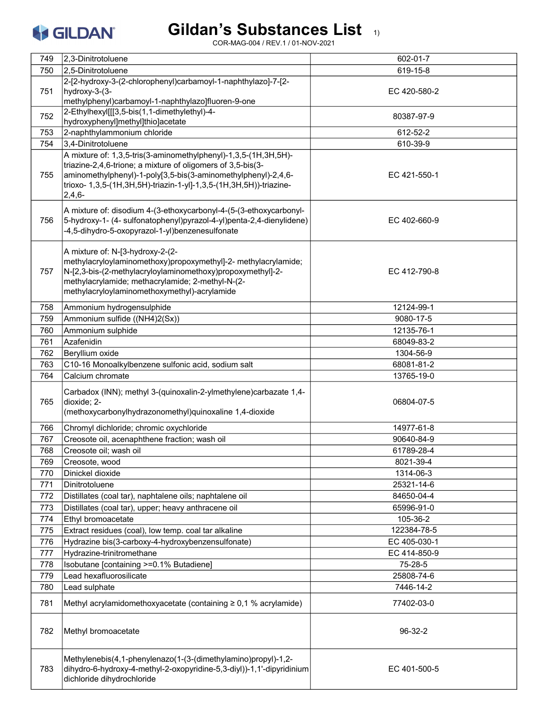# Gildan's Substances List 1)

| 749 | 2,3-Dinitrotoluene                                                                                                                  | 602-01-7     |
|-----|-------------------------------------------------------------------------------------------------------------------------------------|--------------|
| 750 | 2,5-Dinitrotoluene                                                                                                                  | 619-15-8     |
|     | 2-[2-hydroxy-3-(2-chlorophenyl)carbamoyl-1-naphthylazo]-7-[2-                                                                       |              |
| 751 | hydroxy-3-(3-                                                                                                                       | EC 420-580-2 |
|     | methylphenyl)carbamoyl-1-naphthylazo]fluoren-9-one                                                                                  |              |
| 752 | 2-Ethylhexyl[[[3,5-bis(1,1-dimethylethyl)-4-                                                                                        | 80387-97-9   |
|     | hydroxyphenyl]methyl]thio]acetate                                                                                                   |              |
| 753 | 2-naphthylammonium chloride                                                                                                         | 612-52-2     |
| 754 | 3,4-Dinitrotoluene                                                                                                                  | 610-39-9     |
|     | A mixture of: 1,3,5-tris(3-aminomethylphenyl)-1,3,5-(1H,3H,5H)-                                                                     |              |
|     | triazine-2,4,6-trione; a mixture of oligomers of 3,5-bis(3-                                                                         |              |
| 755 | aminomethylphenyl)-1-poly[3,5-bis(3-aminomethylphenyl)-2,4,6-<br>trioxo- 1,3,5-(1H,3H,5H)-triazin-1-yl]-1,3,5-(1H,3H,5H))-triazine- | EC 421-550-1 |
|     | $2,4,6-$                                                                                                                            |              |
|     |                                                                                                                                     |              |
|     | A mixture of: disodium 4-(3-ethoxycarbonyl-4-(5-(3-ethoxycarbonyl-                                                                  |              |
| 756 | 5-hydroxy-1- (4- sulfonatophenyl)pyrazol-4-yl)penta-2,4-dienylidene)                                                                | EC 402-660-9 |
|     | -4,5-dihydro-5-oxopyrazol-1-yl)benzenesulfonate                                                                                     |              |
|     | A mixture of: N-[3-hydroxy-2-(2-                                                                                                    |              |
|     | methylacryloylaminomethoxy)propoxymethyl]-2- methylacrylamide;                                                                      |              |
| 757 | N-[2,3-bis-(2-methylacryloylaminomethoxy)propoxymethyl]-2-                                                                          | EC 412-790-8 |
|     | methylacrylamide; methacrylamide; 2-methyl-N-(2-                                                                                    |              |
|     | methylacryloylaminomethoxymethyl)-acrylamide                                                                                        |              |
| 758 | Ammonium hydrogensulphide                                                                                                           | 12124-99-1   |
| 759 | Ammonium sulfide ((NH4)2(Sx))                                                                                                       | 9080-17-5    |
| 760 | Ammonium sulphide                                                                                                                   | 12135-76-1   |
| 761 | Azafenidin                                                                                                                          | 68049-83-2   |
| 762 | Beryllium oxide                                                                                                                     | 1304-56-9    |
| 763 | C10-16 Monoalkylbenzene sulfonic acid, sodium salt                                                                                  | 68081-81-2   |
|     |                                                                                                                                     |              |
| 764 | Calcium chromate                                                                                                                    | 13765-19-0   |
|     | Carbadox (INN); methyl 3-(quinoxalin-2-ylmethylene)carbazate 1,4-                                                                   |              |
| 765 | dioxide; 2-                                                                                                                         | 06804-07-5   |
|     | (methoxycarbonylhydrazonomethyl)quinoxaline 1,4-dioxide                                                                             |              |
| 766 | Chromyl dichloride; chromic oxychloride                                                                                             | 14977-61-8   |
| 767 | Creosote oil, acenaphthene fraction; wash oil                                                                                       | 90640-84-9   |
| 768 | Creosote oil; wash oil                                                                                                              | 61789-28-4   |
| 769 | Creosote, wood                                                                                                                      | 8021-39-4    |
| 770 | Dinickel dioxide                                                                                                                    | 1314-06-3    |
| 771 | Dinitrotoluene                                                                                                                      | 25321-14-6   |
| 772 | Distillates (coal tar), naphtalene oils; naphtalene oil                                                                             | 84650-04-4   |
| 773 | Distillates (coal tar), upper; heavy anthracene oil                                                                                 | 65996-91-0   |
| 774 | Ethyl bromoacetate                                                                                                                  | 105-36-2     |
| 775 | Extract residues (coal), low temp. coal tar alkaline                                                                                | 122384-78-5  |
| 776 | Hydrazine bis(3-carboxy-4-hydroxybenzensulfonate)                                                                                   | EC 405-030-1 |
| 777 | Hydrazine-trinitromethane                                                                                                           | EC 414-850-9 |
| 778 | Isobutane [containing >=0.1% Butadiene]                                                                                             | 75-28-5      |
| 779 | Lead hexafluorosilicate                                                                                                             | 25808-74-6   |
| 780 | Lead sulphate                                                                                                                       | 7446-14-2    |
|     |                                                                                                                                     |              |
| 781 | Methyl acrylamidomethoxyacetate (containing ≥ 0,1 % acrylamide)                                                                     | 77402-03-0   |
|     |                                                                                                                                     |              |
| 782 | Methyl bromoacetate                                                                                                                 | 96-32-2      |
|     |                                                                                                                                     |              |
|     | Methylenebis(4,1-phenylenazo(1-(3-(dimethylamino)propyl)-1,2-                                                                       |              |
| 783 | dihydro-6-hydroxy-4-methyl-2-oxopyridine-5,3-diyl))-1,1'-dipyridinium                                                               | EC 401-500-5 |
|     | dichloride dihydrochloride                                                                                                          |              |
|     |                                                                                                                                     |              |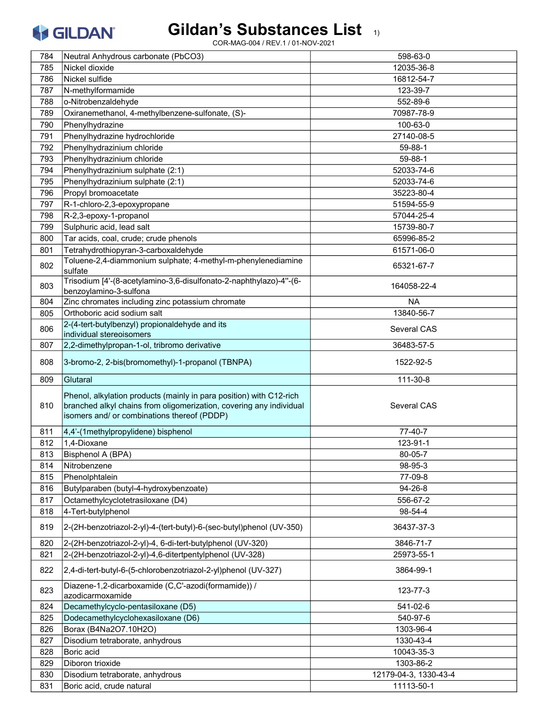

|            | Neutral Anhydrous carbonate (PbCO3)                                                                                                                                                       | 598-63-0                            |
|------------|-------------------------------------------------------------------------------------------------------------------------------------------------------------------------------------------|-------------------------------------|
| 785        | Nickel dioxide                                                                                                                                                                            | 12035-36-8                          |
| 786        | Nickel sulfide                                                                                                                                                                            | 16812-54-7                          |
| 787        | N-methylformamide                                                                                                                                                                         | 123-39-7                            |
| 788        | o-Nitrobenzaldehyde                                                                                                                                                                       | 552-89-6                            |
| 789        | Oxiranemethanol, 4-methylbenzene-sulfonate, (S)-                                                                                                                                          | 70987-78-9                          |
| 790        | Phenylhydrazine                                                                                                                                                                           | 100-63-0                            |
| 791        | Phenylhydrazine hydrochloride                                                                                                                                                             | 27140-08-5                          |
| 792        | Phenylhydrazinium chloride                                                                                                                                                                | 59-88-1                             |
| 793        | Phenylhydrazinium chloride                                                                                                                                                                | 59-88-1                             |
| 794        | Phenylhydrazinium sulphate (2:1)                                                                                                                                                          | 52033-74-6                          |
| 795        | Phenylhydrazinium sulphate (2:1)                                                                                                                                                          | 52033-74-6                          |
| 796        | Propyl bromoacetate                                                                                                                                                                       | 35223-80-4                          |
| 797        | R-1-chloro-2,3-epoxypropane                                                                                                                                                               | 51594-55-9                          |
| 798        | R-2,3-epoxy-1-propanol                                                                                                                                                                    | 57044-25-4                          |
| 799        | Sulphuric acid, lead salt                                                                                                                                                                 | 15739-80-7                          |
| 800        | Tar acids, coal, crude; crude phenols                                                                                                                                                     | 65996-85-2                          |
| 801        | Tetrahydrothiopyran-3-carboxaldehyde                                                                                                                                                      | 61571-06-0                          |
|            | Toluene-2,4-diammonium sulphate; 4-methyl-m-phenylenediamine                                                                                                                              |                                     |
| 802        | sulfate                                                                                                                                                                                   | 65321-67-7                          |
| 803        | Trisodium [4'-(8-acetylamino-3,6-disulfonato-2-naphthylazo)-4"-(6-<br>benzoylamino-3-sulfona                                                                                              | 164058-22-4                         |
| 804        | Zinc chromates including zinc potassium chromate                                                                                                                                          | <b>NA</b>                           |
| 805        | Orthoboric acid sodium salt                                                                                                                                                               | 13840-56-7                          |
| 806        | 2-(4-tert-butylbenzyl) propionaldehyde and its<br>individual stereoisomers                                                                                                                | Several CAS                         |
| 807        | 2,2-dimethylpropan-1-ol, tribromo derivative                                                                                                                                              | 36483-57-5                          |
| 808        | 3-bromo-2, 2-bis(bromomethyl)-1-propanol (TBNPA)                                                                                                                                          | 1522-92-5                           |
| 809        | Glutaral                                                                                                                                                                                  | 111-30-8                            |
| 810        | Phenol, alkylation products (mainly in para position) with C12-rich<br>branched alkyl chains from oligomerization, covering any individual<br>isomers and/ or combinations thereof (PDDP) | Several CAS                         |
| 811        | 4,4'-(1methylpropylidene) bisphenol                                                                                                                                                       |                                     |
|            |                                                                                                                                                                                           |                                     |
|            |                                                                                                                                                                                           | 77-40-7                             |
| 812        | 1,4-Dioxane                                                                                                                                                                               | 123-91-1                            |
| 813        | Bisphenol A (BPA)                                                                                                                                                                         | 80-05-7                             |
| 814        | Nitrobenzene                                                                                                                                                                              | 98-95-3                             |
| 815        | Phenolphtalein                                                                                                                                                                            | 77-09-8                             |
| 816        | Butylparaben (butyl-4-hydroxybenzoate)                                                                                                                                                    | 94-26-8                             |
| 817        | Octamethylcyclotetrasiloxane (D4)                                                                                                                                                         | 556-67-2                            |
| 818<br>819 | 4-Tert-butylphenol<br>2-(2H-benzotriazol-2-yl)-4-(tert-butyl)-6-(sec-butyl)phenol (UV-350)                                                                                                | 98-54-4<br>36437-37-3               |
|            |                                                                                                                                                                                           |                                     |
| 820        | 2-(2H-benzotriazol-2-yl)-4, 6-di-tert-butylphenol (UV-320)                                                                                                                                | 3846-71-7                           |
| 821        | 2-(2H-benzotriazol-2-yl)-4,6-ditertpentylphenol (UV-328)                                                                                                                                  | 25973-55-1                          |
| 822        | 2,4-di-tert-butyl-6-(5-chlorobenzotriazol-2-yl)phenol (UV-327)                                                                                                                            | 3864-99-1                           |
| 823        | Diazene-1,2-dicarboxamide (C,C'-azodi(formamide)) /<br>azodicarmoxamide                                                                                                                   | 123-77-3                            |
| 824        | Decamethylcyclo-pentasiloxane (D5)                                                                                                                                                        | 541-02-6                            |
| 825        | Dodecamethylcyclohexasiloxane (D6)                                                                                                                                                        | 540-97-6                            |
| 826        | Borax (B4Na2O7.10H2O)                                                                                                                                                                     | 1303-96-4                           |
| 827        | Disodium tetraborate, anhydrous                                                                                                                                                           | 1330-43-4                           |
| 828        | Boric acid                                                                                                                                                                                | 10043-35-3                          |
| 829        | Diboron trioxide                                                                                                                                                                          | 1303-86-2                           |
| 830<br>831 | Disodium tetraborate, anhydrous<br>Boric acid, crude natural                                                                                                                              | 12179-04-3, 1330-43-4<br>11113-50-1 |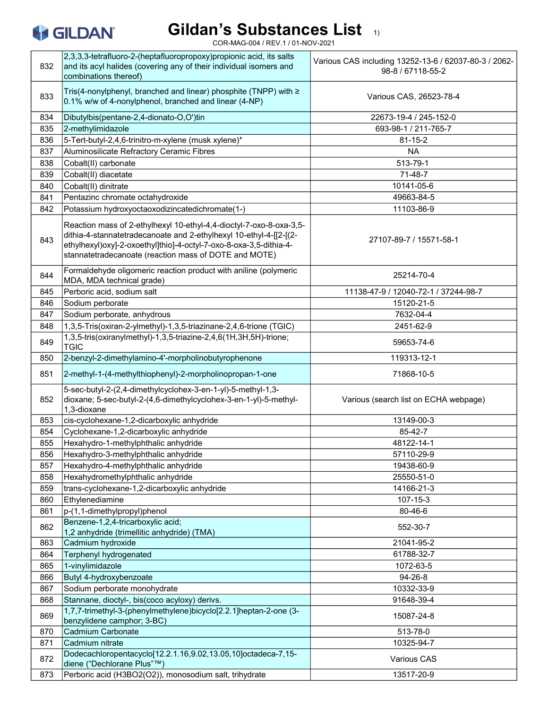

| 832 | 2,3,3,3-tetrafluoro-2-(heptafluoropropoxy)propionic acid, its salts<br>and its acyl halides (covering any of their individual isomers and<br>combinations thereof)                                                                                                       | Various CAS including 13252-13-6 / 62037-80-3 / 2062-<br>98-8 / 67118-55-2 |
|-----|--------------------------------------------------------------------------------------------------------------------------------------------------------------------------------------------------------------------------------------------------------------------------|----------------------------------------------------------------------------|
| 833 | Tris(4-nonylphenyl, branched and linear) phosphite (TNPP) with ≥<br>$0.1\%$ w/w of 4-nonylphenol, branched and linear (4-NP)                                                                                                                                             | Various CAS, 26523-78-4                                                    |
| 834 | Dibutylbis(pentane-2,4-dionato-O,O')tin                                                                                                                                                                                                                                  | 22673-19-4 / 245-152-0                                                     |
| 835 | 2-methylimidazole                                                                                                                                                                                                                                                        | 693-98-1 / 211-765-7                                                       |
| 836 | 5-Tert-butyl-2,4,6-trinitro-m-xylene (musk xylene)*                                                                                                                                                                                                                      | $81 - 15 - 2$                                                              |
| 837 | Aluminosilicate Refractory Ceramic Fibres                                                                                                                                                                                                                                | <b>NA</b>                                                                  |
| 838 | Cobalt(II) carbonate                                                                                                                                                                                                                                                     | 513-79-1                                                                   |
| 839 | Cobalt(II) diacetate                                                                                                                                                                                                                                                     | 71-48-7                                                                    |
| 840 | Cobalt(II) dinitrate                                                                                                                                                                                                                                                     | 10141-05-6                                                                 |
| 841 | Pentazinc chromate octahydroxide                                                                                                                                                                                                                                         | 49663-84-5                                                                 |
| 842 | Potassium hydroxyoctaoxodizincatedichromate(1-)                                                                                                                                                                                                                          | 11103-86-9                                                                 |
| 843 | Reaction mass of 2-ethylhexyl 10-ethyl-4,4-dioctyl-7-oxo-8-oxa-3,5-<br>dithia-4-stannatetradecanoate and 2-ethylhexyl 10-ethyl-4-[[2-[(2-<br>ethylhexyl)oxy]-2-oxoethyl]thio]-4-octyl-7-oxo-8-oxa-3,5-dithia-4-<br>stannatetradecanoate (reaction mass of DOTE and MOTE) | 27107-89-7 / 15571-58-1                                                    |
| 844 | Formaldehyde oligomeric reaction product with aniline (polymeric<br>MDA, MDA technical grade)                                                                                                                                                                            | 25214-70-4                                                                 |
| 845 | Perboric acid, sodium salt                                                                                                                                                                                                                                               | 11138-47-9 / 12040-72-1 / 37244-98-7                                       |
| 846 | Sodium perborate                                                                                                                                                                                                                                                         | 15120-21-5                                                                 |
| 847 | Sodium perborate, anhydrous                                                                                                                                                                                                                                              | 7632-04-4                                                                  |
| 848 | 1,3,5-Tris(oxiran-2-ylmethyl)-1,3,5-triazinane-2,4,6-trione (TGIC)                                                                                                                                                                                                       | 2451-62-9                                                                  |
| 849 | 1,3,5-tris(oxiranylmethyl)-1,3,5-triazine-2,4,6(1H,3H,5H)-trione;<br><b>TGIC</b>                                                                                                                                                                                         | 59653-74-6                                                                 |
| 850 | 2-benzyl-2-dimethylamino-4'-morpholinobutyrophenone                                                                                                                                                                                                                      | 119313-12-1                                                                |
| 851 | 2-methyl-1-(4-methylthiophenyl)-2-morpholinopropan-1-one                                                                                                                                                                                                                 | 71868-10-5                                                                 |
| 852 | 5-sec-butyl-2-(2,4-dimethylcyclohex-3-en-1-yl)-5-methyl-1,3-<br>dioxane; 5-sec-butyl-2-(4,6-dimethylcyclohex-3-en-1-yl)-5-methyl-<br>1,3-dioxane                                                                                                                         | Various (search list on ECHA webpage)                                      |
| 853 | cis-cyclohexane-1,2-dicarboxylic anhydride                                                                                                                                                                                                                               | 13149-00-3                                                                 |
| 854 | Cyclohexane-1,2-dicarboxylic anhydride                                                                                                                                                                                                                                   | 85-42-7                                                                    |
| 855 | Hexahydro-1-methylphthalic anhydride                                                                                                                                                                                                                                     | 48122-14-1                                                                 |
| 856 | Hexahydro-3-methylphthalic anhydride                                                                                                                                                                                                                                     | 57110-29-9                                                                 |
| 857 | Hexahydro-4-methylphthalic anhydride                                                                                                                                                                                                                                     | 19438-60-9                                                                 |
| 858 | Hexahydromethylphthalic anhydride                                                                                                                                                                                                                                        | 25550-51-0                                                                 |
| 859 | trans-cyclohexane-1,2-dicarboxylic anhydride                                                                                                                                                                                                                             | 14166-21-3                                                                 |
| 860 | Ethylenediamine                                                                                                                                                                                                                                                          | 107-15-3                                                                   |
| 861 | p-(1,1-dimethylpropyl)phenol                                                                                                                                                                                                                                             | 80-46-6                                                                    |
| 862 | Benzene-1,2,4-tricarboxylic acid;<br>1,2 anhydride (trimellitic anhydride) (TMA)                                                                                                                                                                                         | 552-30-7                                                                   |
| 863 | Cadmium hydroxide                                                                                                                                                                                                                                                        | 21041-95-2                                                                 |
| 864 | Terphenyl hydrogenated                                                                                                                                                                                                                                                   | 61788-32-7                                                                 |
| 865 | 1-vinylimidazole                                                                                                                                                                                                                                                         | 1072-63-5                                                                  |
| 866 | Butyl 4-hydroxybenzoate                                                                                                                                                                                                                                                  | 94-26-8                                                                    |
| 867 | Sodium perborate monohydrate                                                                                                                                                                                                                                             | 10332-33-9                                                                 |
| 868 | Stannane, dioctyl-, bis(coco acyloxy) derivs.                                                                                                                                                                                                                            | 91648-39-4                                                                 |
| 869 | 1,7,7-trimethyl-3-(phenylmethylene)bicyclo[2.2.1]heptan-2-one (3-<br>benzylidene camphor; 3-BC)                                                                                                                                                                          | 15087-24-8                                                                 |
| 870 | Cadmium Carbonate                                                                                                                                                                                                                                                        | 513-78-0                                                                   |
| 871 | Cadmium nitrate                                                                                                                                                                                                                                                          | 10325-94-7                                                                 |
| 872 | Dodecachloropentacyclo[12.2.1.16,9.02,13.05,10]octadeca-7,15-<br> diene ("Dechlorane Plus"™)                                                                                                                                                                             | Various CAS                                                                |
| 873 | Perboric acid (H3BO2(O2)), monosodium salt, trihydrate                                                                                                                                                                                                                   | 13517-20-9                                                                 |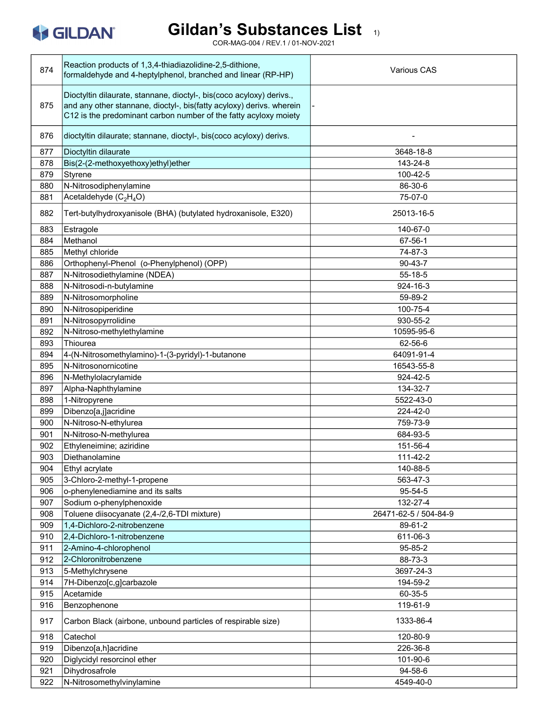

| 874 | Reaction products of 1,3,4-thiadiazolidine-2,5-dithione,<br>formaldehyde and 4-heptylphenol, branched and linear (RP-HP)                                                                                         | <b>Various CAS</b>    |
|-----|------------------------------------------------------------------------------------------------------------------------------------------------------------------------------------------------------------------|-----------------------|
| 875 | Dioctyltin dilaurate, stannane, dioctyl-, bis(coco acyloxy) derivs.,<br>and any other stannane, dioctyl-, bis(fatty acyloxy) derivs. wherein<br>C12 is the predominant carbon number of the fatty acyloxy moiety |                       |
| 876 | dioctyltin dilaurate; stannane, dioctyl-, bis(coco acyloxy) derivs.                                                                                                                                              |                       |
| 877 | Dioctyltin dilaurate                                                                                                                                                                                             | 3648-18-8             |
| 878 | Bis(2-(2-methoxyethoxy)ethyl)ether                                                                                                                                                                               | 143-24-8              |
| 879 | Styrene                                                                                                                                                                                                          | 100-42-5              |
| 880 | N-Nitrosodiphenylamine                                                                                                                                                                                           | 86-30-6               |
| 881 | Acetaldehyde (C <sub>2</sub> H <sub>4</sub> O)                                                                                                                                                                   | 75-07-0               |
| 882 | Tert-butylhydroxyanisole (BHA) (butylated hydroxanisole, E320)                                                                                                                                                   | 25013-16-5            |
| 883 | Estragole                                                                                                                                                                                                        | 140-67-0              |
| 884 | Methanol                                                                                                                                                                                                         | 67-56-1               |
| 885 | Methyl chloride                                                                                                                                                                                                  | 74-87-3               |
| 886 | Orthophenyl-Phenol (o-Phenylphenol) (OPP)                                                                                                                                                                        | $90 - 43 - 7$         |
| 887 | N-Nitrosodiethylamine (NDEA)                                                                                                                                                                                     | $55-18-5$             |
| 888 | N-Nitrosodi-n-butylamine                                                                                                                                                                                         | 924-16-3              |
| 889 | N-Nitrosomorpholine                                                                                                                                                                                              | 59-89-2               |
| 890 | N-Nitrosopiperidine                                                                                                                                                                                              | 100-75-4              |
| 891 | N-Nitrosopyrrolidine                                                                                                                                                                                             | 930-55-2              |
| 892 | N-Nitroso-methylethylamine                                                                                                                                                                                       | 10595-95-6            |
| 893 | Thiourea                                                                                                                                                                                                         | 62-56-6               |
| 894 | 4-(N-Nitrosomethylamino)-1-(3-pyridyl)-1-butanone                                                                                                                                                                | 64091-91-4            |
| 895 | N-Nitrosonornicotine                                                                                                                                                                                             | 16543-55-8            |
| 896 | N-Methylolacrylamide                                                                                                                                                                                             | 924-42-5              |
| 897 | Alpha-Naphthylamine                                                                                                                                                                                              | 134-32-7              |
| 898 | 1-Nitropyrene                                                                                                                                                                                                    | 5522-43-0             |
| 899 | Dibenzo[a,j]acridine                                                                                                                                                                                             | 224-42-0              |
| 900 | N-Nitroso-N-ethylurea                                                                                                                                                                                            | 759-73-9              |
| 901 | N-Nitroso-N-methylurea                                                                                                                                                                                           | 684-93-5              |
| 902 | Ethyleneimine; aziridine                                                                                                                                                                                         | 151-56-4              |
| 903 | Diethanolamine                                                                                                                                                                                                   | 111-42-2              |
| 904 | Ethyl acrylate                                                                                                                                                                                                   | 140-88-5              |
| 905 | 3-Chloro-2-methyl-1-propene                                                                                                                                                                                      | 563-47-3              |
| 906 | o-phenylenediamine and its salts                                                                                                                                                                                 | 95-54-5               |
| 907 | Sodium o-phenylphenoxide                                                                                                                                                                                         | 132-27-4              |
| 908 | Toluene diisocyanate (2,4-/2,6-TDI mixture)                                                                                                                                                                      | 26471-62-5 / 504-84-9 |
| 909 | 1,4-Dichloro-2-nitrobenzene                                                                                                                                                                                      | 89-61-2               |
| 910 | 2,4-Dichloro-1-nitrobenzene                                                                                                                                                                                      | 611-06-3              |
| 911 | 2-Amino-4-chlorophenol                                                                                                                                                                                           | 95-85-2               |
| 912 | 2-Chloronitrobenzene                                                                                                                                                                                             | 88-73-3               |
| 913 | 5-Methylchrysene                                                                                                                                                                                                 | 3697-24-3             |
| 914 | 7H-Dibenzo[c,g]carbazole                                                                                                                                                                                         | 194-59-2              |
| 915 | Acetamide                                                                                                                                                                                                        | 60-35-5               |
| 916 | Benzophenone                                                                                                                                                                                                     | 119-61-9              |
| 917 | Carbon Black (airbone, unbound particles of respirable size)                                                                                                                                                     | 1333-86-4             |
| 918 | Catechol                                                                                                                                                                                                         | 120-80-9              |
| 919 | Dibenzo[a,h]acridine                                                                                                                                                                                             | 226-36-8              |
| 920 | Diglycidyl resorcinol ether                                                                                                                                                                                      | 101-90-6              |
| 921 | Dihydrosafrole                                                                                                                                                                                                   | 94-58-6               |
| 922 | N-Nitrosomethylvinylamine                                                                                                                                                                                        | 4549-40-0             |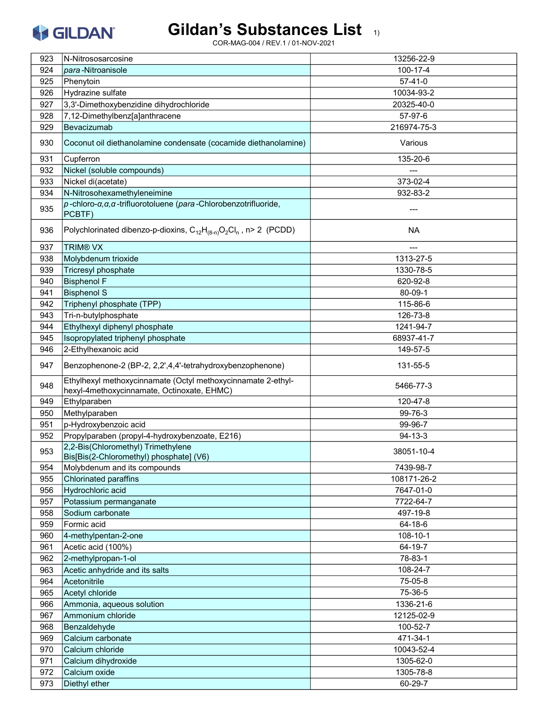# Gildan's Substances List 1)

| 923 | N-Nitrososarcosine                                                                                         | 13256-22-9    |
|-----|------------------------------------------------------------------------------------------------------------|---------------|
| 924 | <i>para</i> - Nitroanisole                                                                                 | 100-17-4      |
| 925 | Phenytoin                                                                                                  | $57 - 41 - 0$ |
| 926 | Hydrazine sulfate                                                                                          | 10034-93-2    |
| 927 | 3,3'-Dimethoxybenzidine dihydrochloride                                                                    | 20325-40-0    |
| 928 | 7,12-Dimethylbenz[a]anthracene                                                                             | 57-97-6       |
| 929 | Bevacizumab                                                                                                | 216974-75-3   |
|     |                                                                                                            |               |
| 930 | Coconut oil diethanolamine condensate (cocamide diethanolamine)                                            | Various       |
| 931 | Cupferron                                                                                                  | 135-20-6      |
| 932 | Nickel (soluble compounds)                                                                                 |               |
| 933 | Nickel di(acetate)                                                                                         | 373-02-4      |
| 934 | N-Nitrosohexamethyleneimine                                                                                | 932-83-2      |
| 935 | $p$ -chloro- $\alpha, \alpha, \alpha$ -trifluorotoluene (para-Chlorobenzotrifluoride,<br>PCBTF)            |               |
| 936 | Polychlorinated dibenzo-p-dioxins, $C_{12}H_{(8-n)}O_2Cl_n$ , n> 2 (PCDD)                                  | <b>NA</b>     |
| 937 | <b>TRIM® VX</b>                                                                                            |               |
| 938 | Molybdenum trioxide                                                                                        | 1313-27-5     |
| 939 | <b>Tricresyl phosphate</b>                                                                                 | 1330-78-5     |
| 940 | <b>Bisphenol F</b>                                                                                         | 620-92-8      |
| 941 | <b>Bisphenol S</b>                                                                                         | 80-09-1       |
| 942 | Triphenyl phosphate (TPP)                                                                                  | 115-86-6      |
| 943 | Tri-n-butylphosphate                                                                                       | 126-73-8      |
| 944 | Ethylhexyl diphenyl phosphate                                                                              | 1241-94-7     |
| 945 | Isopropylated triphenyl phosphate                                                                          | 68937-41-7    |
| 946 | 2-Ethylhexanoic acid                                                                                       | 149-57-5      |
| 947 | Benzophenone-2 (BP-2, 2,2',4,4'-tetrahydroxybenzophenone)                                                  | 131-55-5      |
| 948 | Ethylhexyl methoxycinnamate (Octyl methoxycinnamate 2-ethyl-<br>hexyl-4methoxycinnamate, Octinoxate, EHMC) | 5466-77-3     |
| 949 | Ethylparaben                                                                                               | 120-47-8      |
| 950 | Methylparaben                                                                                              | 99-76-3       |
| 951 | p-Hydroxybenzoic acid                                                                                      | 99-96-7       |
| 952 | Propylparaben (propyl-4-hydroxybenzoate, E216)                                                             | $94 - 13 - 3$ |
| 953 | 2,2-Bis(Chloromethyl) Trimethylene<br>Bis[Bis(2-Chloromethyl) phosphate] (V6)                              | 38051-10-4    |
| 954 | Molybdenum and its compounds                                                                               | 7439-98-7     |
| 955 | Chlorinated paraffins                                                                                      | 108171-26-2   |
| 956 | Hydrochloric acid                                                                                          | 7647-01-0     |
| 957 | Potassium permanganate                                                                                     | 7722-64-7     |
| 958 | Sodium carbonate                                                                                           | 497-19-8      |
| 959 | Formic acid                                                                                                | 64-18-6       |
| 960 | 4-methylpentan-2-one                                                                                       | 108-10-1      |
| 961 | Acetic acid (100%)                                                                                         | 64-19-7       |
| 962 | 2-methylpropan-1-ol                                                                                        | 78-83-1       |
| 963 | Acetic anhydride and its salts                                                                             | 108-24-7      |
| 964 | Acetonitrile                                                                                               | 75-05-8       |
| 965 | Acetyl chloride                                                                                            | 75-36-5       |
| 966 | Ammonia, aqueous solution                                                                                  | 1336-21-6     |
| 967 | Ammonium chloride                                                                                          | 12125-02-9    |
|     |                                                                                                            |               |
| 968 | Benzaldehyde                                                                                               | 100-52-7      |
| 969 | Calcium carbonate                                                                                          | 471-34-1      |
| 970 | Calcium chloride                                                                                           | 10043-52-4    |
| 971 | Calcium dihydroxide                                                                                        | 1305-62-0     |
| 972 | Calcium oxide                                                                                              | 1305-78-8     |
| 973 | Diethyl ether                                                                                              | 60-29-7       |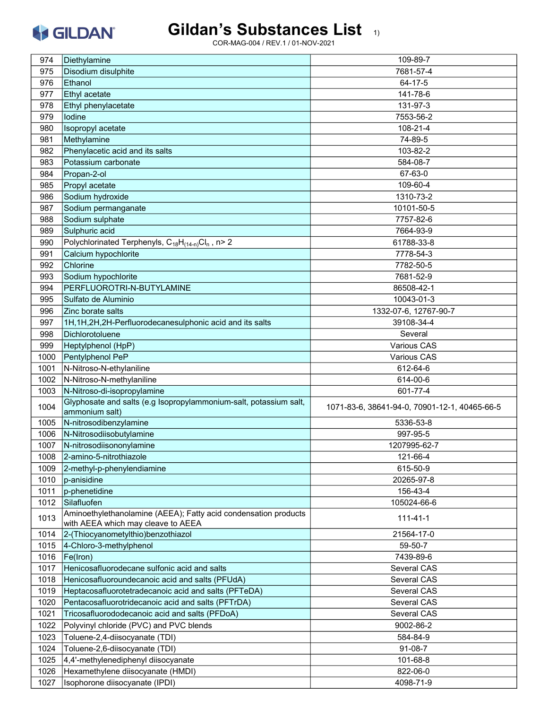#### Gildan's Substances List 1)

| 974  | Diethylamine                                                                                          | 109-89-7                                      |
|------|-------------------------------------------------------------------------------------------------------|-----------------------------------------------|
| 975  | Disodium disulphite                                                                                   | 7681-57-4                                     |
| 976  | Ethanol                                                                                               | $64 - 17 - 5$                                 |
| 977  | Ethyl acetate                                                                                         | 141-78-6                                      |
| 978  | Ethyl phenylacetate                                                                                   | 131-97-3                                      |
| 979  | lodine                                                                                                | 7553-56-2                                     |
| 980  | Isopropyl acetate                                                                                     | 108-21-4                                      |
| 981  | Methylamine                                                                                           | 74-89-5                                       |
| 982  | Phenylacetic acid and its salts                                                                       | 103-82-2                                      |
| 983  | Potassium carbonate                                                                                   | 584-08-7                                      |
| 984  | Propan-2-ol                                                                                           | 67-63-0                                       |
|      |                                                                                                       | 109-60-4                                      |
| 985  | Propyl acetate                                                                                        | 1310-73-2                                     |
| 986  | Sodium hydroxide                                                                                      |                                               |
| 987  | Sodium permanganate                                                                                   | 10101-50-5                                    |
| 988  | Sodium sulphate                                                                                       | 7757-82-6                                     |
| 989  | Sulphuric acid                                                                                        | 7664-93-9                                     |
| 990  | Polychlorinated Terphenyls, $C_{18}H_{(14-n)}Cl_n$ , n> 2                                             | 61788-33-8                                    |
| 991  | Calcium hypochlorite                                                                                  | 7778-54-3                                     |
| 992  | Chlorine                                                                                              | 7782-50-5                                     |
| 993  | Sodium hypochlorite                                                                                   | 7681-52-9                                     |
| 994  | PERFLUOROTRI-N-BUTYLAMINE                                                                             | 86508-42-1                                    |
| 995  | Sulfato de Aluminio                                                                                   | 10043-01-3                                    |
| 996  | Zinc borate salts                                                                                     | 1332-07-6, 12767-90-7                         |
| 997  | 1H, 1H, 2H, 2H-Perfluorodecanesulphonic acid and its salts                                            | 39108-34-4                                    |
| 998  | Dichlorotoluene                                                                                       | Several                                       |
| 999  | Heptylphenol (HpP)                                                                                    | Various CAS                                   |
| 1000 | Pentylphenol PeP                                                                                      | Various CAS                                   |
| 1001 | N-Nitroso-N-ethylaniline                                                                              | 612-64-6                                      |
| 1002 | N-Nitroso-N-methylaniline                                                                             | 614-00-6                                      |
| 1003 | N-Nitroso-di-isopropylamine                                                                           | 601-77-4                                      |
| 1004 | Glyphosate and salts (e.g Isopropylammonium-salt, potassium salt,<br>ammonium salt)                   | 1071-83-6, 38641-94-0, 70901-12-1, 40465-66-5 |
| 1005 | N-nitrosodibenzylamine                                                                                | 5336-53-8                                     |
| 1006 | N-Nitrosodiisobutylamine                                                                              | 997-95-5                                      |
| 1007 | N-nitrosodiisononylamine                                                                              | 1207995-62-7                                  |
|      |                                                                                                       |                                               |
| 1008 | 2-amino-5-nitrothiazole                                                                               | 121-66-4<br>615-50-9                          |
| 1009 | 2-methyl-p-phenylendiamine                                                                            |                                               |
| 1010 | p-anisidine                                                                                           | 20265-97-8                                    |
| 1011 | p-phenetidine                                                                                         | 156-43-4                                      |
| 1012 | Silafluofen                                                                                           | 105024-66-6                                   |
| 1013 | Aminoethylethanolamine (AEEA); Fatty acid condensation products<br>with AEEA which may cleave to AEEA | $111 - 41 - 1$                                |
| 1014 | 2-(Thiocyanometylthio)benzothiazol                                                                    | 21564-17-0                                    |
| 1015 | 4-Chloro-3-methylphenol                                                                               | 59-50-7                                       |
| 1016 | Fe(Iron)                                                                                              | 7439-89-6                                     |
| 1017 | Henicosafluorodecane sulfonic acid and salts                                                          | Several CAS                                   |
| 1018 | Henicosafluoroundecanoic acid and salts (PFUdA)                                                       | Several CAS                                   |
| 1019 | Heptacosafluorotetradecanoic acid and salts (PFTeDA)                                                  | Several CAS                                   |
| 1020 | Pentacosafluorotridecanoic acid and salts (PFTrDA)                                                    | Several CAS                                   |
| 1021 | Tricosafluorododecanoic acid and salts (PFDoA)                                                        | Several CAS                                   |
| 1022 | Polyvinyl chloride (PVC) and PVC blends                                                               | 9002-86-2                                     |
| 1023 | Toluene-2,4-diisocyanate (TDI)                                                                        | 584-84-9                                      |
| 1024 | Toluene-2,6-diisocyanate (TDI)                                                                        | 91-08-7                                       |
| 1025 | 4,4'-methylenediphenyl diisocyanate                                                                   | 101-68-8                                      |
| 1026 | Hexamethylene diisocyanate (HMDI)                                                                     | 822-06-0                                      |
| 1027 | Isophorone diisocyanate (IPDI)                                                                        | 4098-71-9                                     |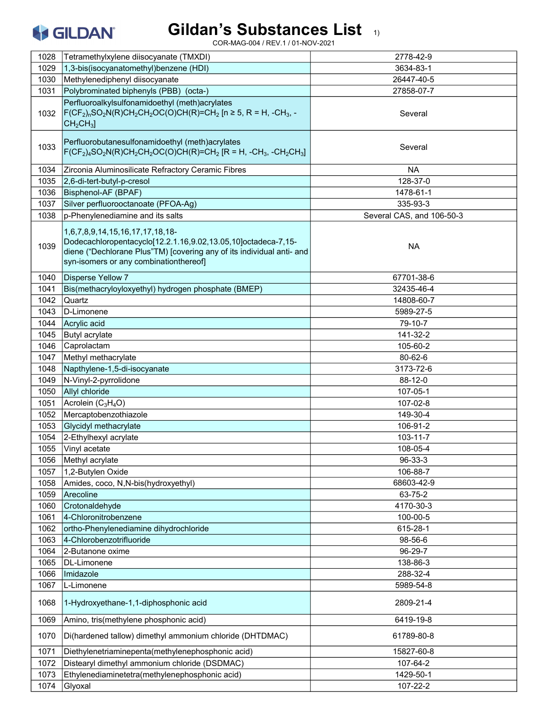# Gildan's Substances List 1)

| 1028 | Tetramethylxylene diisocyanate (TMXDI)                                                                                                                                                                              | 2778-42-9                 |
|------|---------------------------------------------------------------------------------------------------------------------------------------------------------------------------------------------------------------------|---------------------------|
| 1029 | 1,3-bis(isocyanatomethyl)benzene (HDI)                                                                                                                                                                              | 3634-83-1                 |
| 1030 | Methylenediphenyl diisocyanate                                                                                                                                                                                      | 26447-40-5                |
| 1031 | Polybrominated biphenyls (PBB) (octa-)                                                                                                                                                                              | 27858-07-7                |
|      | Perfluoroalkylsulfonamidoethyl (meth)acrylates                                                                                                                                                                      |                           |
| 1032 | $F(CF_2)_nSO_2N(R)CH_2CH_2OC(O)CH(R)=CH_2[n \ge 5, R = H, -CH_3, -$<br>CH <sub>2</sub> CH <sub>3</sub>                                                                                                              | Several                   |
| 1033 | Perfluorobutanesulfonamidoethyl (meth)acrylates<br>$F(CF_2)_4SO_2N(R)CH_2CH_2OC(O)CH(R)=CH_2 [R = H, -CH_3, -CH_2CH_3]$                                                                                             | Several                   |
| 1034 | Zirconia Aluminosilicate Refractory Ceramic Fibres                                                                                                                                                                  | <b>NA</b>                 |
| 1035 | 2,6-di-tert-butyl-p-cresol                                                                                                                                                                                          | 128-37-0                  |
| 1036 | Bisphenol-AF (BPAF)                                                                                                                                                                                                 | 1478-61-1                 |
| 1037 | Silver perfluorooctanoate (PFOA-Ag)                                                                                                                                                                                 | 335-93-3                  |
| 1038 | p-Phenylenediamine and its salts                                                                                                                                                                                    | Several CAS, and 106-50-3 |
| 1039 | 1,6,7,8,9,14,15,16,17,17,18,18-<br>Dodecachloropentacyclo[12.2.1.16,9.02,13.05,10]octadeca-7,15-<br>diene ("Dechlorane Plus"TM) [covering any of its individual anti- and<br>syn-isomers or any combinationthereof] | <b>NA</b>                 |
| 1040 | <b>Disperse Yellow 7</b>                                                                                                                                                                                            | 67701-38-6                |
| 1041 | Bis(methacryloyloxyethyl) hydrogen phosphate (BMEP)                                                                                                                                                                 | 32435-46-4                |
| 1042 | Quartz                                                                                                                                                                                                              | 14808-60-7                |
| 1043 | D-Limonene                                                                                                                                                                                                          | 5989-27-5                 |
| 1044 | Acrylic acid                                                                                                                                                                                                        | 79-10-7                   |
| 1045 | <b>Butyl acrylate</b>                                                                                                                                                                                               | 141-32-2                  |
| 1046 | Caprolactam                                                                                                                                                                                                         | 105-60-2                  |
| 1047 | Methyl methacrylate                                                                                                                                                                                                 | 80-62-6                   |
| 1048 | Napthylene-1,5-di-isocyanate                                                                                                                                                                                        | 3173-72-6                 |
| 1049 | N-Vinyl-2-pyrrolidone                                                                                                                                                                                               | 88-12-0                   |
| 1050 | Allyl chloride                                                                                                                                                                                                      | 107-05-1                  |
| 1051 | Acrolein (C <sub>3</sub> H <sub>4</sub> O)                                                                                                                                                                          | 107-02-8                  |
| 1052 | Mercaptobenzothiazole                                                                                                                                                                                               | 149-30-4                  |
| 1053 | Glycidyl methacrylate                                                                                                                                                                                               | 106-91-2                  |
| 1054 | 2-Ethylhexyl acrylate                                                                                                                                                                                               | $103 - 11 - 7$            |
| 1055 | Vinyl acetate                                                                                                                                                                                                       | 108-05-4                  |
| 1056 | Methyl acrylate                                                                                                                                                                                                     | 96-33-3                   |
| 1057 | 1,2-Butylen Oxide                                                                                                                                                                                                   | 106-88-7                  |
| 1058 | Amides, coco, N,N-bis(hydroxyethyl)                                                                                                                                                                                 | 68603-42-9                |
| 1059 | Arecoline                                                                                                                                                                                                           | 63-75-2                   |
| 1060 | Crotonaldehyde                                                                                                                                                                                                      | 4170-30-3                 |
| 1061 | 4-Chloronitrobenzene                                                                                                                                                                                                | 100-00-5                  |
| 1062 | ortho-Phenylenediamine dihydrochloride                                                                                                                                                                              | 615-28-1                  |
| 1063 | 4-Chlorobenzotrifluoride                                                                                                                                                                                            | 98-56-6                   |
| 1064 | 2-Butanone oxime                                                                                                                                                                                                    | 96-29-7                   |
| 1065 | DL-Limonene                                                                                                                                                                                                         | 138-86-3                  |
| 1066 | Imidazole                                                                                                                                                                                                           | 288-32-4                  |
|      |                                                                                                                                                                                                                     |                           |
| 1067 | L-Limonene                                                                                                                                                                                                          | 5989-54-8                 |
| 1068 | 1-Hydroxyethane-1,1-diphosphonic acid                                                                                                                                                                               | 2809-21-4                 |
| 1069 | Amino, tris(methylene phosphonic acid)                                                                                                                                                                              | 6419-19-8                 |
| 1070 | Di(hardened tallow) dimethyl ammonium chloride (DHTDMAC)                                                                                                                                                            | 61789-80-8                |
| 1071 | Diethylenetriaminepenta(methylenephosphonic acid)                                                                                                                                                                   | 15827-60-8                |
| 1072 | Distearyl dimethyl ammonium chloride (DSDMAC)                                                                                                                                                                       | 107-64-2                  |
| 1073 | Ethylenediaminetetra(methylenephosphonic acid)                                                                                                                                                                      | 1429-50-1                 |
| 1074 | Glyoxal                                                                                                                                                                                                             | 107-22-2                  |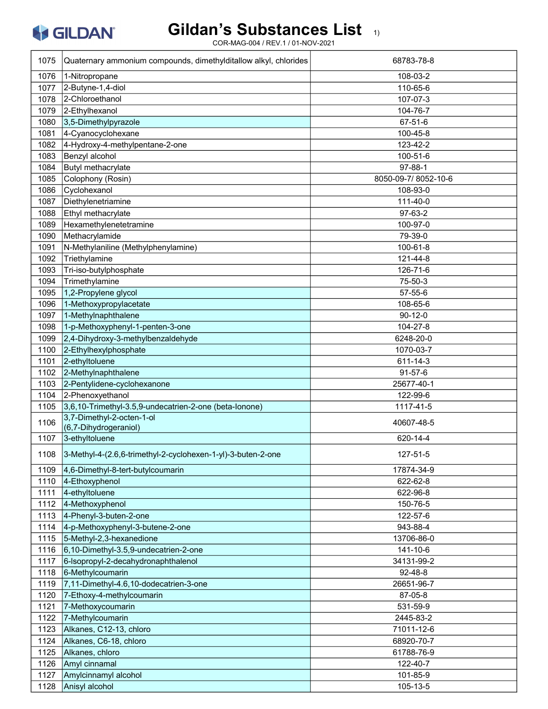### Gildan's Substances List 1)

| 1075 | Quaternary ammonium compounds, dimethylditallow alkyl, chlorides  | 68783-78-8          |
|------|-------------------------------------------------------------------|---------------------|
| 1076 | 1-Nitropropane                                                    | 108-03-2            |
| 1077 | 2-Butyne-1,4-diol                                                 | 110-65-6            |
| 1078 | 2-Chloroethanol                                                   | 107-07-3            |
| 1079 | 2-Ethylhexanol                                                    | 104-76-7            |
| 1080 | 3,5-Dimethylpyrazole                                              | 67-51-6             |
| 1081 | 4-Cyanocyclohexane                                                | 100-45-8            |
| 1082 | 4-Hydroxy-4-methylpentane-2-one                                   | 123-42-2            |
| 1083 | Benzyl alcohol                                                    | 100-51-6            |
| 1084 | Butyl methacrylate                                                | $97 - 88 - 1$       |
| 1085 | Colophony (Rosin)                                                 | 8050-09-7/8052-10-6 |
| 1086 | Cyclohexanol                                                      | 108-93-0            |
| 1087 | Diethylenetriamine                                                | 111-40-0            |
| 1088 | Ethyl methacrylate                                                | 97-63-2             |
| 1089 | Hexamethylenetetramine                                            | 100-97-0            |
| 1090 | Methacrylamide                                                    | 79-39-0             |
|      |                                                                   |                     |
| 1091 | N-Methylaniline (Methylphenylamine)                               | 100-61-8            |
| 1092 | Triethylamine                                                     | 121-44-8            |
| 1093 | Tri-iso-butylphosphate                                            | 126-71-6            |
| 1094 | Trimethylamine                                                    | 75-50-3             |
| 1095 | 1,2-Propylene glycol                                              | $57 - 55 - 6$       |
| 1096 | 1-Methoxypropylacetate                                            | 108-65-6            |
| 1097 | 1-Methylnaphthalene                                               | $90 - 12 - 0$       |
| 1098 | 1-p-Methoxyphenyl-1-penten-3-one                                  | 104-27-8            |
| 1099 | 2,4-Dihydroxy-3-methylbenzaldehyde                                | 6248-20-0           |
| 1100 | 2-Ethylhexylphosphate                                             | 1070-03-7           |
| 1101 | 2-ethyltoluene                                                    | 611-14-3            |
| 1102 | 2-Methylnaphthalene                                               | $91 - 57 - 6$       |
| 1103 | 2-Pentylidene-cyclohexanone                                       | 25677-40-1          |
| 1104 | 2-Phenoxyethanol                                                  | 122-99-6            |
| 1105 | 3,6,10-Trimethyl-3.5,9-undecatrien-2-one (beta-lonone)            | 1117-41-5           |
| 1106 | 3,7-Dimethyl-2-octen-1-ol<br>(6,7-Dihydrogeraniol)                | 40607-48-5          |
| 1107 | 3-ethyltoluene                                                    | 620-14-4            |
|      | 1108 3-Methyl-4-(2.6,6-trimethyl-2-cyclohexen-1-yl)-3-buten-2-one | 127-51-5            |
| 1109 | $4,6$ -Dimethyl-8-tert-butylcoumarin                              | 17874-34-9          |
| 1110 | $4$ -Ethoxyphenol                                                 | 622-62-8            |
| 1111 | 4-ethyltoluene                                                    | 622-96-8            |
| 1112 | 4-Methoxyphenol                                                   | 150-76-5            |
| 1113 | 4-Phenyl-3-buten-2-one                                            | 122-57-6            |
| 1114 | 4-p-Methoxyphenyl-3-butene-2-one                                  | 943-88-4            |
| 1115 | 5-Methyl-2,3-hexanedione                                          | 13706-86-0          |
| 1116 | $6,10$ -Dimethyl-3.5,9-undecatrien-2-one                          | 141-10-6            |
| 1117 | 6-Isopropyl-2-decahydronaphthalenol                               | 34131-99-2          |
| 1118 | 6-Methylcoumarin                                                  | 92-48-8             |
| 1119 | 7,11-Dimethyl-4.6,10-dodecatrien-3-one                            | 26651-96-7          |
| 1120 | 7-Ethoxy-4-methylcoumarin                                         | 87-05-8             |
| 1121 | 7-Methoxycoumarin                                                 | 531-59-9            |
| 1122 | 7-Methylcoumarin                                                  | 2445-83-2           |
| 1123 | Alkanes, C12-13, chloro                                           | 71011-12-6          |
| 1124 | Alkanes, C6-18, chloro                                            | 68920-70-7          |
|      |                                                                   |                     |
| 1125 | Alkanes, chloro                                                   | 61788-76-9          |
| 1126 | Amyl cinnamal                                                     | 122-40-7            |
| 1127 | Amylcinnamyl alcohol                                              | 101-85-9            |
| 1128 | Anisyl alcohol                                                    | 105-13-5            |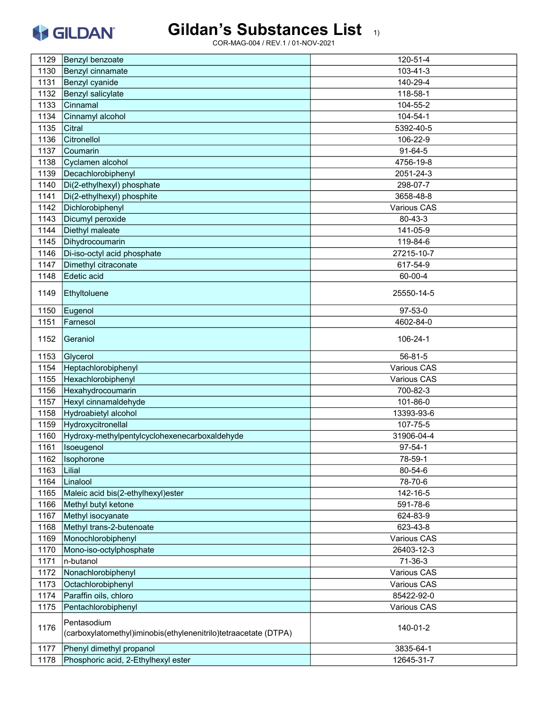# Gildan's Substances List 1)

| 1129 | Benzyl benzoate                                                                | 120-51-4      |
|------|--------------------------------------------------------------------------------|---------------|
| 1130 | Benzyl cinnamate                                                               | 103-41-3      |
| 1131 | Benzyl cyanide                                                                 | 140-29-4      |
| 1132 | Benzyl salicylate                                                              | 118-58-1      |
| 1133 | Cinnamal                                                                       | 104-55-2      |
| 1134 | Cinnamyl alcohol                                                               | 104-54-1      |
| 1135 | Citral                                                                         | 5392-40-5     |
| 1136 | Citronellol                                                                    | 106-22-9      |
| 1137 | Coumarin                                                                       | $91 - 64 - 5$ |
| 1138 | Cyclamen alcohol                                                               | 4756-19-8     |
| 1139 | Decachlorobiphenyl                                                             | 2051-24-3     |
| 1140 | Di(2-ethylhexyl) phosphate                                                     | 298-07-7      |
| 1141 | Di(2-ethylhexyl) phosphite                                                     | 3658-48-8     |
| 1142 | Dichlorobiphenyl                                                               | Various CAS   |
| 1143 | Dicumyl peroxide                                                               | 80-43-3       |
| 1144 | Diethyl maleate                                                                | 141-05-9      |
| 1145 | Dihydrocoumarin                                                                | 119-84-6      |
|      |                                                                                | 27215-10-7    |
| 1146 | Di-iso-octyl acid phosphate                                                    |               |
| 1147 | Dimethyl citraconate                                                           | 617-54-9      |
| 1148 | Edetic acid                                                                    | 60-00-4       |
| 1149 | Ethyltoluene                                                                   | 25550-14-5    |
| 1150 | Eugenol                                                                        | $97 - 53 - 0$ |
| 1151 | Farnesol                                                                       | 4602-84-0     |
| 1152 | Geraniol                                                                       | 106-24-1      |
| 1153 | Glycerol                                                                       | $56 - 81 - 5$ |
| 1154 | Heptachlorobiphenyl                                                            | Various CAS   |
| 1155 | Hexachlorobiphenyl                                                             | Various CAS   |
| 1156 | Hexahydrocoumarin                                                              | 700-82-3      |
| 1157 | Hexyl cinnamaldehyde                                                           | 101-86-0      |
| 1158 | Hydroabietyl alcohol                                                           | 13393-93-6    |
| 1159 | Hydroxycitronellal                                                             | 107-75-5      |
| 1160 | Hydroxy-methylpentylcyclohexenecarboxaldehyde                                  | 31906-04-4    |
| 1161 | Isoeugenol                                                                     | $97 - 54 - 1$ |
| 1162 | Isophorone                                                                     | 78-59-1       |
| 1163 | Lilial                                                                         | 80-54-6       |
| 1164 | Linalool                                                                       | 78-70-6       |
| 1165 | Maleic acid bis(2-ethylhexyl)ester                                             | 142-16-5      |
| 1166 | Methyl butyl ketone                                                            | 591-78-6      |
| 1167 | Methyl isocyanate                                                              | 624-83-9      |
| 1168 | Methyl trans-2-butenoate                                                       | 623-43-8      |
| 1169 | Monochlorobiphenyl                                                             | Various CAS   |
| 1170 | Mono-iso-octylphosphate                                                        | 26403-12-3    |
| 1171 | n-butanol                                                                      | $71-36-3$     |
| 1172 | Nonachlorobiphenyl                                                             | Various CAS   |
| 1173 | Octachlorobiphenyl                                                             | Various CAS   |
| 1174 | Paraffin oils, chloro                                                          | 85422-92-0    |
| 1175 | Pentachlorobiphenyl                                                            | Various CAS   |
|      |                                                                                |               |
| 1176 | Pentasodium<br>(carboxylatomethyl)iminobis(ethylenenitrilo)tetraacetate (DTPA) | 140-01-2      |
| 1177 | Phenyl dimethyl propanol                                                       | 3835-64-1     |
| 1178 | Phosphoric acid, 2-Ethylhexyl ester                                            | 12645-31-7    |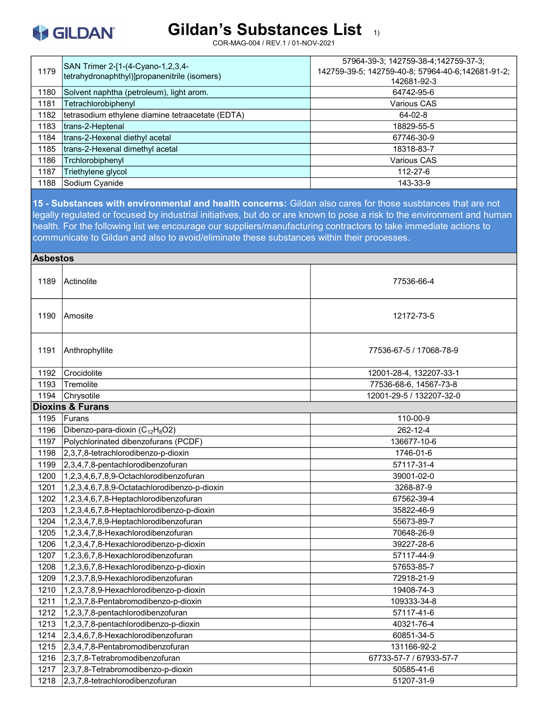

COR-MAG-004 / REV.1 / 01-NOV-2021

| 1179 | SAN Trimer 2-[1-(4-Cyano-1,2,3,4-<br>tetrahydronaphthyl)]propanenitrile (isomers) | 57964-39-3; 142759-38-4; 142759-37-3;<br>142759-39-5; 142759-40-8; 57964-40-6; 142681-91-2;<br>142681-92-3 |
|------|-----------------------------------------------------------------------------------|------------------------------------------------------------------------------------------------------------|
| 1180 | Solvent naphtha (petroleum), light arom.                                          | 64742-95-6                                                                                                 |
| 1181 | Tetrachlorobiphenyl                                                               | Various CAS                                                                                                |
| 1182 | tetrasodium ethylene diamine tetraacetate (EDTA)                                  | $64 - 02 - 8$                                                                                              |
| 1183 | trans-2-Heptenal                                                                  | 18829-55-5                                                                                                 |
| 1184 | trans-2-Hexenal diethyl acetal                                                    | 67746-30-9                                                                                                 |
| 1185 | trans-2-Hexenal dimethyl acetal                                                   | 18318-83-7                                                                                                 |
| 1186 | Trchlorobiphenyl                                                                  | Various CAS                                                                                                |
| 1187 | Triethylene glycol                                                                | 112-27-6                                                                                                   |
| 1188 | Sodium Cyanide                                                                    | 143-33-9                                                                                                   |

15 - Substances with environmental and health concerns: Gildan also cares for those susbtances that are not legally regulated or focused by industrial initiatives, but do or are known to pose a risk to the environment and human health. For the following list we encourage our suppliers/manufacturing contractors to take immediate actions to communicate to Gildan and also to avoid/eliminate these substances within their processes.

| <b>Asbestos</b> |                                              |                          |
|-----------------|----------------------------------------------|--------------------------|
| 1189            | <b>Actinolite</b>                            | 77536-66-4               |
| 1190            | lAmosite                                     | 12172-73-5               |
| 1191            | Anthrophyllite                               | 77536-67-5 / 17068-78-9  |
| 1192            | Crocidolite                                  | 12001-28-4, 132207-33-1  |
| 1193            | Tremolite                                    | 77536-68-6, 14567-73-8   |
| 1194            | Chrysotile                                   | 12001-29-5 / 132207-32-0 |
|                 | <b>Dioxins &amp; Furans</b>                  |                          |
| 1195            | <b>Furans</b>                                | 110-00-9                 |
| 1196            | Dibenzo-para-dioxin ( $C_{12}H_8O2$ )        | 262-12-4                 |
| 1197            | Polychlorinated dibenzofurans (PCDF)         | 136677-10-6              |
| 1198            | 2,3,7,8-tetrachlorodibenzo-p-dioxin          | 1746-01-6                |
| 1199            | 2,3,4,7,8-pentachlorodibenzofuran            | 57117-31-4               |
| 1200            | 1,2,3,4,6,7,8,9-Octachlorodibenzofuran       | 39001-02-0               |
| 1201            | 1,2,3,4,6,7,8,9-Octatachlorodibenzo-p-dioxin | 3268-87-9                |
| 1202            | 1,2,3,4,6,7,8-Heptachlorodibenzofuran        | 67562-39-4               |
| 1203            | 1,2,3,4,6,7,8-Heptachlorodibenzo-p-dioxin    | 35822-46-9               |
| 1204            | 1,2,3,4,7,8,9-Heptachlorodibenzofuran        | 55673-89-7               |
| 1205            | 1,2,3,4,7,8-Hexachlorodibenzofuran           | 70648-26-9               |
| 1206            | 1,2,3,4,7,8-Hexachlorodibenzo-p-dioxin       | 39227-28-6               |
| 1207            | 1,2,3,6,7,8-Hexachlorodibenzofuran           | 57117-44-9               |
| 1208            | 1,2,3,6,7,8-Hexachlorodibenzo-p-dioxin       | 57653-85-7               |
| 1209            | 1,2,3,7,8,9-Hexachlorodibenzofuran           | 72918-21-9               |
| 1210            | 1,2,3,7,8,9-Hexachlorodibenzo-p-dioxin       | 19408-74-3               |
| 1211            | 1,2,3,7,8-Pentabromodibenzo-p-dioxin         | 109333-34-8              |
| 1212            | 1,2,3,7,8-pentachlorodibenzofuran            | 57117-41-6               |
| 1213            | 1,2,3,7,8-pentachlorodibenzo-p-dioxin        | 40321-76-4               |
| 1214            | 2,3,4,6,7,8-Hexachlorodibenzofuran           | 60851-34-5               |
| 1215            | 2,3,4,7,8-Pentabromodibenzofuran             | 131166-92-2              |
| 1216            | $2,3,7,8$ -Tetrabromodibenzofuran            | 67733-57-7 / 67933-57-7  |
| 1217            | 2,3,7,8-Tetrabromodibenzo-p-dioxin           | 50585-41-6               |
| 1218            | 2,3,7,8-tetrachlorodibenzofuran              | 51207-31-9               |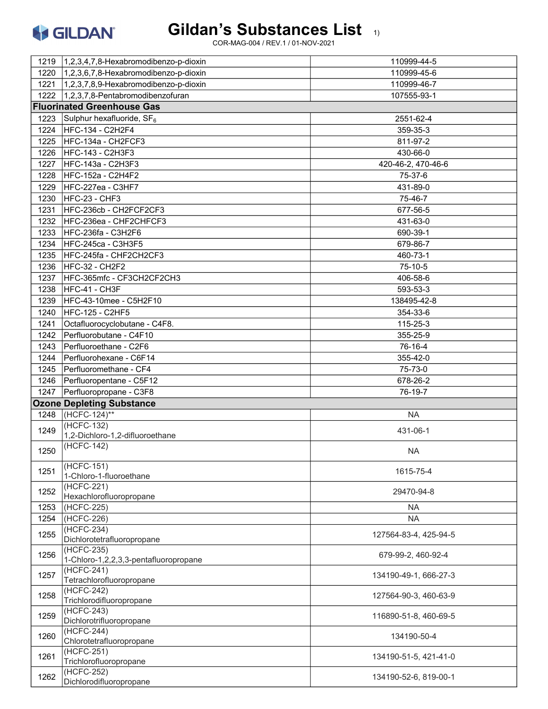

|      | 1219 1.2,3,4,7,8-Hexabromodibenzo-p-dioxin                      | 110999-44-5           |
|------|-----------------------------------------------------------------|-----------------------|
| 1220 | 1,2,3,6,7,8-Hexabromodibenzo-p-dioxin                           | 110999-45-6           |
| 1221 | 1,2,3,7,8,9-Hexabromodibenzo-p-dioxin                           | 110999-46-7           |
|      | 1222 1,2,3,7,8-Pentabromodibenzofuran                           | 107555-93-1           |
|      | <b>Fluorinated Greenhouse Gas</b>                               |                       |
| 1223 | Sulphur hexafluoride, $SF_6$                                    | 2551-62-4             |
| 1224 | HFC-134 - C2H2F4                                                | 359-35-3              |
| 1225 | HFC-134a - CH2FCF3                                              | 811-97-2              |
| 1226 | <b>HFC-143 - C2H3F3</b>                                         | 430-66-0              |
| 1227 | HFC-143a - C2H3F3                                               | 420-46-2, 470-46-6    |
| 1228 | <b>HFC-152a - C2H4F2</b>                                        | 75-37-6               |
| 1229 | HFC-227ea - C3HF7                                               | 431-89-0              |
| 1230 | HFC-23 - CHF3                                                   | 75-46-7               |
| 1231 | HFC-236cb - CH2FCF2CF3                                          | 677-56-5              |
| 1232 | HFC-236ea - CHF2CHFCF3                                          | 431-63-0              |
| 1233 | <b>HFC-236fa - C3H2F6</b>                                       | 690-39-1              |
| 1234 | <b>HFC-245ca - C3H3F5</b>                                       | 679-86-7              |
| 1235 | HFC-245fa - CHF2CH2CF3                                          | 460-73-1              |
| 1236 | HFC-32 - CH2F2                                                  | 75-10-5               |
| 1237 | HFC-365mfc - CF3CH2CF2CH3                                       | 406-58-6              |
| 1238 | HFC-41 - CH3F                                                   | 593-53-3              |
| 1239 | HFC-43-10mee - C5H2F10                                          | 138495-42-8           |
| 1240 | <b>HFC-125 - C2HF5</b>                                          | 354-33-6              |
| 1241 | Octafluorocyclobutane - C4F8.                                   | 115-25-3              |
| 1242 | Perfluorobutane - C4F10                                         |                       |
|      |                                                                 | 355-25-9              |
| 1243 | Perfluoroethane - C2F6                                          | 76-16-4               |
| 1244 | Perfluorohexane - C6F14                                         | 355-42-0              |
| 1245 | Perfluoromethane - CF4                                          | 75-73-0               |
|      |                                                                 |                       |
| 1246 | Perfluoropentane - C5F12                                        | 678-26-2              |
| 1247 | Perfluoropropane - C3F8                                         | 76-19-7               |
|      | <b>Ozone Depleting Substance</b>                                |                       |
| 1248 | (HCFC-124)**                                                    | <b>NA</b>             |
| 1249 | (HCFC-132)                                                      | 431-06-1              |
|      | 1,2-Dichloro-1,2-difluoroethane                                 |                       |
| 1250 | (HCFC-142)                                                      | <b>NA</b>             |
| 1251 | (HCFC-151)                                                      | 1615-75-4             |
|      | 1-Chloro-1-fluoroethane<br>(HCFC-221)                           |                       |
| 1252 | Hexachlorofluoropropane                                         | 29470-94-8            |
| 1253 | (HCFC-225)                                                      | <b>NA</b>             |
| 1254 | (HCFC-226)                                                      | <b>NA</b>             |
| 1255 | (HCFC-234)                                                      | 127564-83-4, 425-94-5 |
|      | Dichlorotetrafluoropropane                                      |                       |
| 1256 | (HCFC-235)<br>1-Chloro-1,2,2,3,3-pentafluoropropane             | 679-99-2, 460-92-4    |
| 1257 | (HCFC-241)<br>Tetrachlorofluoropropane                          | 134190-49-1, 666-27-3 |
| 1258 | (HCFC-242)<br>Trichlorodifluoropropane                          | 127564-90-3, 460-63-9 |
| 1259 | (HCFC-243)                                                      | 116890-51-8, 460-69-5 |
| 1260 | Dichlorotrifluoropropane<br>(HCFC-244)                          | 134190-50-4           |
| 1261 | Chlorotetrafluoropropane<br>(HCFC-251)                          | 134190-51-5, 421-41-0 |
| 1262 | Trichlorofluoropropane<br>(HCFC-252)<br>Dichlorodifluoropropane | 134190-52-6, 819-00-1 |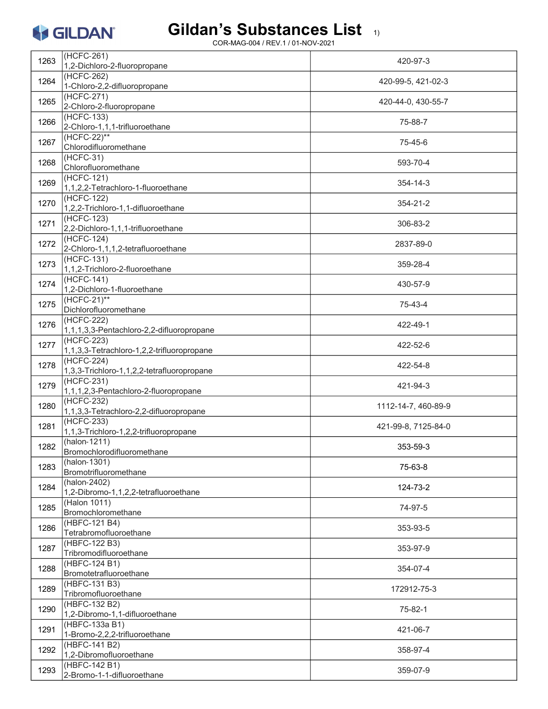# Gildan's Substances List 1)

| 1263 | (HCFC-261)<br>1,2-Dichloro-2-fluoropropane               | 420-97-3            |
|------|----------------------------------------------------------|---------------------|
| 1264 | (HCFC-262)<br>1-Chloro-2,2-difluoropropane               | 420-99-5, 421-02-3  |
| 1265 | (HCFC-271)<br>2-Chloro-2-fluoropropane                   | 420-44-0, 430-55-7  |
| 1266 | (HCFC-133)<br>2-Chloro-1,1,1-trifluoroethane             | 75-88-7             |
| 1267 | $(HCFC-22)**$<br>Chlorodifluoromethane                   | 75-45-6             |
| 1268 | $(HCFC-31)$<br>Chlorofluoromethane                       | 593-70-4            |
| 1269 | (HCFC-121)<br>1,1,2,2-Tetrachloro-1-fluoroethane         | 354-14-3            |
| 1270 | $(HCFC-122)$<br>1,2,2-Trichloro-1,1-difluoroethane       | 354-21-2            |
| 1271 | (HCFC-123)<br>2,2-Dichloro-1,1,1-trifluoroethane         | 306-83-2            |
| 1272 | (HCFC-124)<br>2-Chloro-1,1,1,2-tetrafluoroethane         | 2837-89-0           |
| 1273 | $(HCFC-131)$<br>1,1,2-Trichloro-2-fluoroethane           | 359-28-4            |
| 1274 | $(HCFC-141)$<br>1,2-Dichloro-1-fluoroethane              | 430-57-9            |
| 1275 | $(HCFC-21)*$<br>Dichlorofluoromethane                    | 75-43-4             |
| 1276 | (HCFC-222)<br>1,1,1,3,3-Pentachloro-2,2-difluoropropane  | 422-49-1            |
| 1277 | (HCFC-223)<br>1,1,3,3-Tetrachloro-1,2,2-trifluoropropane | 422-52-6            |
| 1278 | (HCFC-224)<br>1,3,3-Trichloro-1,1,2,2-tetrafluoropropane | 422-54-8            |
| 1279 | (HCFC-231)<br>1,1,1,2,3-Pentachloro-2-fluoropropane      | 421-94-3            |
| 1280 | (HCFC-232)<br>1,1,3,3-Tetrachloro-2,2-difluoropropane    | 1112-14-7, 460-89-9 |
| 1281 | (HCFC-233)<br>1,1,3-Trichloro-1,2,2-trifluoropropane     | 421-99-8, 7125-84-0 |
| 1282 | (halon-1211)<br>Bromochlorodifluoromethane               | 353-59-3            |
| 1283 | (halon-1301)<br>Bromotrifluoromethane                    | 75-63-8             |
| 1284 | (halon-2402)<br>1,2-Dibromo-1,1,2,2-tetrafluoroethane    | 124-73-2            |
| 1285 | (Halon 1011)<br>Bromochloromethane                       | 74-97-5             |
| 1286 | (HBFC-121 B4)<br>Tetrabromofluoroethane                  | 353-93-5            |
| 1287 | (HBFC-122 B3)<br>Tribromodifluoroethane                  | 353-97-9            |
| 1288 | (HBFC-124 B1)<br>Bromotetrafluoroethane                  | 354-07-4            |
| 1289 | (HBFC-131 B3)<br>Tribromofluoroethane                    | 172912-75-3         |
| 1290 | (HBFC-132 B2)<br>1,2-Dibromo-1,1-difluoroethane          | 75-82-1             |
| 1291 | (HBFC-133a B1)<br>1-Bromo-2,2,2-trifluoroethane          | 421-06-7            |
| 1292 | (HBFC-141 B2)<br>1,2-Dibromofluoroethane                 | 358-97-4            |
| 1293 | (HBFC-142 B1)<br>2-Bromo-1-1-difluoroethane              | 359-07-9            |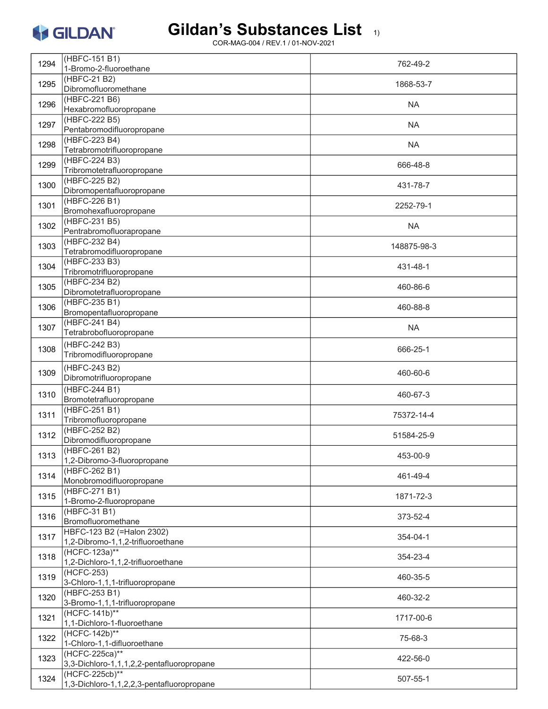#### Gildan's Substances List 1)

| 1294 | (HBFC-151 B1)<br>1-Bromo-2-fluoroethane                        | 762-49-2    |
|------|----------------------------------------------------------------|-------------|
| 1295 | (HBFC-21 B2)<br>Dibromofluoromethane                           | 1868-53-7   |
|      | (HBFC-221 B6)                                                  |             |
| 1296 | Hexabromofluoropropane                                         | <b>NA</b>   |
| 1297 | (HBFC-222 B5)<br>Pentabromodifluoropropane                     | <b>NA</b>   |
| 1298 | (HBFC-223 B4)<br>Tetrabromotrifluoropropane                    | <b>NA</b>   |
| 1299 | (HBFC-224 B3)<br>Tribromotetrafluoropropane                    | 666-48-8    |
| 1300 | (HBFC-225 B2)<br>Dibromopentafluoropropane                     | 431-78-7    |
| 1301 | (HBFC-226 B1)<br>Bromohexafluoropropane                        | 2252-79-1   |
| 1302 | (HBFC-231 B5)<br>Pentrabromofluorapropane                      | <b>NA</b>   |
| 1303 | (HBFC-232 B4)<br>Tetrabromodifluoropropane                     | 148875-98-3 |
| 1304 | (HBFC-233 B3)<br>Tribromotrifluoropropane                      | 431-48-1    |
| 1305 | (HBFC-234 B2)<br>Dibromotetrafluoropropane                     | 460-86-6    |
| 1306 | (HBFC-235 B1)<br>Bromopentafluoropropane                       | 460-88-8    |
| 1307 | (HBFC-241 B4)<br>Tetrabrobofluoropropane                       | <b>NA</b>   |
| 1308 | (HBFC-242 B3)<br>Tribromodifluoropropane                       | 666-25-1    |
| 1309 | (HBFC-243 B2)<br>Dibromotrifluoropropane                       | 460-60-6    |
| 1310 | (HBFC-244 B1)<br>Bromotetrafluoropropane                       | 460-67-3    |
| 1311 | (HBFC-251 B1)<br>Tribromofluoropropane                         | 75372-14-4  |
| 1312 | (HBFC-252 B2)<br>Dibromodifluoropropane                        | 51584-25-9  |
| 1313 | (HBFC-261 B2)<br>1,2-Dibromo-3-fluoropropane                   | 453-00-9    |
| 1314 | (HBFC-262 B1)<br>Monobromodifluoropropane                      | 461-49-4    |
| 1315 | (HBFC-271 B1)<br>1-Bromo-2-fluoropropane                       | 1871-72-3   |
| 1316 | (HBFC-31 B1)<br>Bromofluoromethane                             | 373-52-4    |
| 1317 | HBFC-123 B2 (=Halon 2302)<br>1,2-Dibromo-1,1,2-trifluoroethane | 354-04-1    |
| 1318 | $(HCFC-123a)**$<br>1,2-Dichloro-1,1,2-trifluoroethane          | 354-23-4    |
| 1319 | (HCFC-253)<br>3-Chloro-1,1,1-trifluoropropane                  | 460-35-5    |
| 1320 | (HBFC-253 B1)<br>3-Bromo-1,1,1-trifluoropropane                | 460-32-2    |
| 1321 | $(HCFC - 141b)^{**}$<br>1,1-Dichloro-1-fluoroethane            | 1717-00-6   |
| 1322 | $(HCFC-142b)$ **<br>1-Chloro-1,1-difluoroethane                | 75-68-3     |
| 1323 | (HCFC-225ca)**<br>3,3-Dichloro-1,1,1,2,2-pentafluoropropane    | 422-56-0    |
| 1324 | (HCFC-225cb)**<br>1,3-Dichloro-1,1,2,2,3-pentafluoropropane    | 507-55-1    |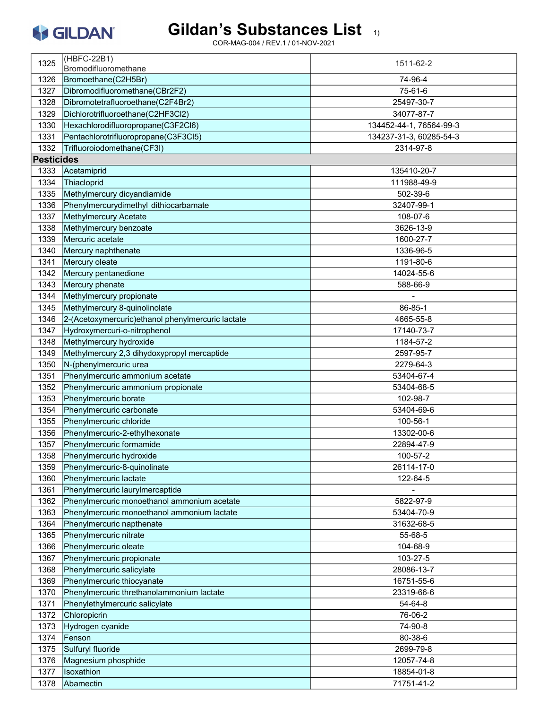

|                   | (HBFC-22B1)                                        |                         |
|-------------------|----------------------------------------------------|-------------------------|
| 1325              | Bromodifluoromethane                               | 1511-62-2               |
| 1326              | Bromoethane(C2H5Br)                                | 74-96-4                 |
| 1327              | Dibromodifluoromethane(CBr2F2)                     | 75-61-6                 |
| 1328              | Dibromotetrafluoroethane(C2F4Br2)                  | 25497-30-7              |
| 1329              | Dichlorotrifluoroethane(C2HF3Cl2)                  | 34077-87-7              |
| 1330              | Hexachlorodifluoropropane(C3F2Cl6)                 | 134452-44-1, 76564-99-3 |
| 1331              | Pentachlorotrifluoropropane(C3F3Cl5)               | 134237-31-3, 60285-54-3 |
| 1332              | Trifluoroiodomethane(CF3I)                         | 2314-97-8               |
| <b>Pesticides</b> |                                                    |                         |
| 1333              | Acetamiprid                                        | 135410-20-7             |
| 1334              | Thiacloprid                                        | 111988-49-9             |
| 1335              | Methylmercury dicyandiamide                        | 502-39-6                |
| 1336              | Phenylmercurydimethyl dithiocarbamate              | 32407-99-1              |
|                   |                                                    |                         |
| 1337              | <b>Methylmercury Acetate</b>                       | 108-07-6                |
| 1338              | Methylmercury benzoate                             | 3626-13-9               |
| 1339              | Mercuric acetate                                   | 1600-27-7               |
| 1340              | Mercury naphthenate                                | 1336-96-5               |
| 1341              | Mercury oleate                                     | 1191-80-6               |
| 1342              | Mercury pentanedione                               | 14024-55-6              |
| 1343              | Mercury phenate                                    | 588-66-9                |
| 1344              | Methylmercury propionate                           |                         |
| 1345              | Methylmercury 8-quinolinolate                      | 86-85-1                 |
| 1346              | 2-(Acetoxymercuric) ethanol phenylmercuric lactate | 4665-55-8               |
| 1347              | Hydroxymercuri-o-nitrophenol                       | 17140-73-7              |
| 1348              | Methylmercury hydroxide                            | 1184-57-2               |
| 1349              | Methylmercury 2,3 dihydoxypropyl mercaptide        | 2597-95-7               |
| 1350              | N-(phenylmercuric urea                             | 2279-64-3               |
| 1351              | Phenylmercuric ammonium acetate                    | 53404-67-4              |
| 1352              | Phenylmercuric ammonium propionate                 | 53404-68-5              |
| 1353              | Phenylmercuric borate                              | 102-98-7                |
| 1354              | Phenylmercuric carbonate                           | 53404-69-6              |
| 1355              | Phenylmercuric chloride                            | 100-56-1                |
| 1356              | Phenylmercuric-2-ethylhexonate                     | 13302-00-6              |
| 1357              | Phenylmercuric formamide                           | 22894-47-9              |
| 1358              | Phenylmercuric hydroxide                           | 100-57-2                |
| 1359              | Phenylmercuric-8-quinolinate                       | 26114-17-0              |
| 1360              | Phenylmercuric lactate                             | 122-64-5                |
| 1361              | Phenylmercuric laurylmercaptide                    |                         |
| 1362              | Phenylmercuric monoethanol ammonium acetate        | 5822-97-9               |
| 1363              | Phenylmercuric monoethanol ammonium lactate        | 53404-70-9              |
| 1364              | Phenylmercuric napthenate                          | 31632-68-5              |
| 1365              | Phenylmercuric nitrate                             | 55-68-5                 |
| 1366              | Phenylmercuric oleate                              | 104-68-9                |
| 1367              | Phenylmercuric propionate                          | 103-27-5                |
| 1368              | Phenylmercuric salicylate                          | 28086-13-7              |
| 1369              | Phenylmercuric thiocyanate                         | 16751-55-6              |
| 1370              | Phenylmercuric threthanolammonium lactate          | 23319-66-6              |
| 1371              | Phenylethylmercuric salicylate                     | 54-64-8                 |
| 1372              | Chloropicrin                                       | 76-06-2                 |
| 1373              | Hydrogen cyanide                                   | 74-90-8                 |
| 1374              | Fenson                                             | 80-38-6                 |
| 1375              | Sulfuryl fluoride                                  | 2699-79-8               |
| 1376              | Magnesium phosphide                                | 12057-74-8              |
| 1377              | Isoxathion                                         | 18854-01-8              |
| 1378              | Abamectin                                          | 71751-41-2              |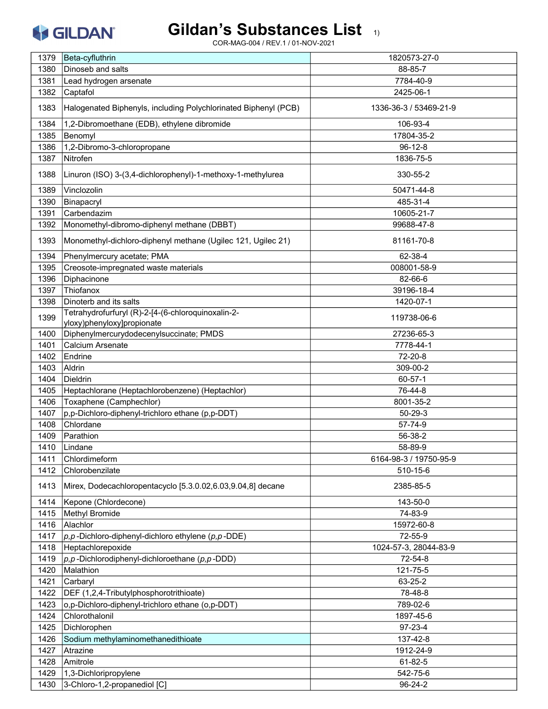# Gildan's Substances List 1)

| 1379 | Beta-cyfluthrin                                                                  | 1820573-27-0           |
|------|----------------------------------------------------------------------------------|------------------------|
| 1380 | Dinoseb and salts                                                                | 88-85-7                |
| 1381 | Lead hydrogen arsenate                                                           | 7784-40-9              |
| 1382 | Captafol                                                                         | 2425-06-1              |
| 1383 | Halogenated Biphenyls, including Polychlorinated Biphenyl (PCB)                  | 1336-36-3 / 53469-21-9 |
| 1384 | 1,2-Dibromoethane (EDB), ethylene dibromide                                      | 106-93-4               |
| 1385 | Benomyl                                                                          | 17804-35-2             |
| 1386 | 1,2-Dibromo-3-chloropropane                                                      | $96 - 12 - 8$          |
| 1387 | Nitrofen                                                                         | 1836-75-5              |
| 1388 | Linuron (ISO) 3-(3,4-dichlorophenyl)-1-methoxy-1-methylurea                      | 330-55-2               |
| 1389 | Vinclozolin                                                                      | 50471-44-8             |
| 1390 | Binapacryl                                                                       | 485-31-4               |
| 1391 | Carbendazim                                                                      | 10605-21-7             |
| 1392 | Monomethyl-dibromo-diphenyl methane (DBBT)                                       | 99688-47-8             |
| 1393 | Monomethyl-dichloro-diphenyl methane (Ugilec 121, Ugilec 21)                     | 81161-70-8             |
| 1394 | Phenylmercury acetate; PMA                                                       | 62-38-4                |
| 1395 | Creosote-impregnated waste materials                                             | 008001-58-9            |
| 1396 | Diphacinone                                                                      | 82-66-6                |
| 1397 | Thiofanox                                                                        | 39196-18-4             |
| 1398 | Dinoterb and its salts                                                           | 1420-07-1              |
| 1399 | Tetrahydrofurfuryl (R)-2-[4-(6-chloroquinoxalin-2-<br>yloxy)phenyloxy]propionate | 119738-06-6            |
| 1400 | Diphenylmercurydodecenylsuccinate; PMDS                                          | 27236-65-3             |
| 1401 | Calcium Arsenate                                                                 | 7778-44-1              |
| 1402 | Endrine                                                                          | 72-20-8                |
| 1403 | Aldrin                                                                           | 309-00-2               |
| 1404 | <b>Dieldrin</b>                                                                  | 60-57-1                |
| 1405 | Heptachlorane (Heptachlorobenzene) (Heptachlor)                                  | 76-44-8                |
| 1406 | Toxaphene (Camphechlor)                                                          | 8001-35-2              |
| 1407 | p,p-Dichloro-diphenyl-trichloro ethane (p,p-DDT)                                 | $50 - 29 - 3$          |
| 1408 | Chlordane                                                                        | 57-74-9                |
| 1409 | Parathion                                                                        | 56-38-2                |
| 1410 | Lindane                                                                          | 58-89-9                |
| 1411 | Chlordimeform                                                                    | 6164-98-3 / 19750-95-9 |
| 1412 | Chlorobenzilate                                                                  | 510-15-6               |
| 1413 | Mirex, Dodecachloropentacyclo [5.3.0.02,6.03,9.04,8] decane                      | 2385-85-5              |
| 1414 | Kepone (Chlordecone)                                                             | 143-50-0               |
| 1415 | Methyl Bromide                                                                   | 74-83-9                |
| 1416 | Alachlor                                                                         | 15972-60-8             |
| 1417 | $p, p$ -Dichloro-diphenyl-dichloro ethylene ( $p, p$ -DDE)                       | 72-55-9                |
| 1418 | Heptachlorepoxide                                                                | 1024-57-3, 28044-83-9  |
| 1419 | $p, p$ -Dichlorodiphenyl-dichloroethane ( $p, p$ -DDD)                           | 72-54-8                |
| 1420 | Malathion                                                                        | 121-75-5               |
| 1421 | Carbaryl                                                                         | 63-25-2                |
| 1422 | DEF (1,2,4-Tributylphosphorotrithioate)                                          | 78-48-8                |
| 1423 | o,p-Dichloro-diphenyl-trichloro ethane (o,p-DDT)                                 | 789-02-6               |
| 1424 | Chlorothalonil                                                                   | 1897-45-6              |
| 1425 | Dichlorophen                                                                     | 97-23-4                |
| 1426 | Sodium methylaminomethanedithioate                                               | 137-42-8               |
| 1427 | Atrazine                                                                         | 1912-24-9              |
| 1428 | Amitrole                                                                         | 61-82-5                |
| 1429 | 1,3-Dichloripropylene                                                            | 542-75-6               |
| 1430 | 3-Chloro-1,2-propanediol [C]                                                     | 96-24-2                |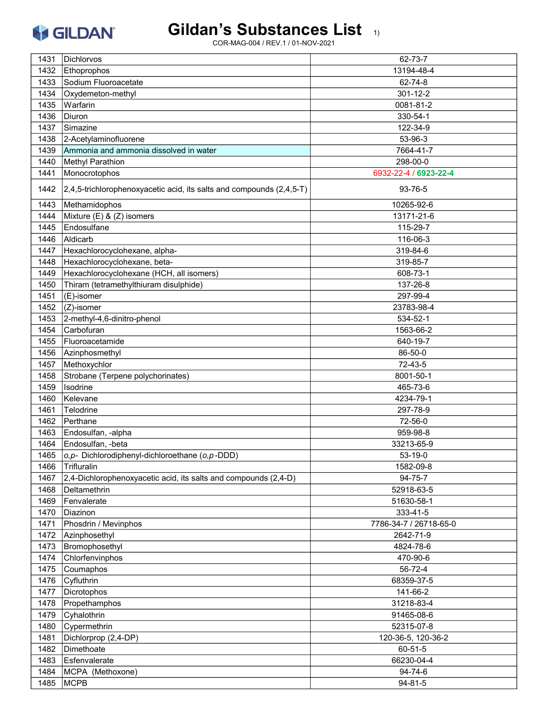

| 1431 | Dichlorvos                                                           | 62-73-7                |
|------|----------------------------------------------------------------------|------------------------|
| 1432 | Ethoprophos                                                          | 13194-48-4             |
| 1433 | Sodium Fluoroacetate                                                 | 62-74-8                |
| 1434 | Oxydemeton-methyl                                                    | 301-12-2               |
| 1435 | Warfarin                                                             | 0081-81-2              |
| 1436 | Diuron                                                               | 330-54-1               |
| 1437 | Simazine                                                             | 122-34-9               |
| 1438 | 2-Acetylaminofluorene                                                | 53-96-3                |
| 1439 | Ammonia and ammonia dissolved in water                               | 7664-41-7              |
| 1440 | <b>Methyl Parathion</b>                                              | 298-00-0               |
| 1441 | Monocrotophos                                                        | 6932-22-4 / 6923-22-4  |
|      |                                                                      |                        |
| 1442 | 2,4,5-trichlorophenoxyacetic acid, its salts and compounds (2,4,5-T) | 93-76-5                |
| 1443 | Methamidophos                                                        | 10265-92-6             |
| 1444 | Mixture (E) & (Z) isomers                                            | 13171-21-6             |
| 1445 | Endosulfane                                                          | 115-29-7               |
| 1446 | Aldicarb                                                             | 116-06-3               |
| 1447 | Hexachlorocyclohexane, alpha-                                        | 319-84-6               |
| 1448 | Hexachlorocyclohexane, beta-                                         | 319-85-7               |
| 1449 | Hexachlorocyclohexane (HCH, all isomers)                             | 608-73-1               |
| 1450 | Thiram (tetramethylthiuram disulphide)                               | 137-26-8               |
| 1451 | (E)-isomer                                                           | 297-99-4               |
| 1452 | (Z)-isomer                                                           | 23783-98-4             |
| 1453 | 2-methyl-4,6-dinitro-phenol                                          | 534-52-1               |
| 1454 | Carbofuran                                                           | 1563-66-2              |
| 1455 | Fluoroacetamide                                                      | 640-19-7               |
| 1456 | Azinphosmethyl                                                       | 86-50-0                |
| 1457 | Methoxychlor                                                         | 72-43-5                |
| 1458 | Strobane (Terpene polychorinates)                                    | 8001-50-1              |
| 1459 | Isodrine                                                             | 465-73-6               |
| 1460 | Kelevane                                                             | 4234-79-1              |
| 1461 | Telodrine                                                            | 297-78-9               |
| 1462 | Perthane                                                             | 72-56-0                |
| 1463 | Endosulfan, -alpha                                                   | 959-98-8               |
| 1464 | Endosulfan, -beta                                                    | 33213-65-9             |
| 1465 | o, p- Dichlorodiphenyl-dichloroethane (o, p-DDD)                     | 53-19-0                |
| 1466 | Trifluralin                                                          | 1582-09-8              |
| 1467 | 2,4-Dichlorophenoxyacetic acid, its salts and compounds (2,4-D)      | 94-75-7                |
| 1468 | Deltamethrin                                                         | 52918-63-5             |
| 1469 | Fenvalerate                                                          | 51630-58-1             |
| 1470 | Diazinon                                                             | 333-41-5               |
| 1471 | Phosdrin / Mevinphos                                                 | 7786-34-7 / 26718-65-0 |
| 1472 | Azinphosethyl                                                        | 2642-71-9              |
| 1473 | Bromophosethyl                                                       | 4824-78-6              |
| 1474 | Chlorfenvinphos                                                      | 470-90-6               |
| 1475 | Coumaphos                                                            | 56-72-4                |
| 1476 | Cyfluthrin                                                           | 68359-37-5             |
| 1477 | Dicrotophos                                                          | 141-66-2               |
| 1478 | Propethamphos                                                        | 31218-83-4             |
| 1479 | Cyhalothrin                                                          | 91465-08-6             |
| 1480 | Cypermethrin                                                         | 52315-07-8             |
| 1481 | Dichlorprop (2,4-DP)                                                 | 120-36-5, 120-36-2     |
| 1482 | Dimethoate                                                           | 60-51-5                |
| 1483 | Esfenvalerate                                                        | 66230-04-4             |
| 1484 | MCPA (Methoxone)                                                     | 94-74-6                |
| 1485 | <b>MCPB</b>                                                          | $94 - 81 - 5$          |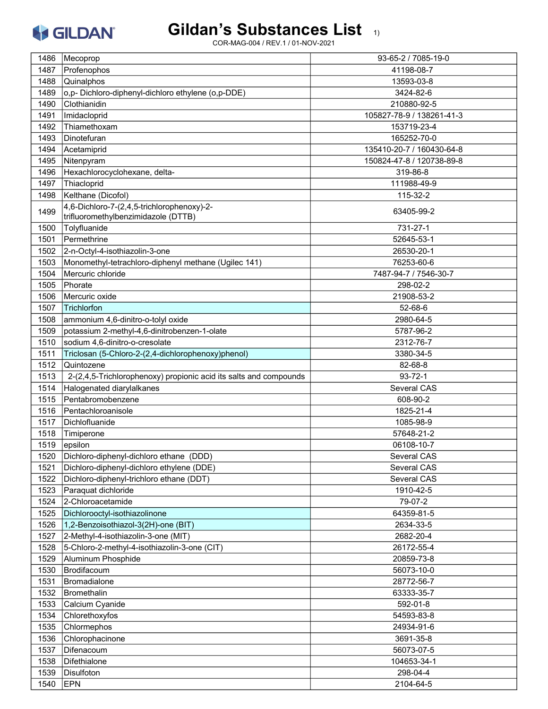# Gildan's Substances List 1)

| 1486 | Mecoprop                                                          | 93-65-2 / 7085-19-0       |
|------|-------------------------------------------------------------------|---------------------------|
| 1487 | Profenophos                                                       | 41198-08-7                |
| 1488 | Quinalphos                                                        | 13593-03-8                |
| 1489 | o,p-Dichloro-diphenyl-dichloro ethylene (o,p-DDE)                 | 3424-82-6                 |
| 1490 | Clothianidin                                                      | 210880-92-5               |
| 1491 | Imidacloprid                                                      | 105827-78-9 / 138261-41-3 |
| 1492 | Thiamethoxam                                                      | 153719-23-4               |
| 1493 | Dinotefuran                                                       | 165252-70-0               |
| 1494 | Acetamiprid                                                       | 135410-20-7 / 160430-64-8 |
| 1495 | Nitenpyram                                                        | 150824-47-8 / 120738-89-8 |
| 1496 | Hexachlorocyclohexane, delta-                                     | 319-86-8                  |
| 1497 | Thiacloprid                                                       | 111988-49-9               |
| 1498 | Kelthane (Dicofol)                                                | 115-32-2                  |
|      | 4,6-Dichloro-7-(2,4,5-trichlorophenoxy)-2-                        |                           |
| 1499 | trifluoromethylbenzimidazole (DTTB)                               | 63405-99-2                |
| 1500 | Tolyfluanide                                                      | 731-27-1                  |
| 1501 | Permethrine                                                       | 52645-53-1                |
| 1502 | 2-n-Octyl-4-isothiazolin-3-one                                    | 26530-20-1                |
| 1503 | Monomethyl-tetrachloro-diphenyl methane (Ugilec 141)              | 76253-60-6                |
| 1504 | Mercuric chloride                                                 | 7487-94-7 / 7546-30-7     |
| 1505 | Phorate                                                           | 298-02-2                  |
| 1506 | Mercuric oxide                                                    | 21908-53-2                |
| 1507 | Trichlorfon                                                       | 52-68-6                   |
| 1508 | ammonium 4,6-dinitro-o-tolyl oxide                                | 2980-64-5                 |
| 1509 | potassium 2-methyl-4,6-dinitrobenzen-1-olate                      | 5787-96-2                 |
| 1510 | sodium 4,6-dinitro-o-cresolate                                    | 2312-76-7                 |
| 1511 | Triclosan (5-Chloro-2-(2,4-dichlorophenoxy)phenol)                | 3380-34-5                 |
| 1512 | Quintozene                                                        | 82-68-8                   |
|      |                                                                   |                           |
| 1513 | 2-(2,4,5-Trichlorophenoxy) propionic acid its salts and compounds | $93 - 72 - 1$             |
| 1514 | Halogenated diarylalkanes                                         | Several CAS               |
| 1515 | Pentabromobenzene                                                 | 608-90-2                  |
| 1516 | Pentachloroanisole                                                | 1825-21-4                 |
| 1517 | Dichlofluanide                                                    | 1085-98-9                 |
| 1518 | Timiperone                                                        | 57648-21-2                |
| 1519 | epsilon                                                           | 06108-10-7                |
| 1520 | Dichloro-diphenyl-dichloro ethane (DDD)                           | Several CAS               |
| 1521 | Dichloro-diphenyl-dichloro ethylene (DDE)                         | Several CAS               |
| 1522 | Dichloro-diphenyl-trichloro ethane (DDT)                          | Several CAS               |
| 1523 | Paraquat dichloride                                               | 1910-42-5                 |
| 1524 | 2-Chloroacetamide                                                 | 79-07-2                   |
| 1525 | Dichlorooctyl-isothiazolinone                                     | 64359-81-5                |
| 1526 | 1,2-Benzoisothiazol-3(2H)-one (BIT)                               | 2634-33-5                 |
| 1527 | 2-Methyl-4-isothiazolin-3-one (MIT)                               | 2682-20-4                 |
| 1528 | 5-Chloro-2-methyl-4-isothiazolin-3-one (CIT)                      | 26172-55-4                |
| 1529 | Aluminum Phosphide                                                | 20859-73-8                |
| 1530 | Brodifacoum                                                       | 56073-10-0                |
| 1531 | <b>Bromadialone</b>                                               | 28772-56-7                |
| 1532 | <b>Bromethalin</b>                                                | 63333-35-7                |
| 1533 | Calcium Cyanide                                                   | 592-01-8                  |
| 1534 | Chlorethoxyfos                                                    | 54593-83-8                |
| 1535 | Chlormephos                                                       | 24934-91-6                |
| 1536 | Chlorophacinone                                                   | 3691-35-8                 |
| 1537 | Difenacoum                                                        | 56073-07-5                |
| 1538 | Difethialone                                                      | 104653-34-1               |
| 1539 | Disulfoton                                                        | 298-04-4                  |